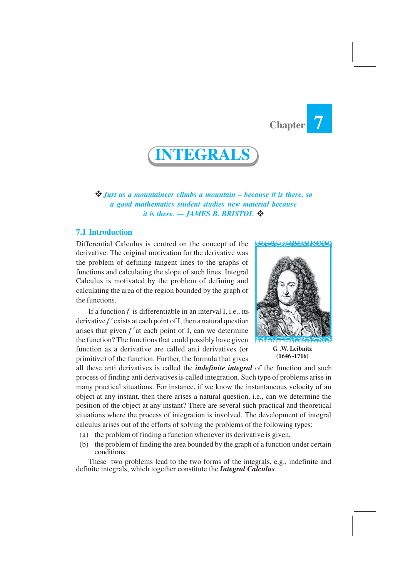# **Chapter 7**

INTEGRALS 287

# **INTEGRALS**

v*Just as a mountaineer climbs a mountain – because it is there, so a good mathematics student studies new material because it is there.*  $-MMES$  *B. BRISTOL*  $\diamondsuit$ 

# **7.1 Introduction**

Differential Calculus is centred on the concept of the derivative. The original motivation for the derivative was the problem of defining tangent lines to the graphs of functions and calculating the slope of such lines. Integral Calculus is motivated by the problem of defining and calculating the area of the region bounded by the graph of the functions.

If a function *f* is differentiable in an interval I, i.e., its derivative *f* 'exists at each point of I, then a natural question arises that given  $f'$  at each point of I, can we determine the function? The functions that could possibly have given function as a derivative are called anti derivatives (or primitive) of the function. Further, the formula that gives



**G .W. Leibnitz (1646 -1716)**

all these anti derivatives is called the *indefinite integral* of the function and such process of finding anti derivatives is called integration. Such type of problems arise in many practical situations. For instance, if we know the instantaneous velocity of an object at any instant, then there arises a natural question, i.e., can we determine the position of the object at any instant? There are several such practical and theoretical situations where the process of integration is involved. The development of integral calculus arises out of the efforts of solving the problems of the following types:

- (a) the problem of finding a function whenever its derivative is given,
- (b) the problem of finding the area bounded by the graph of a function under certain conditions.

These two problems lead to the two forms of the integrals, e.g., indefinite and definite integrals, which together constitute the *Integral Calculus*.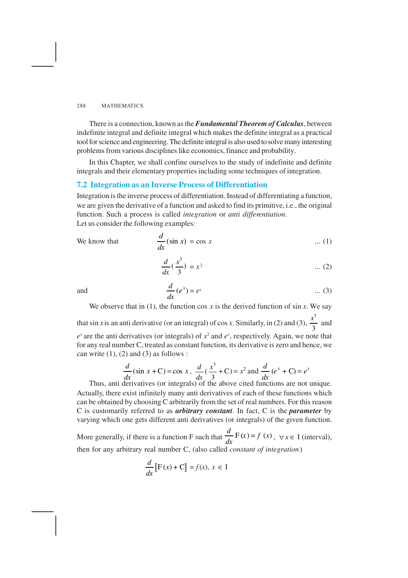There is a connection, known as the *Fundamental Theorem of Calculus*, between indefinite integral and definite integral which makes the definite integral as a practical tool for science and engineering. The definite integral is also used to solve many interesting problems from various disciplines like economics, finance and probability.

In this Chapter, we shall confine ourselves to the study of indefinite and definite integrals and their elementary properties including some techniques of integration.

### **7.2 Integration as an Inverse Process of Differentiation**

Integration is the inverse process of differentiation. Instead of differentiating a function, we are given the derivative of a function and asked to find its primitive, i.e., the original function. Such a process is called *integration* or *anti differentiation*. Let us consider the following examples:

We know that

$$
\frac{d}{dx}(\sin x) = \cos x \qquad \qquad \dots (1)
$$

$$
\frac{d}{dx}\left(\frac{x^3}{3}\right) = x^2 \qquad \qquad \dots (2)
$$

and 
$$
\frac{d}{dx}(e^x) = e^x \qquad \qquad \dots (3)
$$

We observe that in (1), the function cos  $x$  is the derived function of  $\sin x$ . We say that sin *x* is an anti derivative (or an integral) of  $\cos x$ . Similarly, in (2) and (3), 3 3  $\frac{x^3}{2}$  and  $e^x$  are the anti derivatives (or integrals) of  $x^2$  and  $e^x$ , respectively. Again, we note that for any real number C, treated as constant function, its derivative is zero and hence, we can write  $(1)$ ,  $(2)$  and  $(3)$  as follows :

$$
\frac{d}{dx}(\sin x + C) = \cos x, \quad \frac{d}{dx}(\frac{x^3}{3} + C) = x^2 \text{ and } \frac{d}{dx}(e^x + C) = e^x
$$

Thus, anti derivatives (or integrals) of the above cited functions are not unique. Actually, there exist infinitely many anti derivatives of each of these functions which can be obtained by choosing C arbitrarily from the set of real numbers. For this reason C is customarily referred to as *arbitrary constant*. In fact, C is the *parameter* by varying which one gets different anti derivatives (or integrals) of the given function.

More generally, if there is a function F such that  $\frac{d}{dx} F(x) = f(x)$ ,  $\forall x \in I$  (interval), then for any arbitrary real number C, (also called *constant of integration*)

$$
\frac{d}{dx}\left[F(x) + C\right] = f(x), x \in I
$$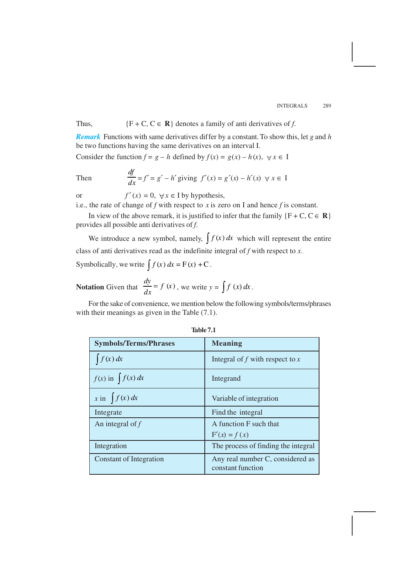## Thus,  $\{F + C, C \in \mathbb{R}\}\)$  denotes a family of anti-derivatives of *f*.

*Remark* Functions with same derivatives differ by a constant. To show this, let *g* and *h* be two functions having the same derivatives on an interval I.

Consider the function  $f = g - h$  defined by  $f(x) = g(x) - h(x), \forall x \in I$ 

Then

$$
\frac{df}{dx} = f' = g' - h' \text{ giving } f'(x) = g'(x) - h'(x) \quad \forall x \in I
$$

or  $f'(x) = 0$ ,  $\forall x \in I$  by hypothesis,

i.e., the rate of change of  $f$  with respect to  $x$  is zero on I and hence  $f$  is constant.

In view of the above remark, it is justified to infer that the family  ${F + C, C \in \mathbb{R}}$ provides all possible anti derivatives of *f*.

We introduce a new symbol, namely,  $\int f(x) dx$  which will represent the entire class of anti derivatives read as the indefinite integral of *f* with respect to *x*.

Symbolically, we write  $\int f(x) dx = F(x) + C$ .

**Notation** Given that 
$$
\frac{dy}{dx} = f(x)
$$
, we write  $y = \int f(x) dx$ .

For the sake of convenience, we mention below the following symbols/terms/phrases with their meanings as given in the Table  $(7.1)$ .

| <b>Symbols/Terms/Phrases</b>   | <b>Meaning</b>                                        |
|--------------------------------|-------------------------------------------------------|
| $\int f(x) dx$                 | Integral of f with respect to x                       |
| $f(x)$ in $\int f(x) dx$       | Integrand                                             |
| x in $\int f(x) dx$            | Variable of integration                               |
| Integrate                      | Find the integral                                     |
| An integral of $f$             | A function F such that                                |
|                                | $F'(x) = f(x)$                                        |
| Integration                    | The process of finding the integral                   |
| <b>Constant of Integration</b> | Any real number C, considered as<br>constant function |

**Table 7.1**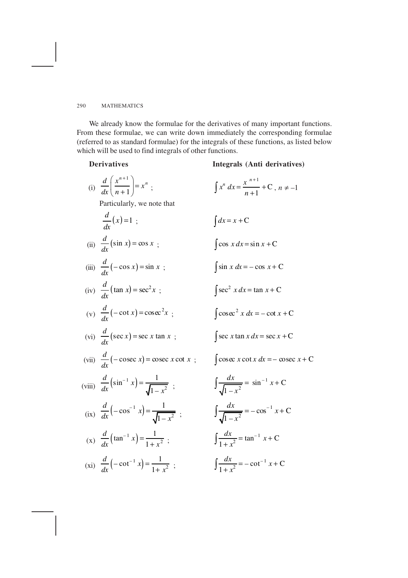We already know the formulae for the derivatives of many important functions. From these formulae, we can write down immediately the corresponding formulae (referred to as standard formulae) for the integrals of these functions, as listed below which will be used to find integrals of other functions.

### **Derivatives Integrals (Anti derivatives)**

(i) 1 1  $\frac{d}{dx} \left( \frac{x^{n+1}}{x} \right) = x^n$ dx \ n  $\left(\frac{x^{n+1}}{n}\right) =$  $\left(\frac{}{n+1}\right)^{x} = x^{\alpha}$ ; 1  $\mathbf C$ 1  $x^n dx = \frac{x^n}{x^n}$ *n* +  $=\frac{x}{1}+\frac{y}{1}+\frac{z}{1}+\frac{z}{1}+\frac{z}{1}+\frac{z}{1}+\frac{z}{1}+\frac{z}{1}+\frac{z}{1}+\frac{z}{1}+\frac{z}{1}+\frac{z}{1}+\frac{z}{1}+\frac{z}{1}+\frac{z}{1}+\frac{z}{1}+\frac{z}{1}+\frac{z}{1}+\frac{z}{1}+\frac{z}{1}+\frac{z}{1}+\frac{z}{1}+\frac{z}{1}+\frac{z}{1}+\frac{z}{1}+\frac{z}{1}+\frac{z}{1}+\frac{z}{1}+\frac{z}{1}+\frac{z}{1}+\frac{z}{1}+\frac{z$  $\int x^n dx = \frac{x}{n+1} + C$ ,  $n \neq -1$ Particularly, we note that  $\frac{d}{dx}(x) = 1$ *x dx*  $\int dx = x + C$ (ii)  $\frac{d}{dx} (\sin x) = \cos x$ *dx*  $\int \cos x \, dx = \sin x + C$ (iii)  $\frac{d}{dx}(-\cos x) = \sin x$ *dx*  $\int \sin x \, dx = -\cos x + C$ (iv)  $\frac{a}{1}$  (tan x) = sec<sup>2</sup> *d*  $(x) = \sec^2 x$ *dx*  $=$   $\sec^2 x$ ;  $\int \sec^2 x \, dx = \tan x + C$ (v)  $\frac{d}{dx}(-\cot x) = \csc^2 x$  $\frac{a}{dx}(-\cot x) = \csc^2 x$ ;  $\int \csc^2 x \, dx = -\cot x + C$ (vi)  $\frac{d}{dx}$  (sec x) = sec x tan x *dx*  $\int \sec x \tan x dx = \sec x + C$ (vii)  $\frac{d}{dx}(-\csc x) = \csc x \cot x$  $\frac{d}{dx}(-\csc x) = \csc x \cot x$ ;  $\int \csc x \cot x \, dx = -\csc x + C$ (viii)  $\frac{d}{dx} (\sin^{-1} x) = \frac{1}{\sqrt{1-x^2}}$  $\sin^{-1} x$ ) =  $\frac{1}{\sqrt{1}}$ 1  $\frac{d}{dx}$ (sin<sup>-1</sup> x  $dx^{\dagger}$   $\int 1-x^2 dx$  $=\frac{1}{\sqrt{1-x^2}}$ ;  $\int \frac{dx}{\sqrt{1-x^2}} = \sin^{-1}$  $\frac{1}{2}$  =  $\sin^{-1} x + C$ 1  $\frac{dx}{x} = \sin^{-1} x$ *– x*  $\int \frac{dx}{\sqrt{2}} = \sin^{-1} x +$ (ix)  $\frac{d}{dx}(-\cos^{-1} x) = \frac{1}{\sqrt{1-x^2}}$ 1  $-\cos$ 1 *d x*  $dx^{\prime}$  <sup>2005</sup> *m*<sub>1</sub>  $\sqrt{1-x^2}$  $=\frac{1}{\sqrt{1-x^2}}$ ; – 1  $\frac{1}{2} = -\cos^{-1} x + C$ 1 *dx*  $-\cos^{-1} x$  $\int \frac{dx}{\sqrt{1-x^2}} = -\cos^{-1} x +$ (x)  $\frac{d}{dx} \left( \tan^{-1} x \right) = \frac{1}{1 + x^2}$  $tan^{-1} x = \frac{1}{1}$ 1  $\frac{d}{dx}$  (tan<sup>-1</sup> x  $dx$   $1+x$ =  $\frac{1}{1+x^2}$ ;  $\int \frac{dx}{1+x^2} = \tan^{-1}$  $\frac{x}{2} = \tan^{-1} x + C$ 1  $\frac{dx}{2}$  = tan<sup>-1</sup> x *x*  $= \tan^{-1} x +$  $\int \frac{a}{1+}$ (xi)  $\frac{d}{dx}(-\cot^{-1} x) = \frac{1}{1+x^2}$  $-\cot^{-1} x = \frac{1}{1}$ 1  $\frac{d}{dx}$   $\left(-\cot^{-1} x\right)$  $dx$   $\qquad$   $\qquad$   $1+x$ =  $\frac{1}{1+x^2}$ ;  $\int \frac{dx}{1+x^2} = -\cot^{-1}$  $\frac{x}{2} = -\cot^{-1} x + C$ 1  $\frac{dx}{2} = -\cot^{-1} x$ *x*  $=-\cot^{-1} x +$  $\int \frac{a}{1+}$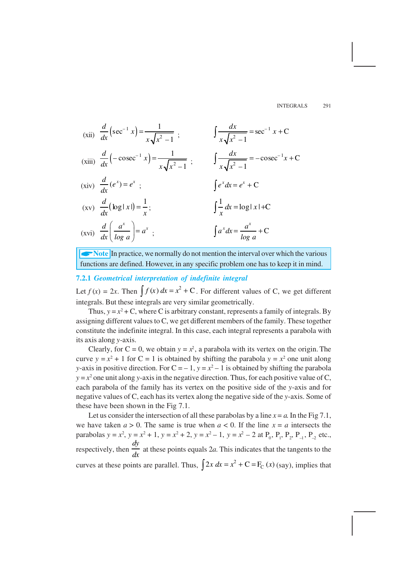$$
\begin{aligned}\n\text{(xii)} \quad & \frac{d}{dx} \left( \sec^{-1} x \right) = \frac{1}{x \sqrt{x^2 - 1}} \; ; & \int \frac{dx}{x \sqrt{x^2 - 1}} = \sec^{-1} x + C \\
\text{(xiii)} \quad & \frac{d}{dx} \left( -\csc^{-1} x \right) = \frac{1}{x \sqrt{x^2 - 1}} \; ; & \int \frac{dx}{x \sqrt{x^2 - 1}} = -\csc^{-1} x + C \\
\text{(xiv)} \quad & \frac{d}{dx} \left( e^x \right) = e^x \; ; & \int e^x dx = e^x + C \\
\text{(xv)} \quad & \frac{d}{dx} \left( \log |x| \right) = \frac{1}{x}; & \int \frac{1}{x} dx = \log |x| + C \\
\text{(xvi)} \quad & \frac{d}{dx} \left( \frac{a^x}{\log a} \right) = a^x \; ; & \int a^x dx = \frac{a^x}{\log a} + C\n\end{aligned}
$$

**ANOTE** In practice, we normally do not mention the interval over which the various functions are defined. However, in any specific problem one has to keep it in mind.

# **7.2.1** *Geometrical interpretation of indefinite integral*

Let  $f(x) = 2x$ . Then  $\int f(x) dx = x^2 + C$ . For different values of C, we get different integrals. But these integrals are very similar geometrically.

Thus,  $y = x^2 + C$ , where C is arbitrary constant, represents a family of integrals. By assigning different values to C, we get different members of the family. These together constitute the indefinite integral. In this case, each integral represents a parabola with its axis along *y*-axis.

Clearly, for  $C = 0$ , we obtain  $y = x^2$ , a parabola with its vertex on the origin. The curve  $y = x^2 + 1$  for  $C = 1$  is obtained by shifting the parabola  $y = x^2$  one unit along *y*-axis in positive direction. For  $C = -1$ ,  $y = x^2 - 1$  is obtained by shifting the parabola  $y = x^2$  one unit along *y*-axis in the negative direction. Thus, for each positive value of C, each parabola of the family has its vertex on the positive side of the *y*-axis and for negative values of C, each has its vertex along the negative side of the *y*-axis. Some of these have been shown in the Fig 7.1.

Let us consider the intersection of all these parabolas by a line  $x = a$ . In the Fig 7.1, we have taken  $a > 0$ . The same is true when  $a < 0$ . If the line  $x = a$  intersects the parabolas  $y = x^2$ ,  $y = x^2 + 1$ ,  $y = x^2 + 2$ ,  $y = x^2 - 1$ ,  $y = x^2 - 2$  at  $P_0$ ,  $P_1$ ,  $P_2$ ,  $P_{-1}$ ,  $P_{-2}$  etc., respectively, then *dy*  $\frac{d}{dx}$  at these points equals 2*a*. This indicates that the tangents to the curves at these points are parallel. Thus,  $\int 2x \, dx = x^2 + C = F_C(x)$  (say), implies that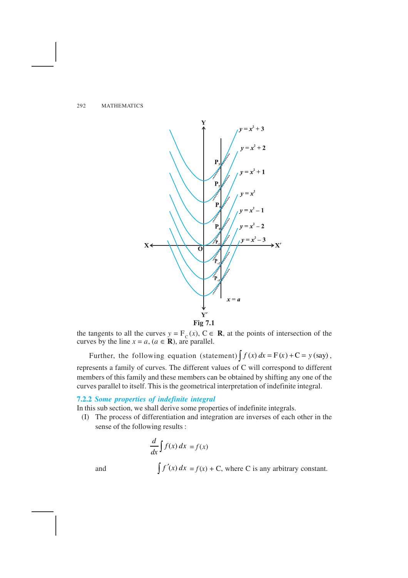

the tangents to all the curves  $y = F_c(x)$ ,  $C \in \mathbb{R}$ , at the points of intersection of the curves by the line  $x = a$ ,  $(a \in \mathbb{R})$ , are parallel.

Further, the following equation (statement)  $\int f(x) dx = F(x) + C = y$  (say),

represents a family of curves. The different values of C will correspond to different members of this family and these members can be obtained by shifting any one of the curves parallel to itself. This is the geometrical interpretation of indefinite integral.

#### **7.2.2** *Some properties of indefinite integral*

In this sub section, we shall derive some properties of indefinite integrals.

(I) The process of differentiation and integration are inverses of each other in the sense of the following results :

$$
\frac{d}{dx}\int f(x) dx = f(x)
$$

and  $\int f'(x) dx = f(x) + C$ , where C is any arbitrary constant.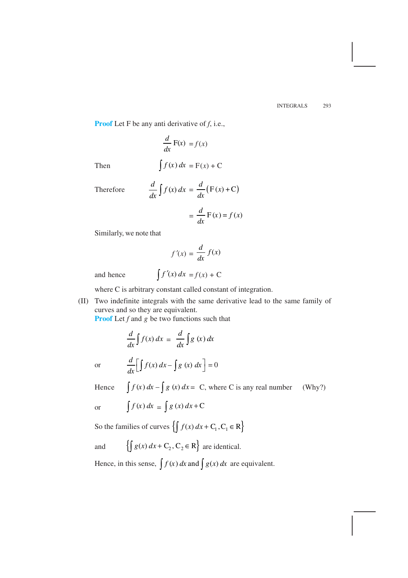**Proof** Let F be any anti derivative of *f*, i.e.,

$$
\frac{d}{dx}F(x) = f(x)
$$

Then **f f**  $\uparrow$  ∫

$$
\int f(x) dx = F(x) + C
$$

**Therefore** 

$$
\frac{d}{dx}\int f(x) dx = \frac{d}{dx}(F(x)+C)
$$

$$
= \frac{d}{dx}F(x) = f(x)
$$

Similarly, we note that

$$
f'(x) = \frac{d}{dx} f(x)
$$

and hence  $\int f'$ 

$$
\int f'(x) \, dx = f(x) + C
$$

where C is arbitrary constant called constant of integration.

(II) Two indefinite integrals with the same derivative lead to the same family of curves and so they are equivalent.

**Proof** Let *f* and *g* be two functions such that

$$
\frac{d}{dx}\int f(x) dx = \frac{d}{dx}\int g(x) dx
$$

or  $\frac{d}{dx} \int \int f(x) dx - \int g(x) dx$  $\frac{d}{dx}\left[\int f(x) dx - \int g(x) dx\right] = 0$ 

Hence  $\int f(x) dx - \int g(x) dx = C$ , where C is any real number (Why?)

or 
$$
\int f(x) dx = \int g(x) dx + C
$$

So the families of curves  $\left\{ \int f(x) dx + C_1, C_1 \in \mathbb{R} \right\}$ 

and  $\left\{ \int g(x) dx + C_2, C_2 \in \mathbb{R} \right\}$  are identical.

Hence, in this sense,  $\int f(x) dx$  and  $\int g(x) dx$  are equivalent.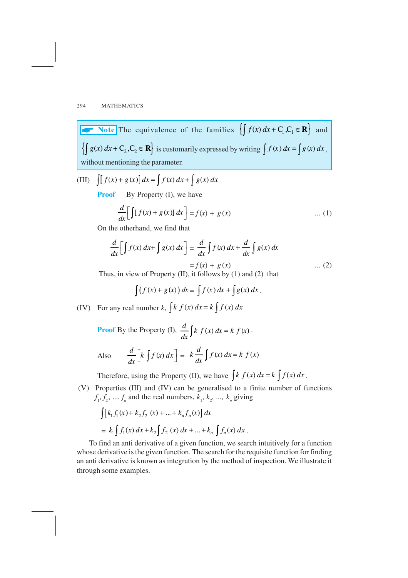A **Note** The equivalence of the families  $\left\{ \int f(x) dx + C_1 C_1 \in \mathbb{R} \right\}$  and  $\left\{ \int g(x) dx + C_2, C_2 \in \mathbf{R} \right\}$  is customarily expressed by writing  $\int f(x) dx = \int g(x) dx$ , without mentioning the parameter.

(III) 
$$
\int [f(x) + g(x)] dx = \int f(x) dx + \int g(x) dx
$$

**Proof** By Property (I), we have

$$
\frac{d}{dx}\left[\int [f(x) + g(x)] dx\right] = f(x) + g(x) \quad \dots (1)
$$

On the otherhand, we find that

$$
\frac{d}{dx}\left[\int f(x) dx + \int g(x) dx\right] = \frac{d}{dx}\int f(x) dx + \frac{d}{dx}\int g(x) dx
$$

$$
= f(x) + g(x) \qquad \dots (2)
$$

Thus, in view of Property (II), it follows by (1) and (2) that

$$
\int (f(x) + g(x)) dx = \int f(x) dx + \int g(x) dx.
$$

(IV) For any real number *k*,  $\int k f(x) dx = k \int f(x) dx$ 

**Proof** By the Property (I),  $\frac{d}{dx} \int k f(x) dx = k f(x)$  $\frac{d}{dx}\int k f(x) dx = k f(x)$ . Also  $\frac{d}{dx} \left[ k \int f(x) dx \right]$ 

 $\frac{d}{dx}\left[k\int f(x) dx\right] = k\frac{d}{dx}\int f(x) dx = k f(x)$ 

Therefore, using the Property (II), we have  $\int k f(x) dx = k \int f(x) dx$ .

(V) Properties (III) and (IV) can be generalised to a finite number of functions  $f_1, f_2, \dots, f_n$  and the real numbers,  $k_1, k_2, \dots, k_n$  giving

$$
\begin{aligned} &\left[ \left[ k_1 f_1(x) + k_2 f_2(x) + \ldots + k_n f_n(x) \right] dx \right] \\ &= k_1 \int f_1(x) \, dx + k_2 \int f_2(x) \, dx + \ldots + k_n \int f_n(x) \, dx \, . \end{aligned}
$$

To find an anti derivative of a given function, we search intuitively for a function whose derivative is the given function. The search for the requisite function for finding an anti derivative is known as integration by the method of inspection. We illustrate it through some examples.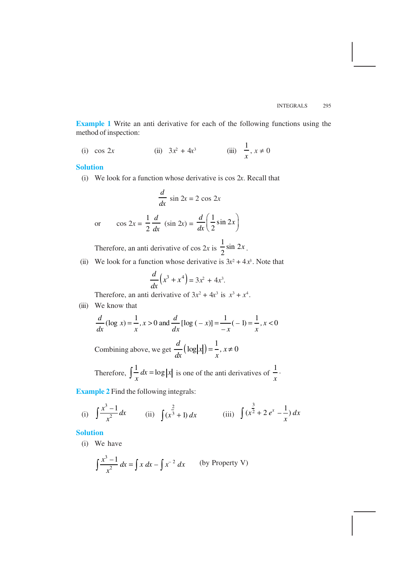**Example 1** Write an anti derivative for each of the following functions using the method of inspection:

 $(i)$  cos 2*x*  $x^2 + 4x^3$ (iii) 1  $\frac{1}{x}$ ,  $x \neq 0$ 

#### **Solution**

(i) We look for a function whose derivative is cos 2*x*. Recall that

$$
\frac{d}{dx} \sin 2x = 2 \cos 2x
$$
  
or  $\cos 2x = \frac{1}{2} \frac{d}{dx} (\sin 2x) = \frac{d}{dx} (\frac{1}{2} \sin 2x)$   
Therefore, an anti derivative of cos 2x is  $\frac{1}{2} \sin 2x$ 

Therefore, an anti derivative of cos 2*x* is  $\frac{1}{2}$  sin 2x.

(ii) We look for a function whose derivative is  $3x^2 + 4x^3$ . Note that

$$
\frac{d}{dx}\left(x^3 + x^4\right) = 3x^2 + 4x^3.
$$

Therefore, an anti derivative of  $3x^2 + 4x^3$  is  $x^3 + x^4$ .

(iii) We know that

$$
\frac{d}{dx}(\log x) = \frac{1}{x}, x > 0 \text{ and } \frac{d}{dx}[\log(-x)] = \frac{1}{-x}(-1) = \frac{1}{x}, x < 0
$$
  
Combining above, we get  $\frac{d}{dx}(\log|x|) = \frac{1}{x}, x \neq 0$   
Therefore,  $\int \frac{1}{x} dx = \log|x|$  is one of the anti derivatives of  $\frac{1}{x}$ .

**Example 2** Find the following integrals:

(i) 
$$
\int \frac{x^3 - 1}{x^2} dx
$$
 (ii)  $\int (x^{\frac{2}{3}} + 1) dx$  (iii)  $\int (x^{\frac{3}{2}} + 2e^x - \frac{1}{x}) dx$ 

**Solution**

(i) We have

$$
\int \frac{x^3 - 1}{x^2} dx = \int x dx - \int x^{-2} dx
$$
 (by Property V)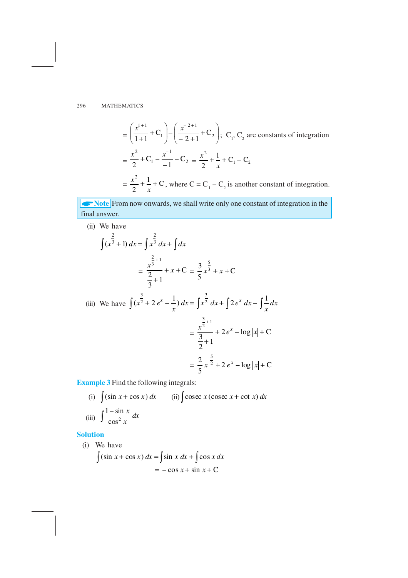$$
= \left(\frac{x^{1+1}}{1+1} + C_1\right) - \left(\frac{x^{-2+1}}{-2+1} + C_2\right); C_1, C_2 \text{ are constants of integration}
$$
  
=  $\frac{x^2}{2} + C_1 - \frac{x^{-1}}{-1} - C_2 = \frac{x^2}{2} + \frac{1}{x} + C_1 - C_2$   
=  $\frac{x^2}{2} + \frac{1}{x} + C$ , where  $C = C_1 - C_2$  is another constant of integration.

**ANOTE** From now onwards, we shall write only one constant of integration in the final answer.

(ii) We have

$$
\int (x^{\frac{2}{3}} + 1) dx = \int x^{\frac{2}{3}} dx + \int dx
$$
  
\n
$$
= \frac{x^{\frac{2}{3}+1}}{\frac{2}{3}+1} + x + C = \frac{3}{5}x^{\frac{5}{3}} + x + C
$$
  
\n(iii) We have 
$$
\int (x^{\frac{3}{2}} + 2e^x - \frac{1}{x}) dx = \int x^{\frac{3}{2}} dx + \int 2e^x dx - \int \frac{1}{x} dx
$$
  
\n
$$
= \frac{x^{\frac{3}{2}+1}}{\frac{3}{2}+1} + 2e^x - \log|x| + C
$$
  
\n
$$
= \frac{2}{5}x^{\frac{5}{2}} + 2e^x - \log|x| + C
$$

**Example 3** Find the following integrals:

(i)  $\int (\sin x + \cos x) dx$  (ii)  $\int \csc x (\csc x + \cot x) dx$  $(iii)$   $\int \frac{1}{\cos^2}$  $1 - \sin$ cos  $\frac{-\sin x}{2} dx$  $\int \frac{1-\sin x}{\cos^2 x}$ 

**Solution**

(i) We have  
\n
$$
\int (\sin x + \cos x) dx = \int \sin x dx + \int \cos x dx
$$
\n
$$
= -\cos x + \sin x + C
$$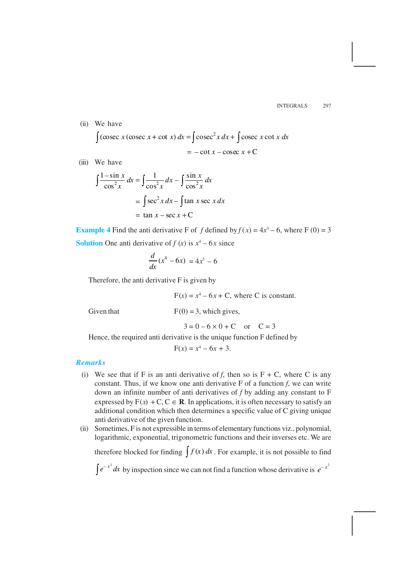(ii) We have

$$
\int (\csc x (\csc x + \cot x) dx = \int \csc^2 x dx + \int \csc x \cot x dx
$$

$$
= -\cot x - \csc x + C
$$

(iii) We have

$$
\int \frac{1-\sin x}{\cos^2 x} dx = \int \frac{1}{\cos^2 x} dx - \int \frac{\sin x}{\cos^2 x} dx
$$

$$
= \int \sec^2 x dx - \int \tan x \sec x dx
$$

$$
= \tan x - \sec x + C
$$

**Example 4** Find the anti derivative F of *f* defined by  $f(x) = 4x^3 - 6$ , where F (0) = 3 **Solution** One anti derivative of  $f(x)$  is  $x^4 - 6x$  since

$$
\frac{d}{dx}(x^4 - 6x) = 4x^3 - 6
$$

Therefore, the anti derivative F is given by

 $F(x) = x^4 - 6x + C$ , where C is constant.

Given that 
$$
F(0) = 3
$$
, which gives,

$$
3 = 0 - 6 \times 0 + C
$$
 or  $C = 3$ 

Hence, the required anti derivative is the unique function F defined by

$$
F(x) = x^4 - 6x + 3.
$$

#### *Remarks*

- (i) We see that if F is an anti derivative of f, then so is  $F + C$ , where C is any constant. Thus, if we know one anti derivative F of a function *f*, we can write down an infinite number of anti derivatives of *f* by adding any constant to F expressed by  $F(x) + C$ ,  $C \in \mathbb{R}$ . In applications, it is often necessary to satisfy an additional condition which then determines a specific value of C giving unique anti derivative of the given function.
- (ii) Sometimes, F is not expressible in terms of elementary functions viz., polynomial, logarithmic, exponential, trigonometric functions and their inverses etc. We are

therefore blocked for finding  $\int f(x) dx$ . For example, it is not possible to find

 $\int e^{-x^2} dx$  by inspection since we can not find a function whose derivative is  $e^{-x^2}$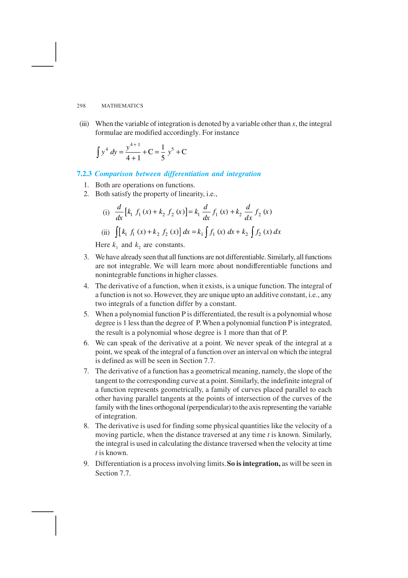(iii) When the variable of integration is denoted by a variable other than  $x$ , the integral formulae are modified accordingly. For instance

$$
\int y^4 dy = \frac{y^{4+1}}{4+1} + C = \frac{1}{5} y^5 + C
$$

#### **7.2.3** *Comparison between differentiation and integration*

- 1. Both are operations on functions.
- 2. Both satisfy the property of linearity, i.e.,

(i) 
$$
\frac{d}{dx} [k_1 f_1(x) + k_2 f_2(x)] = k_1 \frac{d}{dx} f_1(x) + k_2 \frac{d}{dx} f_2(x)
$$
  
\n(ii) 
$$
\int [k_1 f_1(x) + k_2 f_2(x)] dx = k_1 \int f_1(x) dx + k_2 \int f_2(x) dx
$$

Here  $k_1$  and  $k_2$  are constants.

- 3. We have already seen that all functions are not differentiable. Similarly, all functions are not integrable. We will learn more about nondifferentiable functions and nonintegrable functions in higher classes.
- 4. The derivative of a function, when it exists, is a unique function. The integral of a function is not so. However, they are unique upto an additive constant, i.e., any two integrals of a function differ by a constant.
- 5. When a polynomial function P is differentiated, the result is a polynomial whose degree is 1 less than the degree of P. When a polynomial function P is integrated, the result is a polynomial whose degree is 1 more than that of P.
- 6. We can speak of the derivative at a point. We never speak of the integral at a point, we speak of the integral of a function over an interval on which the integral is defined as will be seen in Section 7.7.
- 7. The derivative of a function has a geometrical meaning, namely, the slope of the tangent to the corresponding curve at a point. Similarly, the indefinite integral of a function represents geometrically, a family of curves placed parallel to each other having parallel tangents at the points of intersection of the curves of the family with the lines orthogonal (perpendicular) to the axis representing the variable of integration.
- 8. The derivative is used for finding some physical quantities like the velocity of a moving particle, when the distance traversed at any time *t* is known. Similarly, the integral is used in calculating the distance traversed when the velocity at time *t* is known.
- 9. Differentiation is a process involving limits. **So is integration,** as will be seen in Section 7.7.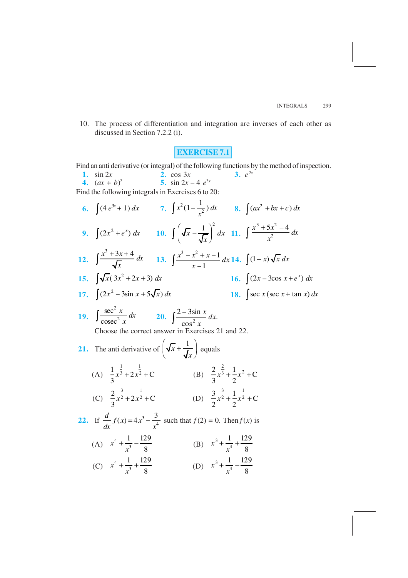10. The process of differentiation and integration are inverses of each other as discussed in Section 7.2.2 (i).

# **EXERCISE 7.1**

Find an anti derivative (or integral) of the following functions by the method of inspection.

1. 
$$
\sin 2x
$$
  
\n4.  $(ax + b)^2$   
\n5.  $\sin 2x - 4 e^{3x}$   
\n6.  $\int (4e^{3x} + 1) dx$   
\n7.  $\int x^2(1 - \frac{1}{x^2}) dx$   
\n8.  $\int (ax^2 + bx + c) dx$   
\n9.  $\int (2x^2 + e^x) dx$   
\n10.  $\int (\sqrt{x} - \frac{1}{\sqrt{x}})^2 dx$   
\n11.  $\int \frac{x^3 + 5x^2 - 4}{x^2} dx$   
\n12.  $\int \frac{x^3 + 3x + 4}{\sqrt{x}} dx$   
\n13.  $\int \frac{x^3 - x^2 + x - 1}{x - 1} dx$   
\n14.  $\int (1 - x) \sqrt{x} dx$   
\n15.  $\int \sqrt{x}(3x^2 + 2x + 3) dx$   
\n16.  $\int (2x - 3\cos x + e^x) dx$   
\n17.  $\int (2x^2 - 3\sin x + 5\sqrt{x}) dx$   
\n18.  $\int \sec x (\sec x + \tan x) dx$   
\n19.  $\int \frac{\sec^2 x}{\csc^2 x} dx$   
\n20.  $\int \frac{2 - 3\sin x}{\cos^2 x} dx$   
\nChoose the correct answer in Exercises 21 and 22.  
\n21. The anti derivative of  $(\sqrt{x} + \frac{1}{\sqrt{x}})$  equals  
\n(A)  $\frac{1}{3}x^{\frac{1}{3}} + 2x^{\frac{1}{2}} + C$   
\n(B)  $\frac{2}{3}x^{\frac{2}{3}} + \frac{1}{2}x^2 + C$   
\n(C)  $\frac{2}{3}x^{\frac{3}{2}} + 2x^{\frac{1}{2}} + C$   
\n(D)  $\frac{3}{2}x^{\frac{3}{2}} + \frac{1}{2}x^{\frac{1}{2}} + C$   
\n22. If  $\frac{d}{dx}f(x) = 4x^3 - \frac{3}{x^4}$  such that  $f(2) = 0$ . Then  $f(x)$  is  
\n(A)  $x^4 + \frac{1}{x^3}$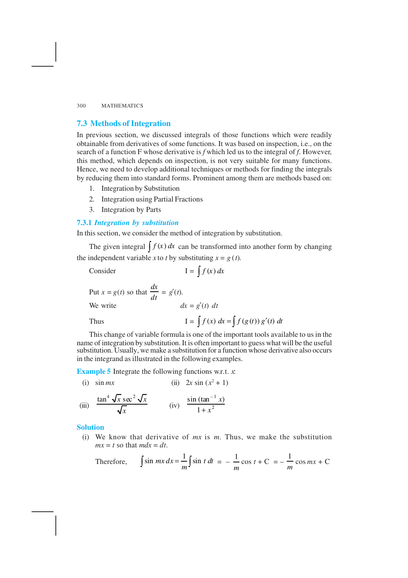## **7.3 Methods of Integration**

In previous section, we discussed integrals of those functions which were readily obtainable from derivatives of some functions. It was based on inspection, i.e., on the search of a function F whose derivative is *f* which led us to the integral of *f*. However, this method, which depends on inspection, is not very suitable for many functions. Hence, we need to develop additional techniques or methods for finding the integrals by reducing them into standard forms. Prominent among them are methods based on:

- 1. Integration by Substitution
- 2. Integration using Partial Fractions
- 3. Integration by Parts

#### **7.3.1** *Integration by substitution*

In this section, we consider the method of integration by substitution.

The given integral  $\int f(x) dx$  can be transformed into another form by changing the independent variable *x* to *t* by substituting  $x = g(t)$ .

Consider 
$$
I = \int f(x) dx
$$
  
Put  $x = g(t)$  so that  $\frac{dx}{dt} = g'(t)$ .  
We write  $dx = g'(t) dt$   
Thus 
$$
I = \int f(x) dx = \int f(g(t)) g'(t) dt
$$

This change of variable formula is one of the important tools available to us in the name of integration by substitution. It is often important to guess what will be the useful substitution. Usually, we make a substitution for a function whose derivative also occurs in the integrand as illustrated in the following examples.

**Example 5** Integrate the following functions w.r.t. *x*:

(i) 
$$
\sin mx
$$
 (ii)  $2x \sin (x^2 + 1)$ 

(iii) 
$$
\frac{\tan^4 \sqrt{x} \sec^2 \sqrt{x}}{\sqrt{x}}
$$
 (iv)  $\frac{\sin (\tan^{-1} x)}{1 + x^2}$ 

#### **Solution**

(i) We know that derivative of *mx* is *m*. Thus, we make the substitution  $mx = t$  so that  $mdx = dt$ .

Therefore, 
$$
\int \sin mx \, dx = \frac{1}{m} \int \sin t \, dt = -\frac{1}{m} \cos t + C = -\frac{1}{m} \cos mx + C
$$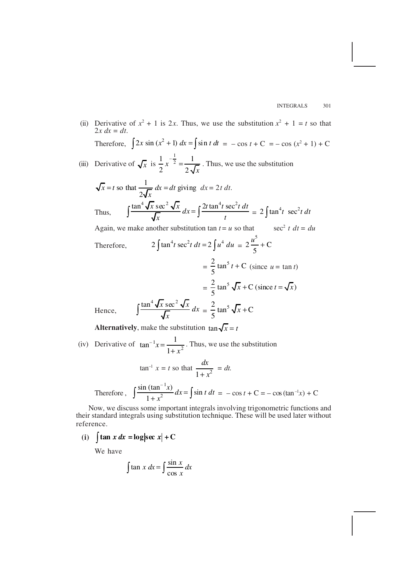(ii) Derivative of 
$$
x^2 + 1
$$
 is 2x. Thus, we use the substitution  $x^2 + 1 = t$  so that  
\n $2x dx = dt$ .  
\nTherefore,  $\int 2x \sin (x^2 + 1) dx = \int \sin t dt = -\cos t + C = -\cos (x^2 + 1) + C$   
\n(iii) Derivative of  $\sqrt{x}$  is  $\frac{1}{2}x^{-\frac{1}{2}} = \frac{1}{2\sqrt{x}}$ . Thus, we use the substitution  
\n $\sqrt{x} = t$  so that  $\frac{1}{2\sqrt{x}} dx = dt$  giving  $dx = 2t dt$ .  
\nThus,  $\int \frac{\tan^4 \sqrt{x} \sec^2 \sqrt{x}}{\sqrt{x}} dx = \int \frac{2t \tan^4 t \sec^2 t dt}{t} = 2 \int \tan^4 t \sec^2 t dt$   
\nAgain, we make another substitution  $\tan t = u$  so that  $\sec^2 t dt = du$   
\nTherefore,  $2 \int \tan^4 t \sec^2 t dt = 2 \int u^4 du = 2 \frac{u^5}{5} + C$   
\n $= \frac{2}{5} \tan^5 t + C$  (since  $u = \tan t$ )  
\n $= \frac{2}{5} \tan^5 \sqrt{x} + C$  (since  $t = \sqrt{x}$ )  
\nHence,  $\int \frac{\tan^4 \sqrt{x} \sec^2 \sqrt{x}}{\sqrt{x}} dx = \frac{2}{5} \tan^5 \sqrt{x} + C$   
\nAlternatively, make the substitution  $\tan \sqrt{x} = t$   
\n(iv) Derivative of  $\tan^{-1} x = \frac{1}{1 + x^2}$ . Thus, we use the substitution

$$
\tan^{-1} x = t \text{ so that } \frac{dx}{1 + x^2} = dt.
$$

Therefore, 
$$
\int \frac{\sin (\tan^{-1} x)}{1 + x^2} dx = \int \sin t \ dt = -\cos t + C = -\cos(\tan^{-1} x) + C
$$

Now, we discuss some important integrals involving trigonometric functions and their standard integrals using substitution technique. These will be used later without reference.

(i) 
$$
\int \tan x \, dx = \log |\sec x| + C
$$

 $\sim 10^6$ 

We have

$$
\int \tan x \, dx = \int \frac{\sin x}{\cos x} \, dx
$$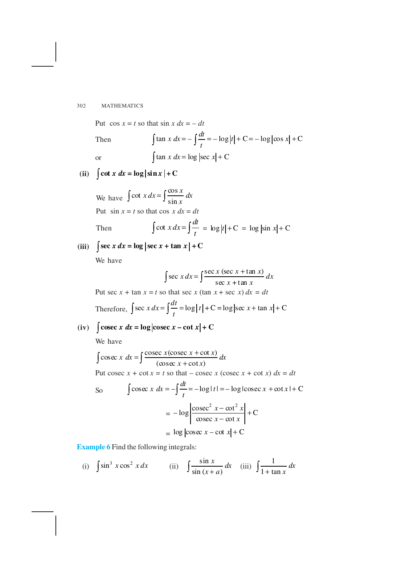Put  $\cos x = t$  so that  $\sin x dx = -dt$ Then  $\int \tan x \, dx = -\int \frac{dt}{t} = -\log|t| + C = -\log|\cos x| + C$ or  $\int \tan x \, dx = \log |\sec x| + C$  $(iii)$   $\int \cot x \, dx = \log |\sin x| + C$ We have  $\cot x dx = \int \frac{\cos x}{x^2} dx$ sin  $x dx = \int \frac{\cos x}{x} dx$  $\int \cot x \, dx = \int \frac{\cos x}{\sin x}$ Put  $\sin x = t$  so that  $\cos x dx = dt$ Then cot *dt x dx*  $\int \cot x \, dx = \int \frac{du}{t} = \log |t| + C = \log |\sin x| + C$ 

(iii)  $\int \sec x \, dx = \log |\sec x + \tan x| + C$ 

We have

$$
\int \sec x \, dx = \int \frac{\sec x (\sec x + \tan x)}{\sec x + \tan x} \, dx
$$
\nPut  $\sec x + \tan x = t$  so that  $\sec x (\tan x + \sec x) \, dx = dt$ 

\nTherefore,  $\int \sec x \, dx = \int \frac{dt}{t} = \log |t| + C = \log |\sec x + \tan x| + C$ 

 $(iv)$   $\int \csc x \, dx = \log |\csc x - \cot x| + C$ 

We have

$$
\int \csc x \, dx = \int \frac{\csc x (\csc x + \cot x)}{(\csc x + \cot x)} \, dx
$$
\nPut  $\csc x + \cot x = t$  so that  $-\csc x (\csc x + \cot x) \, dx = dt$ 

So 
$$
\int \csc x \, dx = -\int \frac{dt}{t} = -\log|t| = -\log|\csc x + \cot x| + C
$$

$$
= -\log \left| \frac{\csc^2 x - \cot^2 x}{\csc x - \cot x} \right| + C
$$

$$
= \log |\csc x - \cot x| + C
$$

**Example 6** Find the following integrals:

(i) 
$$
\int \sin^3 x \cos^2 x dx
$$
 (ii)  $\int \frac{\sin x}{\sin (x+a)} dx$  (iii)  $\int \frac{1}{1 + \tan x} dx$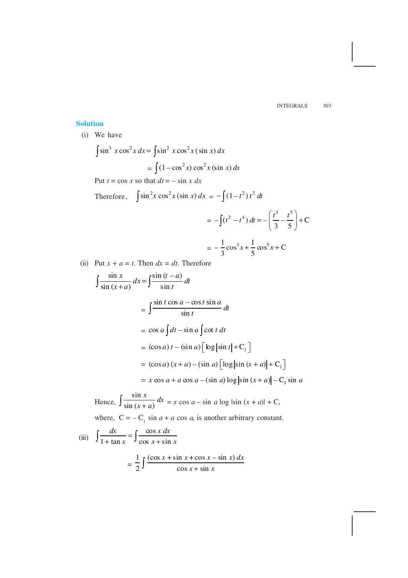## **Solution**

(i) We have

$$
\int \sin^3 x \cos^2 x \, dx = \int \sin^2 x \cos^2 x (\sin x) \, dx
$$
  
=  $\int (1 - \cos^2 x) \cos^2 x (\sin x) \, dx$   
Put  $t = \cos x$  so that  $dt = -\sin x \, dx$   
Therefore,  $\int \sin^2 x \cos^2 x (\sin x) \, dx = -\int (1 - t^2) t^2 \, dt$   
=  $-\int (t^2 - t^4) \, dt = -\left(\frac{t^3}{3} - \frac{t^5}{5}\right) + C$   
=  $-\frac{1}{3} \cos^3 x + \frac{1}{5} \cos^5 x + C$ 

(ii) Put 
$$
x + a = t
$$
. Then  $dx = dt$ . Therefore

$$
\int \frac{\sin x}{\sin (x+a)} dx = \int \frac{\sin (t-a)}{\sin t} dt
$$
  
= 
$$
\int \frac{\sin t \cos a - \cos t \sin a}{\sin t} dt
$$
  
= 
$$
\cos a \int dt - \sin a \int \cot t dt
$$
  
= 
$$
(\cos a) t - (\sin a) [\log |\sin t| + C_1]
$$
  
= 
$$
(\cos a) (x+a) - (\sin a) [\log |\sin (x+a)| + C_1]
$$
  
= 
$$
x \cos a + a \cos a - (\sin a) \log |\sin (x+a)| - C_1 \sin a
$$

Hence, sin  $\sin (x + a)$  $\frac{x}{x}$  *dx*  $\int \frac{\sin x}{\sin (x+a)} dx = x \cos a - \sin a \log |\sin (x+a)| + C$ , where,  $C = -C_1 \sin a + a \cos a$ , is another arbitrary constant.

(iii) 
$$
\int \frac{dx}{1 + \tan x} = \int \frac{\cos x \, dx}{\cos x + \sin x}
$$

$$
= \frac{1}{2} \int \frac{(\cos x + \sin x + \cos x - \sin x) \, dx}{\cos x + \sin x}
$$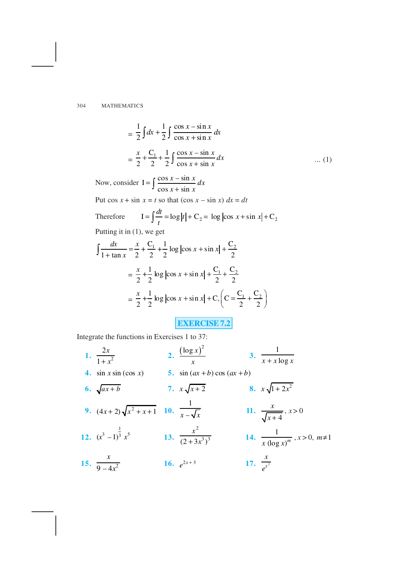$$
= \frac{1}{2} \int dx + \frac{1}{2} \int \frac{\cos x - \sin x}{\cos x + \sin x} dx
$$
  

$$
= \frac{x}{2} + \frac{C_1}{2} + \frac{1}{2} \int \frac{\cos x - \sin x}{\cos x + \sin x} dx
$$
...(1)

Now, consider  $I = \int \frac{\cos x - \sin x}{i}$  $\cos x + \sin x$  $\frac{x-\sin x}{y}$  *dx*  $x + \sin x$ =  $\int \frac{\cos x -}{\cos x +}$ 

Put  $\cos x + \sin x = t$  so that  $(\cos x - \sin x) dx = dt$ 

Therefore 
$$
I = \int \frac{dt}{t} = \log |t| + C_2 = \log |\cos x + \sin x| + C_2
$$

Putting it in (1), we get

$$
\int \frac{dx}{1 + \tan x} = \frac{x}{2} + \frac{C_1}{2} + \frac{1}{2} \log |\cos x + \sin x| + \frac{C_2}{2}
$$
  
=  $\frac{x}{2} + \frac{1}{2} \log |\cos x + \sin x| + \frac{C_1}{2} + \frac{C_2}{2}$   
=  $\frac{x}{2} + \frac{1}{2} \log |\cos x + \sin x| + C, \left(C = \frac{C_1}{2} + \frac{C_2}{2}\right)$ 

# **EXERCISE 7.2**

 $\mathbb{R}^2$ 

Integrate the functions in Exercises 1 to 37:

1. 
$$
\frac{2x}{1+x^2}
$$
  
\n2.  $\frac{(\log x)^2}{x}$   
\n3.  $\frac{1}{x+x\log x}$   
\n4.  $\sin x \sin (\cos x)$   
\n5.  $\sin (ax+b) \cos (ax+b)$   
\n6.  $\sqrt{ax+b}$   
\n7.  $x\sqrt{x+2}$   
\n8.  $x\sqrt{1+2x^2}$   
\n9.  $(4x+2)\sqrt{x^2+x+1}$   
\n10.  $\frac{1}{x-\sqrt{x}}$   
\n11.  $\frac{x}{\sqrt{x+4}}$ ,  $x>0$   
\n12.  $(x^3-1)^{\frac{1}{3}}x^5$   
\n13.  $\frac{x^2}{(2+3x^3)^3}$   
\n14.  $\frac{1}{x(\log x)^m}$ ,  $x>0$ ,  $m \ne 1$   
\n15.  $\frac{x}{9-4x^2}$   
\n16.  $e^{2x+3}$   
\n17.  $\frac{x}{e^{x^2}}$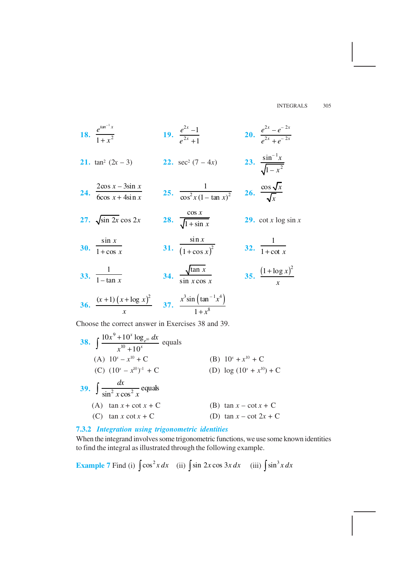18. 
$$
\frac{e^{tan^{-1}x}}{1+x^2}
$$
  
\n19.  $\frac{e^{2x}-1}{e^{2x}+1}$   
\n20.  $\frac{e^{2x}-e^{-2x}}{e^{2x}+e^{-2x}}$   
\n21.  $\tan^2(2x-3)$   
\n22.  $\sec^2(7-4x)$   
\n23.  $\frac{\sin^{-1}x}{\sqrt{1-x^2}}$   
\n24.  $\frac{2\cos x - 3\sin x}{6\cos x + 4\sin x}$   
\n25.  $\frac{1}{\cos^2 x (1 - \tan x)^2}$   
\n26.  $\frac{\cos \sqrt{x}}{\sqrt{x}}$   
\n27.  $\sqrt{\sin 2x} \cos 2x$   
\n28.  $\frac{\cos x}{\sqrt{1+\sin x}}$   
\n29.  $\cot x \log \sin x$   
\n30.  $\frac{\sin x}{1+\cos x}$   
\n31.  $\frac{\sin x}{(1+\cos x)^2}$   
\n32.  $\frac{1}{1+\cot x}$   
\n33.  $\frac{1}{1-\tan x}$   
\n34.  $\frac{\sqrt{\tan x}}{\sin x \cos x}$   
\n35.  $\frac{(1+\log x)^2}{x}$   
\n36.  $\frac{(x+1)(x+\log x)^2}{x}$   
\n37.  $\frac{x^3 \sin(\tan^{-1}x^4)}{1+x^8}$ 

Choose the correct answer in Exercises 38 and 39.

38. 
$$
\int \frac{10x^9 + 10^x \log_{e^{10}} dx}{x^{10} + 10^x}
$$
 equals  
\n(A)  $10^x - x^{10} + C$   
\n(C)  $(10^x - x^{10})^{-1} + C$   
\n(B)  $10^x + x^{10} + C$   
\n(D)  $\log (10^x + x^{10}) + C$   
\n39.  $\int \frac{dx}{\sin^2 x \cos^2 x}$  equals  
\n(A)  $\tan x + \cot x + C$   
\n(B)  $\tan x - \cot x + C$   
\n(C)  $\tan x \cot x + C$   
\n(D)  $\tan x - \cot 2x + C$ 

# **7.3.2** *Integration using trigonometric identities*

When the integrand involves some trigonometric functions, we use some known identities to find the integral as illustrated through the following example.

**Example 7** Find (i) 
$$
\int \cos^2 x \, dx
$$
 (ii)  $\int \sin 2x \cos 3x \, dx$  (iii)  $\int \sin^3 x \, dx$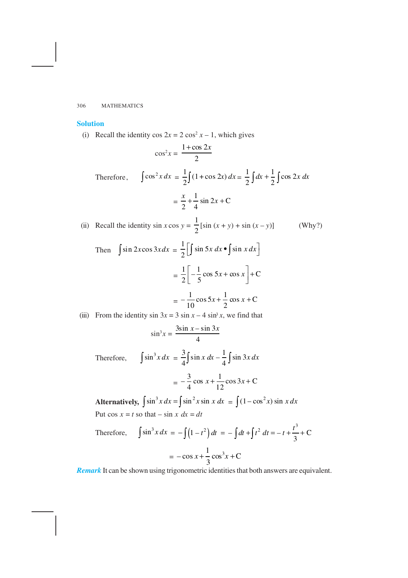# **Solution**

(i) Recall the identity cos 2x = 2 cos<sup>2</sup> x – 1, which gives  
\n
$$
cos2x = \frac{1+cos 2x}{2}
$$
\nTherefore, 
$$
\int cos2x dx = \frac{1}{2}\int (1+cos 2x) dx = \frac{1}{2}\int dx + \frac{1}{2}\int cos 2x dx
$$
\n
$$
= \frac{x}{2} + \frac{1}{4}sin 2x + C
$$
\n(ii) Recall the identity sin x cos y =  $\frac{1}{2}[sin(x + y) + sin(x - y)]$  (Why?)  
\nThen 
$$
\int sin 2x cos 3x dx = \frac{1}{2}[\int sin 5x dx \cdot \int sin x dx]
$$
\n
$$
= \frac{1}{2}[-\frac{1}{5}cos 5x + cos x] + C
$$
\n
$$
= -\frac{1}{10}cos 5x + \frac{1}{2}cos x + C
$$
\n(iii) From the identity sin 3x = 3 sin x – 4 sin<sup>3</sup>x, we find that  
\n
$$
sin3x = \frac{3sin x - sin 3x}{4}
$$
\nTherefore, 
$$
\int sin3x dx = \frac{3}{4}\int sin x dx - \frac{1}{4}\int sin 3x dx
$$
\n
$$
= -\frac{3}{4}cos x + \frac{1}{12}cos 3x + C
$$
\nAlternatively, 
$$
\int sin3x dx = \int sin2x sin x dx = \int (1 - cos2x) sin x dx
$$
  
\nPut cos x = t so that - sin x dx = dt  
\nTherefore, 
$$
\int sin3x dx = -\int (1 - t2) dt = -\int dt + \int t2 dt = -t + \frac{t3}{3} + C
$$
\n
$$
= -cos x + \frac{1}{3}cos3x + C
$$

*Remark* It can be shown using trigonometric identities that both answers are equivalent.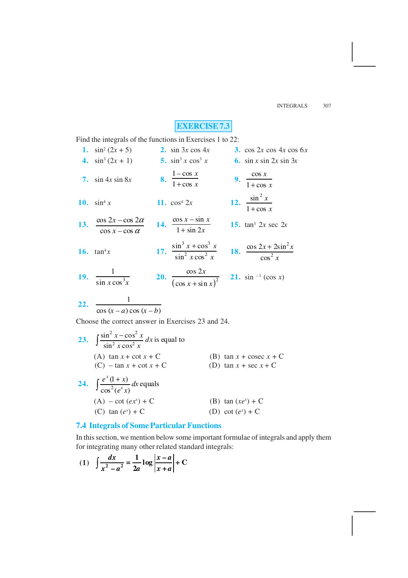# **EXERCISE 7.3**

Find the integrals of the functions in Exercises 1 to 22:

| 1. $\sin^2(2x + 5)$                                       | 2. $\sin 3x \cos 4x$                                | 3. $\cos 2x \cos 4x \cos 6x$               |
|-----------------------------------------------------------|-----------------------------------------------------|--------------------------------------------|
| 4. $\sin^3(2x + 1)$                                       | 5. $\sin^3 x \cos^3 x$                              | 6. $\sin x \sin 2x \sin 3x$                |
| 7. $\sin 4x \sin 8x$                                      | 8. $\frac{1 - \cos x}{1 + \cos x}$                  | 9. $\frac{\cos x}{1 + \cos x}$             |
| 10. $\sin^4 x$                                            | 11. $\cos^4 2x$                                     | 12. $\frac{\sin^2 x}{1 + \cos x}$          |
| 13. $\frac{\cos 2x - \cos 2\alpha}{\cos x - \cos \alpha}$ | 14. $\frac{\cos x - \sin x}{1 + \sin 2x}$           | 15. $\tan^3 2x \sec 2x$                    |
| 16. $\tan^4 x$                                            | 17. $\frac{\sin^3 x + \cos^3 x}{\sin^2 x \cos^2 x}$ | 18. $\frac{\cos 2x + 2\sin^2 x}{\cos^2 x}$ |
| 19. $\frac{1}{\sin x \cos^3 x}$                           | 20. $\frac{\cos 2x}{(\cos x + \sin x)^2}$           | 21. $\sin^{-1}(\cos x)$                    |

$$
\frac{1}{\cos(x-a)\cos(x-b)}
$$

Choose the correct answer in Exercises 23 and 24.

23. 
$$
\int \frac{\sin^2 x - \cos^2 x}{\sin^2 x \cos^2 x} dx
$$
 is equal to  
\n(A)  $\tan x + \cot x + C$   
\n(C)  $-\tan x + \cot x + C$   
\n(B)  $\tan x + \csc x + C$   
\n(D)  $\tan x + \sec x + C$   
\n24. 
$$
\int \frac{e^x (1+x)}{\cos^2(e^x x)} dx
$$
 equals  
\n(A)  $-\cot (ex^x) + C$   
\n(B)  $\tan (xe^x) + C$   
\n(B)  $\tan (xe^x) + C$   
\n(C)  $\tan (e^x) + C$   
\n(D)  $\cot (e^x) + C$ 

# **7.4 Integrals of Some Particular Functions**

In this section, we mention below some important formulae of integrals and apply them for integrating many other related standard integrals:

(1) 
$$
\int \frac{dx}{x^2 - a^2} = \frac{1}{2a} \log \left| \frac{x - a}{x + a} \right| + C
$$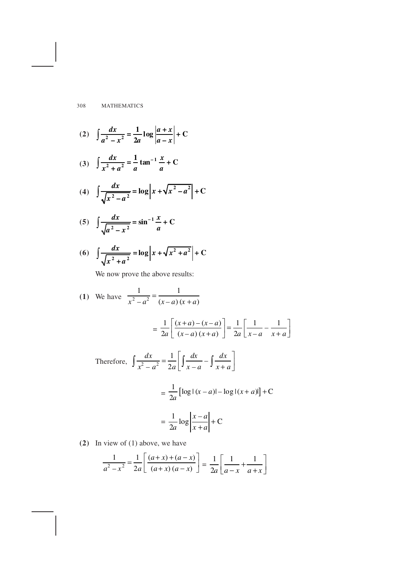l,

l.

 $\bar{\bar{z}}$ 

(2) 
$$
\int \frac{dx}{a^2 - x^2} = \frac{1}{2a} \log \left| \frac{a + x}{a - x} \right| + C
$$

(3) 
$$
\int \frac{dx}{x^2 + a^2} = \frac{1}{a} \tan^{-1} \frac{x}{a} + C
$$

(4) 
$$
\int \frac{dx}{\sqrt{x^2 - a^2}} = \log |x + \sqrt{x^2 - a^2}| + C
$$

(5) 
$$
\int \frac{dx}{\sqrt{a^2 - x^2}} = \sin^{-1} \frac{x}{a} + C
$$

(6) 
$$
\int \frac{dx}{\sqrt{x^2 + a^2}} = \log |x + \sqrt{x^2 + a^2}| + C
$$

We now prove the above results:

(1) We have 
$$
\frac{1}{x^2 - a^2} = \frac{1}{(x - a)(x + a)}
$$

$$
= \frac{1}{2a} \left[ \frac{(x + a) - (x - a)}{(x - a)(x + a)} \right] = \frac{1}{2a} \left[ \frac{1}{x - a} - \frac{1}{x + a} \right]
$$
  
Therefore, 
$$
\int \frac{dx}{x^2 - a^2} = \frac{1}{2a} \left[ \int \frac{dx}{x - a} - \int \frac{dx}{x + a} \right]
$$

$$
= \frac{1}{2a} \left[ \log |(x - a)| - \log |(x + a)| \right] + C
$$

$$
= \frac{1}{2a} \log \left| \frac{x - a}{x + a} \right| + C
$$

**(2)** In view of (1) above, we have

$$
\frac{1}{a^2 - x^2} = \frac{1}{2a} \left[ \frac{(a+x) + (a-x)}{(a+x)(a-x)} \right] = \frac{1}{2a} \left[ \frac{1}{a-x} + \frac{1}{a+x} \right]
$$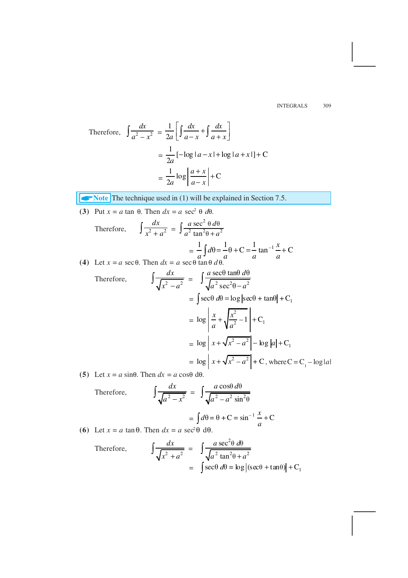Therefore, 
$$
\int \frac{dx}{a^2 - x^2} = \frac{1}{2a} \left[ \int \frac{dx}{a - x} + \int \frac{dx}{a + x} \right]
$$

$$
= \frac{1}{2a} \left[ -\log|a - x| + \log|a + x| \right] + C
$$

$$
= \frac{1}{2a} \log \left| \frac{a + x}{a - x} \right| + C
$$

**The intervel** The technique used in (1) will be explained in Section 7.5.

**(3)** Put *x* = *a* tan θ. Then *dx* = *a* sec<sup>2</sup> θ *d*θ.

Therefore, 
$$
\int \frac{dx}{x^2 + a^2} = \int \frac{a \sec^2 \theta d\theta}{a^2 \tan^2 \theta + a^2}
$$

$$
= \frac{1}{a} \int d\theta = \frac{1}{a} \theta + C = \frac{1}{a} \tan^{-1} \frac{x}{a} + C
$$

**(4)** Let  $x = a \sec \theta$ . Then  $dx = a \sec \theta \tan \theta d\theta$ .

Therefore,  
\n
$$
\int \frac{dx}{\sqrt{x^2 - a^2}} = \int \frac{a \sec \theta \tan \theta \, d\theta}{\sqrt{a^2 \sec^2 \theta - a^2}}
$$
\n
$$
= \int \sec \theta \, d\theta = \log |\sec \theta + \tan \theta| + C_1
$$
\n
$$
= \log \left| \frac{x}{a} + \sqrt{\frac{x^2}{a^2} - 1} \right| + C_1
$$
\n
$$
= \log \left| x + \sqrt{x^2 - a^2} \right| - \log |a| + C_1
$$
\n
$$
= \log \left| x + \sqrt{x^2 - a^2} \right| + C, \text{ where } C = C_1 - \log |a|
$$
\n(5) Let  $x = a \sin \theta$ . Then  $dx = a \cos \theta \, d\theta$ .

Therefore,  
\n
$$
\int \frac{dx}{\sqrt{a^2 - x^2}} = \int \frac{a \cos \theta \, d\theta}{\sqrt{a^2 - a^2 \sin^2 \theta}}
$$
\n
$$
= \int d\theta = \theta + C = \sin^{-1} \frac{x}{a} + C
$$
\nLet  $x = a \tan \theta$ . Then  $dx = a \sec^2 \theta$   $d\theta$ 

(6) Let 
$$
x = a \tan \theta
$$
. Then  $dx = a \sec^2 \theta \ d\theta$ .  
\nTherefore, 
$$
\int \frac{dx}{\sqrt{x^2 + a^2}} = \int \frac{a \sec^2 \theta \ d\theta}{\sqrt{a^2 \tan^2 \theta + a^2}} = \int \sec \theta \ d\theta = \log |\left(\sec \theta + \tan \theta\right)| + C_1
$$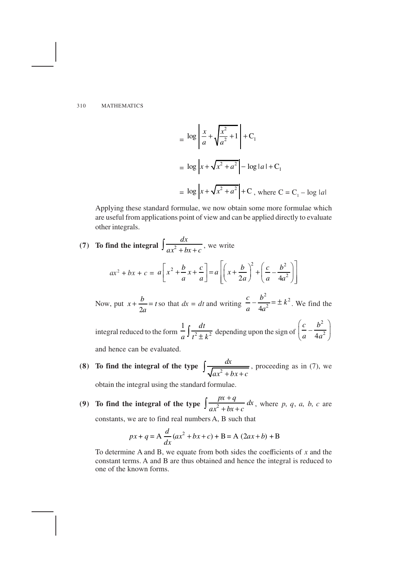$$
= \log \left| \frac{x}{a} + \sqrt{\frac{x^2}{a^2} + 1} \right| + C_1
$$
  
=  $\log \left| x + \sqrt{x^2 + a^2} \right| - \log |a| + C_1$   
=  $\log \left| x + \sqrt{x^2 + a^2} \right| + C$ , where  $C = C_1 - \log |a|$ 

Applying these standard formulae, we now obtain some more formulae which are useful from applications point of view and can be applied directly to evaluate other integrals.

(7) To find the integral 
$$
\int \frac{dx}{ax^2 + bx + c}
$$
, we write  

$$
ax^2 + bx + c = a\left[x^2 + \frac{b}{a}x + \frac{c}{a}\right] = a\left[\left(x + \frac{b}{2a}\right)^2 + \left(\frac{c}{a} - \frac{b^2}{4a^2}\right)\right]
$$

Now, put 2  $x + \frac{b}{a} = t$ *a*  $+\frac{b}{s}$  = t so that  $dx = dt$  and writing <sup>2</sup>  $- + k^2$  $4a^2$  $\frac{c}{a} - \frac{b^2}{b^2} = \pm k$  $\frac{a}{a} - \frac{b}{4a^2} = \pm k^2$ . We find the

integral reduced to the form  $\frac{1}{a} \int \frac{1}{t^2 + b^2}$ 1 *dt*  $\frac{1}{a} \int \frac{dt}{t^2 \pm k^2}$  depending upon the sign of  $\left(\frac{c}{a} - \frac{b^2}{4a}\right)$  $4a^2$ *c b –*  $\left(\frac{c}{a} - \frac{b^2}{4a^2}\right)$ and hence can be evaluated.

**(8)** To find the integral of the type  $\int \frac{1}{\sqrt{ax^2}}$ *dx*  $\int \frac{dx}{\sqrt{ax^2 + bx + c}}$ , proceeding as in (7), we obtain the integral using the standard formulae.

(9) To find the integral of the type  $\int \frac{px+q}{qx^2+bx+q} dx$  $ax^2 + bx + c$  $\int \frac{px+q}{ax^2+bx+c} dx$ , where p, q, a, b, c are

constants, we are to find real numbers A, B such that

$$
px + q = A \frac{d}{dx}(ax^2 + bx + c) + B = A (2ax + b) + B
$$

To determine A and B, we equate from both sides the coefficients of *x* and the constant terms. A and B are thus obtained and hence the integral is reduced to one of the known forms.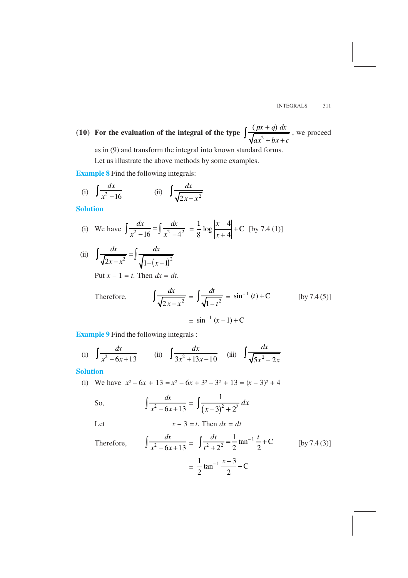(10) For the evaluation of the integral of the type  $\int \frac{\sqrt{P}}{\sqrt{P}}$  $(px + q) dx$  $ax^2 + bx + c$ +  $+ bx +$  $\int \frac{(\mu x + q) dx}{\sqrt{2\pi}}$ , we proceed

as in (9) and transform the integral into known standard forms.

Let us illustrate the above methods by some examples.

**Example 8** Find the following integrals:

(i) 
$$
\int \frac{dx}{x^2 - 16}
$$
 (ii)  $\int \frac{dx}{\sqrt{2x - x^2}}$ 

**Solution**

(i) We have 
$$
\int \frac{dx}{x^2 - 16} = \int \frac{dx}{x^2 - 4} = \frac{1}{8} \log \left| \frac{x - 4}{x + 4} \right| + C
$$
 [by 7.4 (1)]

(ii) 
$$
\int \frac{dx}{\sqrt{2x - x^2}} = \int \frac{dx}{\sqrt{1 - (x - 1)^2}}
$$

Put  $x - 1 = t$ . Then  $dx = dt$ .

Therefore, 
$$
\int \frac{dx}{\sqrt{2x - x^2}} = \int \frac{dt}{\sqrt{1 - t^2}} = \sin^{-1}(t) + C
$$
 [by 7.4(5)]  
=  $\sin^{-1}(x - 1) + C$ 

**Example 9** Find the following integrals :

(i) 
$$
\int \frac{dx}{x^2 - 6x + 13}
$$
 (ii)  $\int \frac{dx}{3x^2 + 13x - 10}$  (iii)  $\int \frac{dx}{\sqrt{5x^2 - 2x}}$ 

#### **Solution**

(i) We have  $x^2 - 6x + 13 = x^2 - 6x + 3^2 - 3^2 + 13 = (x - 3)^2 + 4$ 

$$
\int \frac{dx}{x^2 - 6x + 13} = \int \frac{1}{(x - 3)^2 + 2^2} dx
$$

Let  $x - 3 = t$ . Then  $dx = dt$ 

So,

Therefore, 
$$
\int \frac{dx}{x^2 - 6x + 13} = \int \frac{dt}{t^2 + 2^2} = \frac{1}{2} \tan^{-1} \frac{t}{2} + C
$$
 [by 7.4 (3)]
$$
= \frac{1}{2} \tan^{-1} \frac{x - 3}{2} + C
$$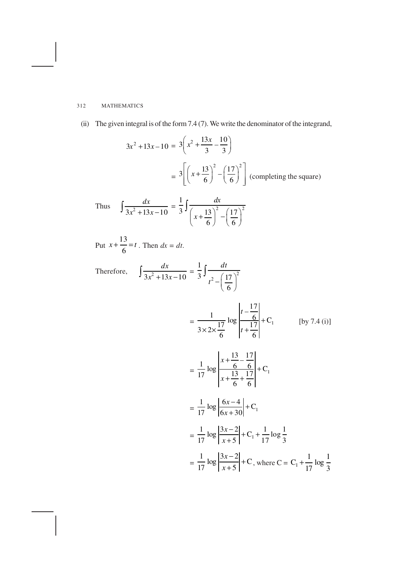(ii) The given integral is of the form  $7.4(7)$ . We write the denominator of the integrand,

$$
3x^2 + 13x - 10 = 3\left(x^2 + \frac{13x}{3} - \frac{10}{3}\right)
$$
  
\n
$$
= 3\left[\left(x + \frac{13}{6}\right)^2 - \left(\frac{17}{6}\right)^2\right] \text{ (completing the square)}
$$
  
\nThus  $\int \frac{dx}{3x^2 + 13x - 10} = \frac{1}{3} \int \frac{dx}{\left(x + \frac{13}{6}\right)^2 - \left(\frac{17}{6}\right)^2}$   
\nPut  $x + \frac{13}{6} = t$ . Then  $dx = dt$ .  
\nTherefore,  $\int \frac{dx}{3x^2 + 13x - 10} = \frac{1}{3} \int \frac{dt}{t^2 - \left(\frac{17}{6}\right)^2}$   
\n
$$
= \frac{1}{3 \times 2 \times \frac{17}{6}} \log \left|\frac{t - \frac{17}{6}}{t + \frac{17}{6}}\right| + C_1 \qquad \text{[by 7.4 (i)]}
$$
  
\n
$$
= \frac{1}{17} \log \left|\frac{x + \frac{13}{6} - \frac{17}{6}}{x + \frac{13}{6} + \frac{17}{6}}\right| + C_1
$$
  
\n
$$
= \frac{1}{17} \log \left|\frac{6x - 4}{6x + 30}\right| + C_1
$$
  
\n
$$
= \frac{1}{17} \log \left|\frac{3x - 2}{x + 5}\right| + C_1 + \frac{1}{17} \log \frac{1}{3}
$$
  
\n
$$
= \frac{1}{17} \log \left|\frac{3x - 2}{x + 5}\right| + C_1
$$
 where  $C = C_1 + \frac{1}{17} \log \frac{1}{3}$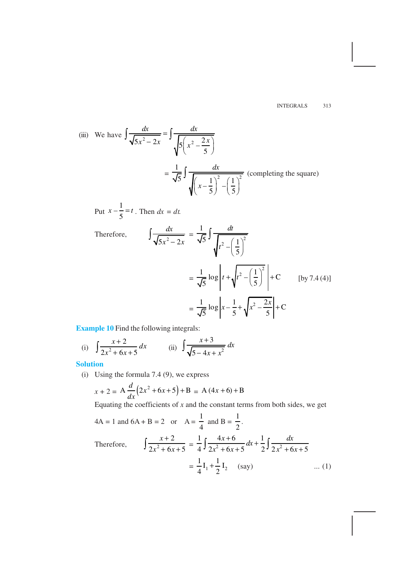$7.4 (4)$ ]

(iii) We have 
$$
\int \frac{dx}{\sqrt{5x^2 - 2x}} = \int \frac{dx}{\sqrt{5\left(x^2 - \frac{2x}{5}\right)}}
$$

$$
= \frac{1}{\sqrt{5}} \int \frac{dx}{\sqrt{\left(x - \frac{1}{5}\right)^2 - \left(\frac{1}{5}\right)^2}}
$$
 (completing the square)

Put 1  $x - \frac{1}{5} = t$ . Then  $dx = dt$ .

Therefore,

 $5x^2 - 2$ *dx*  $x^2 - 2x$  $\int \frac{dx}{\sqrt{5x^2-2x}} = \frac{1}{\sqrt{5}} \int \frac{du}{\sqrt{1-x^2}}$ 2 1  $5^{\circ}$   $\Big|_{1^2}$   $\Big| 1$ 5 *dt*  $t^2 - \left(\frac{1}{5}\right)^2$ ∫ =  $\overline{22}$  $1$   $1$   $2$   $(1)$  $t + \sqrt{t^2 - \left(\frac{1}{t}\right)^2}$ 

=

$$
\frac{1}{\sqrt{5}}\log \left| t + \sqrt{t^2 - \left(\frac{1}{5}\right)^2} \right| + C \qquad \text{[by}
$$

$$
\frac{1}{\sqrt{5}}\log \left| x - \frac{1}{5} + \sqrt{x^2 - \frac{2x}{5}} \right| + C
$$

**Example 10** Find the following integrals:

(i) 
$$
\int \frac{x+2}{2x^2+6x+5} dx
$$
 (ii)  $\int \frac{x+3}{\sqrt{5-4x+x^2}} dx$ 

#### **Solution**

(i) Using the formula 7.4 (9), we express

$$
x + 2 = A \frac{d}{dx} (2x^2 + 6x + 5) + B = A (4x + 6) + B
$$

Equating the coefficients of *x* and the constant terms from both sides, we get

$$
4A = 1 \text{ and } 6A + B = 2 \text{ or } A = \frac{1}{4} \text{ and } B = \frac{1}{2}.
$$
  
Therefore, 
$$
\int \frac{x+2}{2x^2 + 6x + 5} dx = \frac{1}{4} \int \frac{4x+6}{2x^2 + 6x + 5} dx + \frac{1}{2} \int \frac{dx}{2x^2 + 6x + 5}
$$

$$
= \frac{1}{4} I_1 + \frac{1}{2} I_2 \quad \text{(say)} \qquad \dots (1)
$$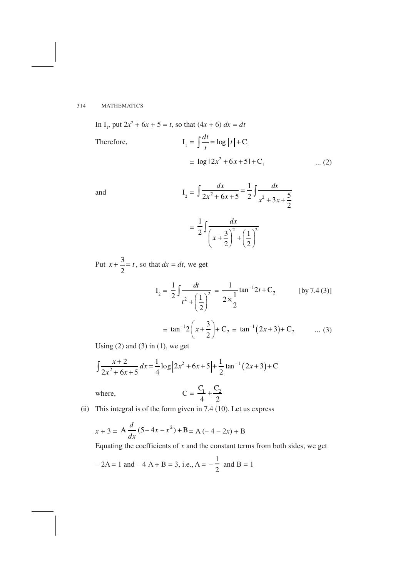In I<sub>1</sub>, put  $2x^2 + 6x + 5 = t$ , so that  $(4x + 6) dx = dt$ Therefore,  $_1 = \int \frac{dt}{t} = \log |t| + C_1$  $\int_{t}^{t} \frac{dt}{t} = \log |t| +$  $= \log |2x^2$  $\log |2x^2 + 6x + 5| + C_1$  ... (2) and  $\frac{1}{2}$  =  $\int \frac{1}{2x^2 + 6x + 5} dx = \frac{1}{2} \int \frac{1}{x^2}$ 1  $2x^2+6x+5$  2  $\frac{3}{x^2+3x+5}$  $dx = 1 + dx$  $x^2 + 6x + 5$  2<sup>3</sup>  $x^2 + 3x$ =  $+ 6x + 5$  2<sup>3</sup>  $x^2 + 3x +$  $\int \frac{dx}{2x^2+6x+5} = \frac{1}{2} \int$ 

$$
= \frac{1}{2} \int \frac{dx}{\left(x + \frac{3}{2}\right)^2 + \left(\frac{1}{2}\right)^2}
$$

Put  $x + \frac{3}{5}$ 2  $x + \frac{3}{x} = t$ , so that  $dx = dt$ , we get

$$
I_2 = \frac{1}{2} \int \frac{dt}{t^2 + \left(\frac{1}{2}\right)^2} = \frac{1}{2 \times \frac{1}{2}} \tan^{-1} 2t + C_2 \qquad \text{[by 7.4 (3)]}
$$

$$
= \tan^{-1} 2\left(x + \frac{3}{2}\right) + C_2 = \tan^{-1} (2x + 3) + C_2 \qquad \dots (3)
$$

2

Using  $(2)$  and  $(3)$  in  $(1)$ , we get

$$
\int \frac{x+2}{2x^2+6x+5} dx = \frac{1}{4} \log |2x^2+6x+5| + \frac{1}{2} \tan^{-1} (2x+3) + C
$$
  
where,  

$$
C = \frac{C_1}{4} + \frac{C_2}{2}
$$

(ii) This integral is of the form given in 7.4 (10). Let us express

$$
x + 3 = A \frac{d}{dx} (5 - 4x - x^2) + B = A (-4 - 2x) + B
$$

Equating the coefficients of  $x$  and the constant terms from both sides, we get

2

$$
-2A = 1
$$
 and  $-4A + B = 3$ , i.e.,  $A = -\frac{1}{2}$  and  $B = 1$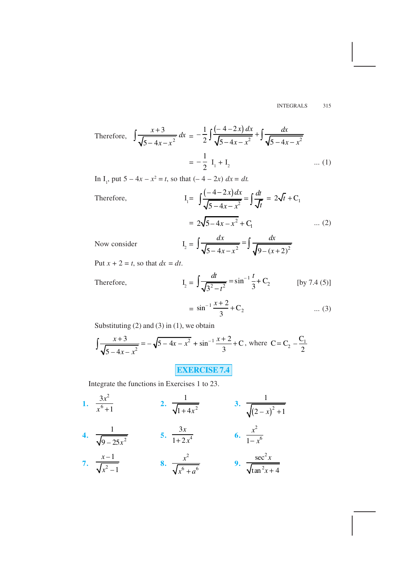Therefore, 
$$
\int \frac{x+3}{\sqrt{5-4x-x^2}} dx = -\frac{1}{2} \int \frac{(-4-2x) dx}{\sqrt{5-4x-x^2}} + \int \frac{dx}{\sqrt{5-4x-x^2}} = -\frac{1}{2} I_1 + I_2 \qquad \qquad \dots (1)
$$

In I<sub>1</sub>, put  $5 - 4x - x^2 = t$ , so that  $(-4 - 2x) dx = dt$ . Therefore,  $\int_1^1 = \int \frac{(-4-2x)}{\sqrt{2-1}}$ 2  $4 - 2$  $5 - 4$  $(-4-2x)dx$  *dt*  $x - x^2$  <sup>J</sup> $\sqrt{t}$ − =  $\int \frac{(-4 - 2x)dx}{\sqrt{5 - 4x - x^2}} = \int \frac{dt}{\sqrt{t}} = 2\sqrt{t} + C_1$  $= 2\sqrt{5-4x-x^2}$  $2\sqrt{5} - 4x - x^2 + C_1$  ... (2)

Now consider

Put  $x + 2 = t$ , so that  $dx = dt$ .

Therefore,

$$
I_2 = \int \frac{dt}{\sqrt{3^2 - t^2}} = \sin^{-1} \frac{t}{3} + C_2
$$
 [by 7.4 (5)]  
=  $\sin^{-1} \frac{x + 2}{2} + C_2$  ... (3)

2

 $\sum_{2}$  =  $\int \frac{1}{\sqrt{5-4x-x^2}}$  =  $\int \frac{1}{\sqrt{9-(x+2)^2}}$ *dx dx*  $x - x^2$   $\theta$  -  $(x$ =  $-4x-x^2$   $\sqrt{9-(x+1)}$ 

 $\int \frac{dx}{\sqrt{2x^2+2}} = \int$ 

3

Substituting  $(2)$  and  $(3)$  in  $(1)$ , we obtain

$$
\int \frac{x+3}{\sqrt{5-4x-x^2}} = -\sqrt{5-4x-x^2} + \sin^{-1}\frac{x+2}{3} + C, \text{ where } C = C_2 - \frac{C_1}{2}
$$
  
**EXERCISE 7.4**

Integrate the functions in Exercises 1 to 23.

1. 
$$
\frac{3x^2}{x^6 + 1}
$$
  
\n2.  $\frac{1}{\sqrt{1 + 4x^2}}$   
\n3.  $\frac{1}{\sqrt{(2 - x)^2 + 1}}$   
\n4.  $\frac{1}{\sqrt{9 - 25x^2}}$   
\n5.  $\frac{3x}{1 + 2x^4}$   
\n6.  $\frac{x^2}{1 - x^6}$   
\n7.  $\frac{x - 1}{\sqrt{x^2 - 1}}$   
\n8.  $\frac{x^2}{\sqrt{x^6 + a^6}}$   
\n9.  $\frac{\sec^2 x}{\sqrt{\tan^2 x + 4}}$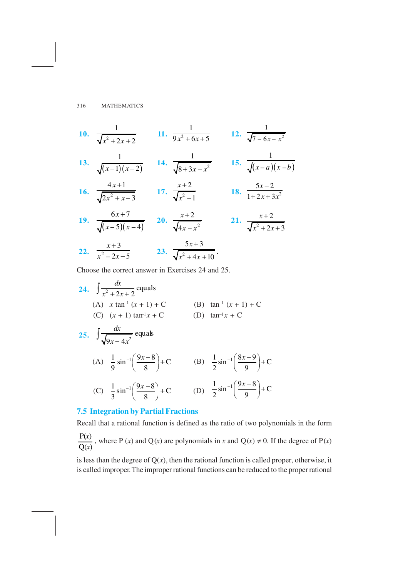10. 
$$
\frac{1}{\sqrt{x^2 + 2x + 2}}
$$
 11.  $\frac{1}{9x^2 + 6x + 5}$  12.  $\frac{1}{\sqrt{7 - 6x - x^2}}$   
\n13.  $\frac{1}{\sqrt{(x-1)(x-2)}}$  14.  $\frac{1}{\sqrt{8 + 3x - x^2}}$  15.  $\frac{1}{\sqrt{(x-a)(x-b)}}$   
\n16.  $\frac{4x+1}{\sqrt{2x^2 + x - 3}}$  17.  $\frac{x+2}{\sqrt{x^2 - 1}}$  18.  $\frac{5x-2}{1+2x+3x^2}$   
\n19.  $\frac{6x+7}{\sqrt{(x-5)(x-4)}}$  20.  $\frac{x+2}{\sqrt{4x - x^2}}$  21.  $\frac{x+2}{\sqrt{x^2 + 2x + 3}}$   
\n22.  $\frac{x+3}{x^2 - 2x - 5}$  23.  $\frac{5x+3}{\sqrt{x^2 + 4x + 10}}$ .

Choose the correct answer in Exercises 24 and 25.

24. 
$$
\int \frac{dx}{x^2 + 2x + 2}
$$
 equals  
\n(A)  $x \tan^{-1} (x + 1) + C$   
\n(B)  $\tan^{-1} (x + 1) + C$   
\n(C)  $(x + 1) \tan^{-1} x + C$   
\n(D)  $\tan^{-1} x + C$   
\n25.  $\int \frac{dx}{\sqrt{9x - 4x^2}}$  equals  
\n(A)  $\frac{1}{9} \sin^{-1} (\frac{9x - 8}{8}) + C$   
\n(B)  $\frac{1}{2} \sin^{-1} (\frac{8x - 9}{9}) + C$   
\n(C)  $\frac{1}{3} \sin^{-1} (\frac{9x - 8}{8}) + C$   
\n(D)  $\frac{1}{2} \sin^{-1} (\frac{9x - 8}{9}) + C$ 

## **7.5 Integration by Partial Fractions**

Recall that a rational function is defined as the ratio of two polynomials in the form

 $P(x)$  $Q(x)$ *x x* , where P (*x*) and Q(*x*) are polynomials in *x* and Q(*x*)  $\neq$  0. If the degree of P(*x*)

is less than the degree of  $Q(x)$ , then the rational function is called proper, otherwise, it is called improper. The improper rational functions can be reduced to the proper rational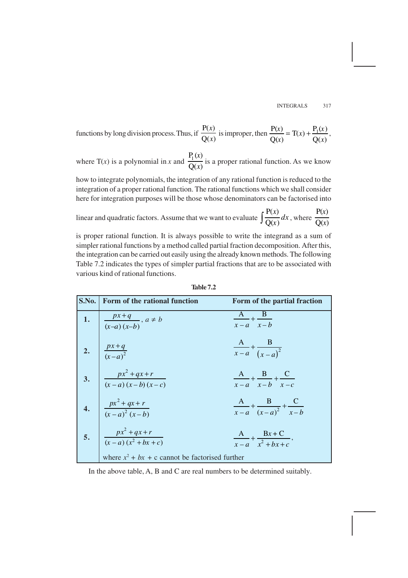functions by long division process. Thus, if 
$$
\frac{P(x)}{Q(x)}
$$
 is improper, then  $\frac{P(x)}{Q(x)} = T(x) + \frac{P_1(x)}{Q(x)}$ ,

where T(*x*) is a polynomial in *x* and  $\frac{P_1(x)}{Q(x)}$  $Q(x)$ *x*  $\frac{y}{x}$  is a proper rational function. As we know

how to integrate polynomials, the integration of any rational function is reduced to the integration of a proper rational function. The rational functions which we shall consider here for integration purposes will be those whose denominators can be factorised into

linear and quadratic factors. Assume that we want to evaluate  $P(x)$  $Q(x)$ *x dx*  $\int \frac{f(x)}{Q(x)} dx$ , where  $P(x)$  $Q(x)$ *x x*

is proper rational function. It is always possible to write the integrand as a sum of simpler rational functions by a method called partial fraction decomposition. After this, the integration can be carried out easily using the already known methods. The following Table 7.2 indicates the types of simpler partial fractions that are to be associated with various kind of rational functions.

| S.No. | Form of the rational function                         | Form of the partial fraction                                                  |
|-------|-------------------------------------------------------|-------------------------------------------------------------------------------|
|       | 1. $\frac{px+q}{(x-a)(x-b)}, a \neq b$                | $\frac{A}{x-a} + \frac{B}{x-b}$                                               |
|       | 2. $\int \frac{px+q}{(x-a)^2}$                        | $\frac{A}{x-a} + \frac{B}{(x-a)^2}$                                           |
|       | 3. $\int \frac{px^2 + qx + r}{(x-a)(x-b)(x-c)} dx$    | $\frac{A}{\cdots} + \frac{B}{\cdots} + \frac{C}{\cdots}$<br>$x-a$ $x-b$ $x-c$ |
|       | 4. $\int \frac{px^2 + qx + r}{(x-a)^2 (x-b)} dx$      | $\frac{A}{x-a} + \frac{B}{(x-a)^2} + \frac{C}{x-b}$                           |
|       | 5. $\int \frac{px^2 + qx + r}{(x - a)(x^2 + bx + c)}$ | $\frac{A}{x-a} + \frac{Bx + C}{x^2 + bx + c},$                                |
|       | where $x^2 + bx + c$ cannot be factorised further     |                                                                               |

| n<br>I<br>я |  |
|-------------|--|
|-------------|--|

In the above table, A, B and C are real numbers to be determined suitably.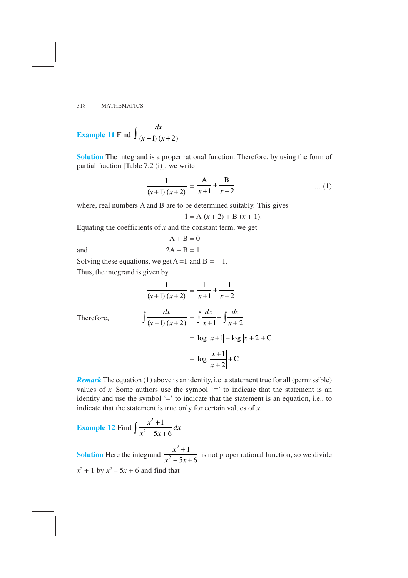**Example 11** Find 
$$
\int \frac{dx}{(x+1)(x+2)}
$$

**Solution** The integrand is a proper rational function. Therefore, by using the form of partial fraction [Table 7.2 (i)], we write

$$
\frac{1}{(x+1)(x+2)} = \frac{A}{x+1} + \frac{B}{x+2}
$$
 ... (1)

where, real numbers A and B are to be determined suitably. This gives

$$
1 = A (x + 2) + B (x + 1).
$$

Equating the coefficients of  $x$  and the constant term, we get

$$
A + B = 0
$$
  
and  

$$
2A + B = 1
$$

Therefore,

Solving these equations, we get  $A = 1$  and  $B = -1$ .

Thus, the integrand is given by

$$
\frac{1}{(x+1)(x+2)} = \frac{1}{x+1} + \frac{-1}{x+2}
$$

$$
\int \frac{dx}{(x+1)(x+2)} = \int \frac{dx}{x+1} - \int \frac{dx}{x+2}
$$

$$
= \log|x+1| - \log|x+2| + C
$$

$$
= \log \left| \frac{x+1}{x+2} \right| + C
$$

*Remark* The equation (1) above is an identity, i.e. a statement true for all (permissible) values of *x*. Some authors use the symbol ' $\equiv$ ' to indicate that the statement is an identity and use the symbol  $\equiv$  to indicate that the statement is an equation, i.e., to indicate that the statement is true only for certain values of *x*.

Example 12 Find 
$$
\int \frac{x^2 + 1}{x^2 - 5x + 6} dx
$$

**Solution** Here the integrand 2 2 1  $5x + 6$ *x*  $x^2 - 5x$ +  $\frac{1}{+6}$  is not proper rational function, so we divide  $x^2 + 1$  by  $x^2 - 5x + 6$  and find that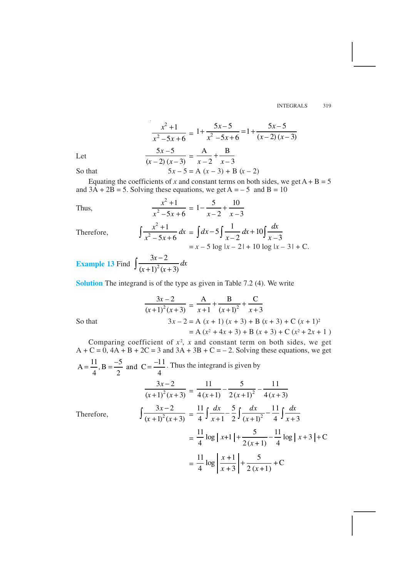$$
\frac{x^2 + 1}{x^2 - 5x + 6} = 1 + \frac{5x - 5}{x^2 - 5x + 6} = 1 + \frac{5x - 5}{(x - 2)(x - 3)}
$$
  
Let 
$$
\frac{5x - 5}{(x - 2)(x - 3)} = \frac{A}{x - 2} + \frac{B}{x - 3}
$$
  
So that 
$$
5x - 5 = A(x - 3) + B(x - 2)
$$

Equating the coefficients of *x* and constant terms on both sides, we get  $A + B = 5$ and  $3\overrightarrow{A} + 2\overrightarrow{B} = 5$ . Solving these equations, we get A = - 5 and B = 10

Thus, 
$$
\frac{x^2 + 1}{x^2 - 5x + 6} = 1 - \frac{5}{x - 2} + \frac{10}{x - 3}
$$

Therefore,

$$
\int \frac{x^2 + 1}{x^2 - 5x + 6} dx = \int dx - 5 \int \frac{1}{x - 2} dx + 10 \int \frac{dx}{x - 3}
$$
  
=  $x - 5 \log|x - 2| + 10 \log|x - 3| + C$ .

**Example 13** Find  $\int \frac{dx}{(x+1)^2}$  $3x - 2$  $(x+1)^2(x+3)$ *x dx*  $(x+1)^2(x)$  $\int \frac{3x-2}{(x+1)^2(x+1)} dx$ 

**Solution** The integrand is of the type as given in Table 7.2 (4). We write

$$
\frac{3x-2}{(x+1)^2(x+3)} = \frac{A}{x+1} + \frac{B}{(x+1)^2} + \frac{C}{x+3}
$$
  
So that  

$$
3x - 2 = A(x+1)(x+3) + B(x+3) + C(x+1)^2
$$

$$
= A(x^2 + 4x + 3) + B(x+3) + C(x^2 + 2x + 1)
$$

 $11 \t x+1$  5

*x*

 $\log |\frac{...}{...} + \frac{...}{2} + C$  $4 \binom{10}{5} x + 3 \binom{2(x+1)}{x+2}$ 

 $x + 3$  | 2 (*x* +

Comparing coefficient of 
$$
x^2
$$
,  $x$  and constant term on both sides, we get  
\n $A + C = 0$ ,  $4A + B + 2C = 3$  and  $3A + 3B + C = -2$ . Solving these equations, we get  
\n
$$
A = \frac{11}{4}, B = \frac{-5}{2} \text{ and } C = \frac{-11}{4}.
$$
 Thus the integrand is given by  
\n
$$
\frac{3x - 2}{(x + 1)^2 (x + 3)} = \frac{11}{4 (x + 1)} - \frac{5}{2 (x + 1)^2} - \frac{11}{4 (x + 3)}
$$
\nTherefore,  
\n
$$
\int \frac{3x - 2}{(x + 1)^2 (x + 3)} = \frac{11}{4} \int \frac{dx}{x + 1} - \frac{5}{2} \int \frac{dx}{(x + 1)^2} - \frac{11}{4} \int \frac{dx}{x + 3}
$$
\n
$$
= \frac{11}{4} \log |x + 1| + \frac{5}{2(x + 1)} - \frac{11}{4} \log |x + 3| + C
$$

=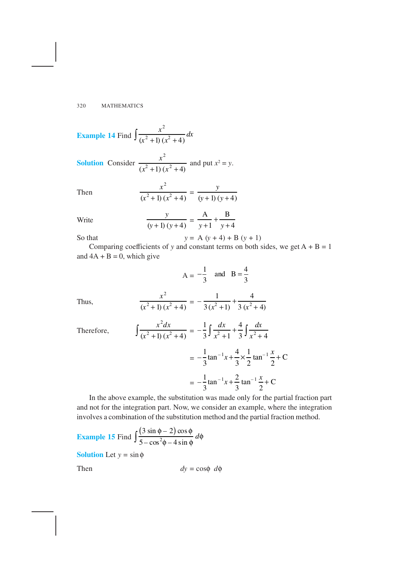Example 14 Find 
$$
\int \frac{x^2}{(x^2 + 1)(x^2 + 4)} dx
$$
  
\nSolution Consider  $\frac{x^2}{(x^2 + 1)(x^2 + 4)}$  and put  $x^2 = y$ .  
\nThen  $\frac{x^2}{(x^2 + 1)(x^2 + 4)} = \frac{y}{(y + 1)(y + 4)}$ 

$$
\frac{y}{(y+1)(y+4)} = -
$$

Write So that

$$
y = A (y + 4) + B (y + 1)
$$

A B  $y+1$   $y+4$ +  $+1$   $y+$ 

Comparing coefficients of *y* and constant terms on both sides, we get  $A + B = 1$ and  $4A + B = 0$ , which give

$$
A = -\frac{1}{3} \quad \text{and} \quad B = \frac{4}{3}
$$

Thus,

$$
\frac{x^2}{(x^2+1)(x^2+4)} = -\frac{1}{3(x^2+1)} + \frac{4}{3(x^2+4)}
$$

Therefore,

$$
\int \frac{x^2 dx}{(x^2 + 1)(x^2 + 4)} = -\frac{1}{3} \int \frac{dx}{x^2 + 1} + \frac{4}{3} \int \frac{dx}{x^2 + 4}
$$
  

$$
= -\frac{1}{3} \tan^{-1} x + \frac{4}{3} \times \frac{1}{2} \tan^{-1} \frac{x}{2} + C
$$
  

$$
= -\frac{1}{3} \tan^{-1} x + \frac{2}{3} \tan^{-1} \frac{x}{2} + C
$$

In the above example, the substitution was made only for the partial fraction part and not for the integration part. Now, we consider an example, where the integration involves a combination of the substitution method and the partial fraction method.

Example 15 Find 
$$
\int \frac{(3 \sin \phi - 2) \cos \phi}{5 - \cos^2 \phi - 4 \sin \phi} d\phi
$$
  
**Solution** Let  $y = \sin \phi$   
Then  $dy = \cos \phi \ d\phi$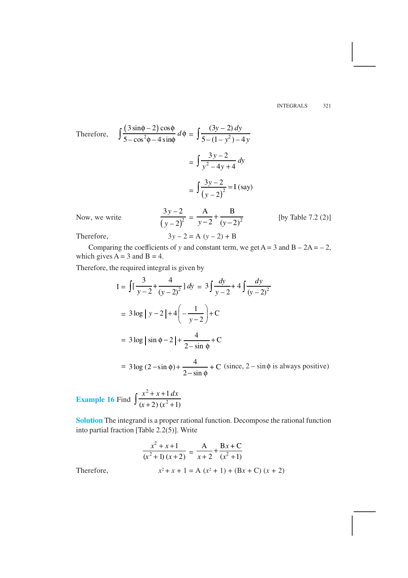Therefore, 
$$
\int \frac{(3 \sin \phi - 2) \cos \phi}{5 - \cos^2 \phi - 4 \sin \phi} d\phi = \int \frac{(3y - 2) dy}{5 - (1 - y^2) - 4y} d\phi = \int \frac{3y - 2}{y^2 - 4y + 4} dy = \int \frac{3y - 2}{(y - 2)^2} = I \text{ (say)}
$$
  
Now, we write 
$$
\frac{3y - 2}{(y - 2)^2} = \frac{A}{y - 2} + \frac{B}{(y - 2)^2}
$$
[by Table 7.2 (2)]  
Therefore,  $3y - 2 = A (y - 2) + B$ 

Comparing the coefficients of *y* and constant term, we get  $A = 3$  and  $B - 2A = -2$ , which gives  $A = 3$  and  $B = 4$ .

Therefore, the required integral is given by

I = 
$$
\int \left[ \frac{3}{y-2} + \frac{4}{(y-2)^2} \right] dy = 3 \int \frac{dy}{y-2} + 4 \int \frac{dy}{(y-2)^2}
$$
  
\n=  $3 \log |y-2| + 4 \left( -\frac{1}{y-2} \right) + C$   
\n=  $3 \log |\sin \phi - 2| + \frac{4}{2 - \sin \phi} + C$   
\n=  $3 \log (2 - \sin \phi) + \frac{4}{2 - \sin \phi} + C$  (since, 2 – sin  $\phi$  is always positive)

**Example 16** Find 2 2 1  $(x+2)(x^2+1)$  $x^2 + x + 1 dx$  $(x+2)(x)$  $\int \frac{x^2 + x + 1}{(x + 2)(x^2 + 1)}$ 

**22** 

**Solution** The integrand is a proper rational function. Decompose the rational function into partial fraction [Table 2.2(5)]. Write

l.

$$
\frac{x^2 + x + 1}{(x^2 + 1)(x + 2)} = \frac{A}{x + 2} + \frac{Bx + C}{(x^2 + 1)}
$$
  

$$
x^2 + x + 1 = A(x^2 + 1) + (Bx + C)(x + 2)
$$

Therefore, *x*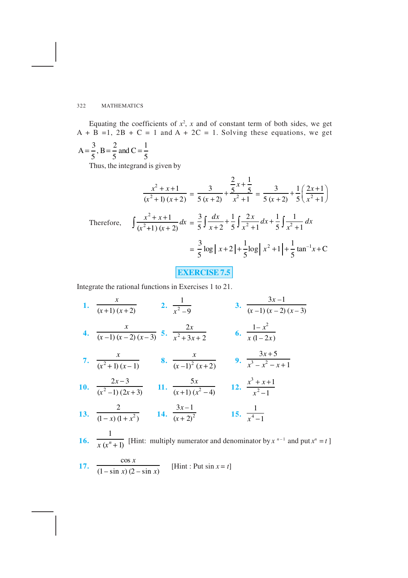Equating the coefficients of  $x^2$ , x and of constant term of both sides, we get  $A + B =1$ ,  $2B + C = 1$  and  $A + 2C = 1$ . Solving these equations, we get  $3^{2}$  10  $1^{2}$  $A = \frac{3}{5}$ ,  $B = \frac{3}{5}$  and C  $5'$   $5'$   $5$  $=\frac{3}{2}$ , B =  $\frac{3}{2}$  and C =

Thus, the integrand is given by

$$
\frac{x^2 + x + 1}{(x^2 + 1)(x + 2)} = \frac{3}{5(x + 2)} + \frac{\frac{2}{5}x + \frac{1}{5}}{x^2 + 1} = \frac{3}{5(x + 2)} + \frac{1}{5}(\frac{2x + 1}{x^2 + 1})
$$
  
Therefore, 
$$
\int \frac{x^2 + x + 1}{(x^2 + 1)(x + 2)} dx = \frac{3}{5} \int \frac{dx}{x + 2} + \frac{1}{5} \int \frac{2x}{x^2 + 1} dx + \frac{1}{5} \int \frac{1}{x^2 + 1} dx
$$

$$
= \frac{3}{5} \log |x + 2| + \frac{1}{5} \log |x^2 + 1| + \frac{1}{5} \tan^{-1} x + C
$$
  
EXERCISE 7.5

Integrate the rational functions in Exercises 1 to 21.

1.  $\frac{}{(x+1)(x+2)}$ *x*  $\frac{x}{(x+1)(x+2)}$  2.  $\frac{1}{x^2-1}$ *x –* 9 **3.**  $3x - 1$  $(x-1)(x-2)(x-3)$ *x – x* –1)  $(x - 2)(x -$ **4.**  $\overline{(x-1)(x-2)(x-3)}$ *x*  $\overline{(x-1)(x-2)(x-3)}$  5.  $\overline{x^2}$ 2  $3x + 2$ *x*  $\overline{x^2 + 3x + 2}$  6.  $1 - x^2$  $(1 - 2x)$ *– x*  $x(1-2x)$ 7.  $\frac{}{(x^2+1)(x-1)}$ *x*  $\frac{x^2+1(x-1)}{x^2+1(x-1)}$  8.  $\frac{x^2+1(x-1)}{x^2+2x+2}$ *x*  $(x-1)^2 (x+2)$  9.  $\overline{x^3 - x^2}$  $3x + 5$ 1 *x*  $x^3 - x^2 - x$ +  $- x +$ 10.  $\frac{ }{x^2}$  $2x - 3$  $(x^2-1)(2x+3)$ *x*  $(x^2-1)(2x)$ −  $\overline{+3)}$  **11.**  $\overline{(x+1)(x^2)}$ 5  $(x+1) (x^2-4)$ *x*  $\overline{(x+1)(x^2-4)}$  12. 3 2 1 1  $x^3 + x$ *x*  $+ x +$ − 13.  $\frac{1}{(1-x)(1+x^2)}$ 2  $\overline{(1-x)(1+x^2)}$  **14.**  $\overline{(x+2)^2}$  $3x - 1$  $(x + 2)$ *x –*  $\overline{(x+2)^2}$  15.  $\overline{x^4}$ 1  $x^4 - 1$ **16.** 1  $\overline{x(x^n+1)}$  [Hint: multiply numerator and denominator by  $x^{n-1}$  and put  $x^n = t$ ]

17. 
$$
\frac{\cos x}{(1 - \sin x)(2 - \sin x)}
$$
 [Hint : Put  $\sin x = t$ ]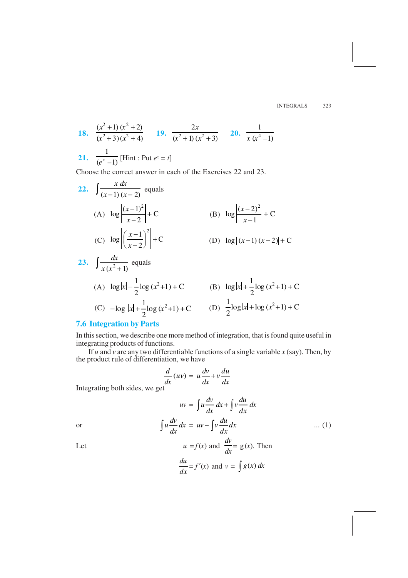18. 
$$
\frac{(x^2 + 1)(x^2 + 2)}{(x^2 + 3)(x^2 + 4)}
$$
 19.  $\frac{2x}{(x^2 + 1)(x^2 + 3)}$  20.  $\frac{1}{x(x^4 - 1)}$   
21.  $\frac{1}{(e^x - 1)}$  [Hint: Put  $e^x = t$ ]

Choose the correct answer in each of the Exercises 22 and 23.

22. 
$$
\int \frac{x \, dx}{(x-1)(x-2)}
$$
 equals  
\n(A)  $\log \left| \frac{(x-1)^2}{x-2} \right| + C$   
\n(B)  $\log \left| \frac{(x-2)^2}{x-1} \right| + C$   
\n(C)  $\log \left| \left( \frac{x-1}{x-2} \right)^2 \right| + C$   
\n(D)  $\log |(x-1)(x-2)| + C$ 

23. 
$$
\int \frac{dx}{x(x^2+1)}
$$
 equals  
\n(A)  $\log |x| - \frac{1}{2} \log (x^2+1) + C$   
\n(B)  $\log |x| + \frac{1}{2} \log (x^2+1) + C$   
\n(C)  $-\log |x| + \frac{1}{2} \log (x^2+1) + C$   
\n(D)  $\frac{1}{2} \log |x| + \log (x^2+1) + C$ 

# **7.6 Integration by Parts**

In this section, we describe one more method of integration, that is found quite useful in integrating products of functions.

If  $u$  and  $v$  are any two differentiable functions of a single variable  $x$  (say). Then, by the product rule of differentiation, we have

$$
\frac{d}{dx}(uv) = u\frac{dv}{dx} + v\frac{du}{dx}
$$

*du*

Integrating both sides, we get

$$
uv = \int u \frac{dv}{dx} dx + \int v \frac{du}{dx} dx
$$
  
or  

$$
\int u \frac{dv}{dx} dx = uv - \int v \frac{du}{dx} dx
$$
...(1)  
Let  

$$
u = f(x) \text{ and } \frac{dv}{dx} = g(x). \text{ Then}
$$

 $\frac{du}{dx} = f'(x)$  and  $v = \int g(x) dx$ 

or

$$
\mathsf{.et}
$$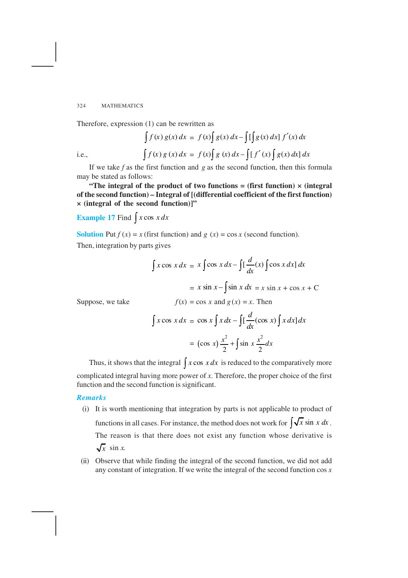Therefore, expression (1) can be rewritten as

$$
\int f(x) g(x) dx = f(x) \int g(x) dx - \int [\int g(x) dx] f'(x) dx
$$
  
i.e., 
$$
\int f(x) g(x) dx = f(x) \int g(x) dx - \int [f'(x) \int g(x) dx] dx
$$

If we take *f* as the first function and *g* as the second function, then this formula may be stated as follows:

**"The integral of the product of two functions**  $=$  **(first function)**  $\times$  **(integral of the second function) – Integral of [(differential coefficient of the first function)** *×* **(integral of the second function)]"**

**Example 17** Find  $\int x \cos x dx$ 

**Solution** Put  $f(x) = x$  (first function) and  $g(x) = \cos x$  (second function). Then, integration by parts gives

$$
\int x \cos x \, dx = x \int \cos x \, dx - \int \left[ \frac{d}{dx} (x) \int \cos x \, dx \right] dx
$$

$$
= x \sin x - \int \sin x \, dx = x \sin x + \cos x + C
$$

$$
f(x) = \cos x \text{ and } g(x) = x. \text{ Then}
$$

$$
\int x \cos x \, dx = \cos x \int x \, dx - \int \left[ \frac{d}{dx} (\cos x) \int x \, dx \right] dx
$$

$$
= (\cos x) \frac{x^2}{2} + \int \sin x \frac{x^2}{2} dx
$$

Thus, it shows that the integral  $\int x \cos x dx$  is reduced to the comparatively more complicated integral having more power of *x*. Therefore, the proper choice of the first function and the second function is significant.

### *Remarks*

Suppose, we take

- (i) It is worth mentioning that integration by parts is not applicable to product of functions in all cases. For instance, the method does not work for  $\int \sqrt{x} \sin x \, dx$ . The reason is that there does not exist any function whose derivative is  $\sqrt{x}$  sin *x*.
- (ii) Observe that while finding the integral of the second function, we did not add any constant of integration. If we write the integral of the second function cos *x*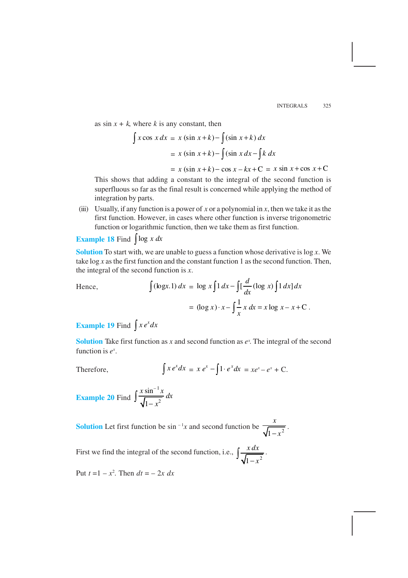as  $\sin x + k$ , where *k* is any constant, then

$$
\int x \cos x \, dx = x (\sin x + k) - \int (\sin x + k) \, dx
$$

$$
= x (\sin x + k) - \int (\sin x \, dx - \int k \, dx)
$$

 $= x (\sin x + k) - \cos x - kx + C = x \sin x + \cos x + C$ 

This shows that adding a constant to the integral of the second function is superfluous so far as the final result is concerned while applying the method of integration by parts.

(iii) Usually, if any function is a power of  $x$  or a polynomial in  $x$ , then we take it as the first function. However, in cases where other function is inverse trigonometric function or logarithmic function, then we take them as first function.

**Example 18** Find 
$$
\int \log x \, dx
$$

**Solution** To start with, we are unable to guess a function whose derivative is log *x*. We take log *x* as the first function and the constant function 1 as the second function. Then, the integral of the second function is *x*.

Hence,

$$
\int (\log x. 1) dx = \log x \int 1 dx - \int [\frac{d}{dx} (\log x) \int 1 dx] dx
$$

$$
= (\log x) \cdot x - \int \frac{1}{x} x dx = x \log x - x + C.
$$

**Example 19** Find  $\int x e^x dx$ 

**Solution** Take first function as *x* and second function as *e x* . The integral of the second function is  $e^x$ .

Therefore, 
$$
\int x e^x dx = x e^x - \int 1 \cdot e^x dx = x e^x - e^x + C.
$$

**Example 20** Find 1 2 sin 1  $\frac{x \sin^{-1} x}{\sqrt{2}} dx$ − *x* ∫

**Solution** Let first function be  $\sin^{-1}x$  and second function be  $\frac{1}{\sqrt{1-x^2}}$ *x* − *x* .

First we find the integral of the second function, i.e.,  $\int \frac{x \, dx}{\sqrt{1-x^2}}$ *x dx* − *x*  $\int \frac{x \, dx}{\sqrt{x}}$ .

Put  $t = 1 - x^2$ . Then  $dt = -2x dx$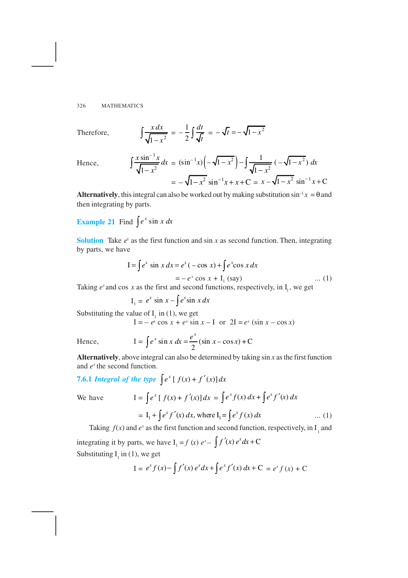Therefore,

$$
\int \frac{x \, dx}{\sqrt{1 - x^2}} = -\frac{1}{2} \int \frac{dt}{\sqrt{t}} = -\sqrt{t} = -\sqrt{1 - x^2}
$$

Hence,

$$
\int \frac{x \sin^{-1} x}{\sqrt{1 - x^2}} dx = (\sin^{-1} x) \left( -\sqrt{1 - x^2} \right) - \int \frac{1}{\sqrt{1 - x^2}} \left( -\sqrt{1 - x^2} \right) dx
$$

$$
= -\sqrt{1 - x^2} \sin^{-1} x + x + C = x - \sqrt{1 - x^2} \sin^{-1} x + C
$$

**Alternatively**, this integral can also be worked out by making substitution  $\sin^{-1} x = \theta$  and then integrating by parts.

**Example 21** Find  $\int e^x \sin x \, dx$ 

**Solution** Take  $e^x$  as the first function and sin *x* as second function. Then, integrating by parts, we have

I sin ( cos ) cos *x x x* = = + *e x dx e – x e x dx* ∫ ∫ = – *e<sup>x</sup>* cos *x* + I<sup>1</sup> (say) ... (1)

Taking  $e^x$  and cos *x* as the first and second functions, respectively, in  $I_1$ , we get

$$
I_1 = e^x \sin x - \int e^x \sin x \, dx
$$

Substituting the value of  $I_1$  in (1), we get

 $I = -e^x \cos x + e^x \sin x - I$  or  $2I = e^x (\sin x - \cos x)$ 

Hence,

$$
I = \int e^x \sin x \, dx = \frac{e^x}{2} (\sin x - \cos x) + C
$$

**Alternatively**, above integral can also be determined by taking sin *x* as the first function and  $e^x$  the second function.

**7.6.1** Integral of the type  $\int e^x [f(x) + f'(x)] dx$ 

We have

$$
I = \int e^x [f(x) + f'(x)] dx = \int e^x f(x) dx + \int e^x f'(x) dx
$$
  
= I<sub>1</sub> +  $\int e^x f'(x) dx$ , where I<sub>1</sub> =  $\int e^x f(x) dx$  ... (1)

Taking  $f(x)$  and  $e^x$  as the first function and second function, respectively, in  $I_1$  and

integrating it by parts, we have  $I_1 = f(x) e^x - \int f'(x) e^x dx + C$ Substituting  $I_1$  in (1), we get

I = 
$$
e^x f(x) - \int f'(x) e^x dx + \int e^x f'(x) dx + C = e^x f(x) + C
$$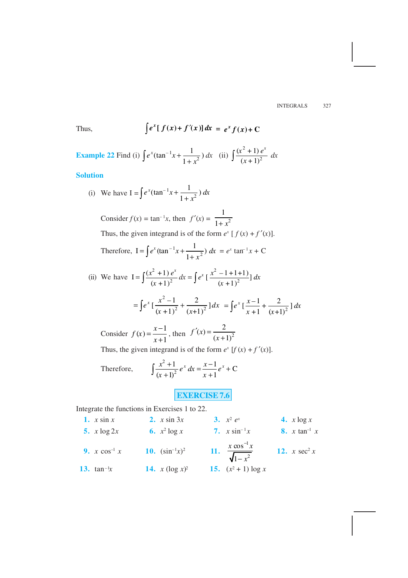Thus, 
$$
\int e^x [f(x) + f'(x)] dx = e^x f(x) + C
$$

**Example 22** Find (i)  $\int e^{x}(\tan^{-1}x + \frac{1}{1+x^2})$  $(\tan^{-1}x + \frac{1}{1}$ 1  $e^{x}$ (tan<sup>-1</sup>x *x* +  $\int e^x (\tan^{-1} x + \frac{1}{1+x^2}) dx$  (ii) 2 2  $(x^2 + 1)$  $(x + 1)$  $(x^2 + 1) e^x$  $\int \frac{(x+1)e^{x}}{(x+1)^2} dx$ 

## **Solution**

(i) We have 
$$
I = \int e^x (\tan^{-1} x + \frac{1}{1 + x^2}) dx
$$

 $\frac{1}{2}$ 

Consider 
$$
f(x) = \tan^{-1}x
$$
, then  $f'(x) = \frac{1}{1 + x^2}$ 

Thus, the given integrand is of the form  $e^x$  [ $f(x) + f'(x)$ ].

Therefore,  $I = \int e^x (\tan^{-1} x + \frac{1}{1+x^2})$  $I = \int e^x (\tan^{-1} x + \frac{1}{1} \cdot \frac{1}{2})$ 1  $e^{x}$  (tan<sup>-1</sup>x+ $\frac{1}{x+2}$ ) dx *x*  $= |e^x (\tan^{-1} x +$  $\int e^x (\tan^{-1} x + \frac{1}{1+x^2}) dx = e^x \tan^{-1} x + C$ 

(ii) We have 
$$
I = \int \frac{(x^2 + 1) e^x}{(x+1)^2} dx = \int e^x \left[ \frac{x^2 - 1 + 1 + 1}{(x+1)^2} \right] dx
$$

$$
= \int e^x \left[ \frac{x^2 - 1}{(x+1)^2} + \frac{2}{(x+1)^2} \right] dx = \int e^x \left[ \frac{x-1}{x+1} + \frac{2}{(x+1)^2} \right] dx
$$

Consider  $f(x) = \frac{x-1}{1}$  $(x)$ 1 *x f x x* − = + , then  $f(x) = \frac{1}{(x+1)^2}$  $\zeta(x) = \frac{2}{x}$  $(x+1)$ *f x x*  $\prime(x) =$ +

Thus, the given integrand is of the form 
$$
e^x
$$
 [ $f(x) + f'(x)$ ].

Therefore, 
$$
\int \frac{x^2 + 1}{(x+1)^2} e^x dx = \frac{x-1}{x+1} e^x + C
$$

# **EXERCISE 7.6**

Integrate the functions in Exercises 1 to 22.

| 1. $x \sin x$     | 2. $x \sin 3x$       | 3. $x^2 e^x$                           | 4. $x \log x$      |
|-------------------|----------------------|----------------------------------------|--------------------|
| 5. $x \log 2x$    | 6. $x^2 \log x$      | 7. $x \sin^{-1} x$                     | 8. $x \tan^{-1} x$ |
| 9. $x cos^{-1} x$ | 10. $(\sin^{-1}x)^2$ | 11. $rac{x \cos^{-1} x}{\sqrt{1-x^2}}$ | 12. $x \sec^2 x$   |
| 13. $tan^{-1}x$   | 14. $x (\log x)^2$   | 15. $(x^2+1) \log x$                   |                    |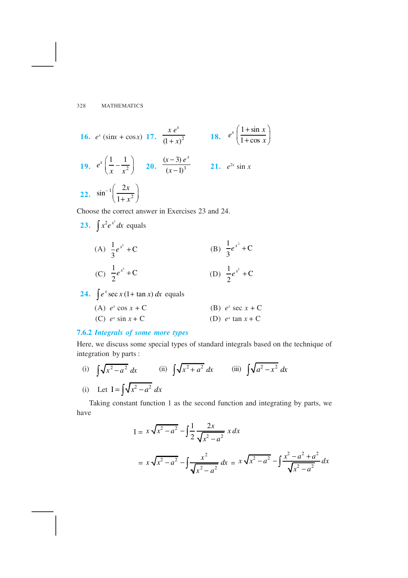**16.** 
$$
e^x (\sin x + \cos x)
$$
 **17.**  $\frac{x e^x}{(1 + x)^2}$  **18.**  $e^x \left( \frac{1 + \sin x}{1 + \cos x} \right)$   
\n**19.**  $e^x \left( \frac{1}{x} - \frac{1}{x^2} \right)$  **20.**  $\frac{(x - 3) e^x}{(x - 1)^3}$  **21.**  $e^{2x} \sin x$   
\n**22.**  $\sin^{-1} \left( \frac{2x}{1 + x^2} \right)$ 

Choose the correct answer in Exercises 23 and 24.

**23.**  $\int x^2 e^{x^3} dx$  equals (A)  $\frac{1}{2}e^{x^3}$  + C 3  $e^{x^3} + C$  (B)  $\frac{1}{2}e^{x^2} + C$ 3  $e^{x^2}$  + (C)  $\frac{1}{2}e^{x^3}$  + C 2  $e^{x^3}$  + C (D)  $\frac{1}{2}e^{x^2}$  + C 2  $e^{x^2}$  +

24.  $\int e^x \sec x (1 + \tan x) dx$  equals

(A) 
$$
e^x \cos x + C
$$
  
\n(B)  $e^x \sec x + C$   
\n(C)  $e^x \sin x + C$   
\n(D)  $e^x \tan x + C$ 

## **7.6.2** *Integrals of some more types*

Here, we discuss some special types of standard integrals based on the technique of integration by parts :

(i) 
$$
\int \sqrt{x^2 - a^2} \, dx
$$
 (ii)  $\int \sqrt{x^2 + a^2} \, dx$  (iii)  $\int \sqrt{a^2 - x^2} \, dx$   
(i) Let  $I = \int \sqrt{x^2 - a^2} \, dx$ 

Taking constant function 1 as the second function and integrating by parts, we have

$$
I = x\sqrt{x^2 - a^2} - \int \frac{1}{2} \frac{2x}{\sqrt{x^2 - a^2}} x dx
$$
  
=  $x\sqrt{x^2 - a^2} - \int \frac{x^2}{\sqrt{x^2 - a^2}} dx = x\sqrt{x^2 - a^2} - \int \frac{x^2 - a^2 + a^2}{\sqrt{x^2 - a^2}} dx$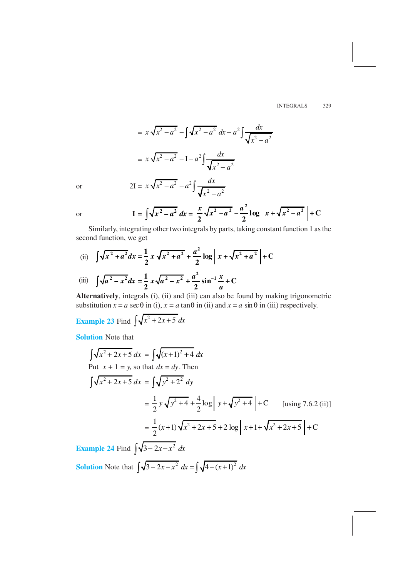$$
= x\sqrt{x^2 - a^2} - \int \sqrt{x^2 - a^2} \, dx - a^2 \int \frac{dx}{\sqrt{x^2 - a^2}}
$$

$$
= x\sqrt{x^2 - a^2} - 1 - a^2 \int \frac{dx}{\sqrt{x^2 - a^2}}
$$
or
$$
2I = x\sqrt{x^2 - a^2} - a^2 \int \frac{dx}{\sqrt{x^2 - a^2}}
$$

or 
$$
I = \int \sqrt{x^2 - a^2} dx = \frac{x}{2} \sqrt{x^2 - a^2} - \frac{a^2}{2} \log |x + \sqrt{x^2 - a^2}| + C
$$

 $x^2 - a$ 

−

 $\sim$ 

Similarly, integrating other two integrals by parts, taking constant function 1 as the second function, we get

(ii) 
$$
\int \sqrt{x^2 + a^2} dx = \frac{1}{2} x \sqrt{x^2 + a^2} + \frac{a^2}{2} \log \left| x + \sqrt{x^2 + a^2} \right| + C
$$

(iii) 
$$
\int \sqrt{a^2 - x^2} dx = \frac{1}{2} x \sqrt{a^2 - x^2} + \frac{a^2}{2} \sin^{-1} \frac{x}{a} + C
$$

**Alternatively**, integrals (i), (ii) and (iii) can also be found by making trigonometric substitution  $x = a \sec \theta$  in (i),  $x = a \tan \theta$  in (ii) and  $x = a \sin \theta$  in (iii) respectively.

**Example 23** Find  $\int \sqrt{x^2 + 2x + 5} dx$ 

**Solution** Note that

$$
\int \sqrt{x^2 + 2x + 5} \, dx = \int \sqrt{(x+1)^2 + 4} \, dx
$$
  
Put  $x + 1 = y$ , so that  $dx = dy$ . Then  

$$
\int \sqrt{x^2 + 2x + 5} \, dx = \int \sqrt{y^2 + 2^2} \, dy
$$

$$
= \frac{1}{2} y \sqrt{y^2 + 4} + \frac{4}{2} \log |y + \sqrt{y^2 + 4}| + C \quad \text{[using 7.6.2 (ii)]}
$$

$$
= \frac{1}{2} (x+1) \sqrt{x^2 + 2x + 5} + 2 \log |x + 1 + \sqrt{x^2 + 2x + 5}| + C
$$
  
Example 24 Find  $\int \sqrt{3 - 2x - x^2} \, dx$ 

**Solution** Note that  $\int \sqrt{3 - 2x - x^2} dx = \int \sqrt{4 - (x+1)^2} dx$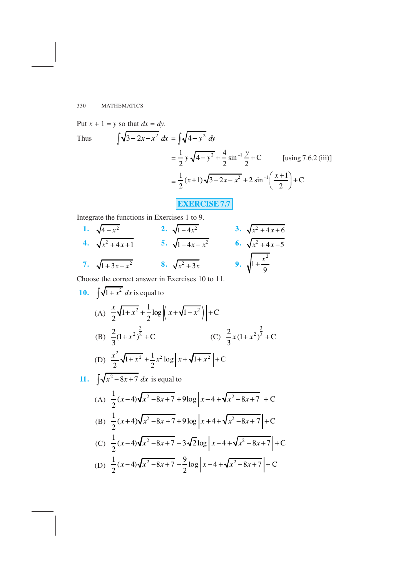Put 
$$
x + 1 = y
$$
 so that  $dx = dy$ .  
\nThus 
$$
\int \sqrt{3 - 2x - x^2} dx = \int \sqrt{4 - y^2} dy
$$
\n
$$
= \frac{1}{2} y \sqrt{4 - y^2} + \frac{4}{2} \sin^{-1} \frac{y}{2} + C \qquad \text{[using 7.6.2 (iii)]}
$$
\n
$$
= \frac{1}{2} (x + 1) \sqrt{3 - 2x - x^2} + 2 \sin^{-1} \left( \frac{x + 1}{2} \right) + C
$$
\nEXERCISE 7.7

Integrate the functions in Exercises 1 to 9.

**1.**  $\sqrt{4-x^2}$  **2.**  $\sqrt{1-4x^2}$  **3.**  $\sqrt{x^2+4x+6}$ **4.**  $\sqrt{x^2 + 4x + 1}$  **5.**  $\sqrt{1 - 4x - x^2}$  **6.**  $\sqrt{x^2 + 4x - 5}$ **7.**  $\sqrt{1+3x-x^2}$  **8.**  $\sqrt{x^2+3x}$  **9.** 2 1 9  $+\frac{x}{2}$ 

Choose the correct answer in Exercises 10 to 11.

10. 
$$
\int \sqrt{1 + x^2} dx
$$
 is equal to  
\n(A)  $\frac{x}{2} \sqrt{1 + x^2} + \frac{1}{2} \log \left| (x + \sqrt{1 + x^2}) \right| + C$   
\n(B)  $\frac{2}{3} (1 + x^2)^{\frac{3}{2}} + C$   
\n(C)  $\frac{2}{3} x (1 + x^2)^{\frac{3}{2}} + C$   
\n(D)  $\frac{x^2}{2} \sqrt{1 + x^2} + \frac{1}{2} x^2 \log |x + \sqrt{1 + x^2}| + C$   
\n11.  $\int \sqrt{x^2 - 8x + 7} dx$  is equal to  
\n(A)  $\frac{1}{2} (x - 4) \sqrt{x^2 - 8x + 7} + 9 \log |x - 4 + \sqrt{x^2 - 8x + 7}| + C$   
\n(B)  $\frac{1}{2} (x + 4) \sqrt{x^2 - 8x + 7} + 9 \log |x + 4 + \sqrt{x^2 - 8x + 7}| + C$   
\n(C)  $\frac{1}{2} (x - 4) \sqrt{x^2 - 8x + 7} - 3 \sqrt{2} \log |x - 4 + \sqrt{x^2 - 8x + 7}| + C$   
\n(D)  $\frac{1}{2} (x - 4) \sqrt{x^2 - 8x + 7} - \frac{9}{2} \log |x - 4 + \sqrt{x^2 - 8x + 7}| + C$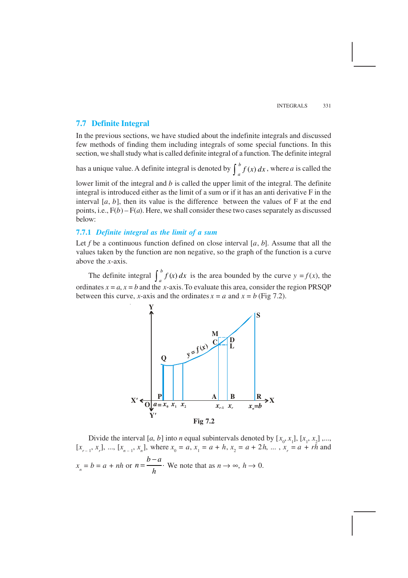## **7.7 Definite Integral**

In the previous sections, we have studied about the indefinite integrals and discussed few methods of finding them including integrals of some special functions. In this section, we shall study what is called definite integral of a function. The definite integral

has a unique value. A definite integral is denoted by  $\int_{a}^{b} f(x)$  $\int_{a}^{b} f(x) dx$ , where *a* is called the

lower limit of the integral and *b* is called the upper limit of the integral. The definite integral is introduced either as the limit of a sum or if it has an anti derivative F in the interval  $[a, b]$ , then its value is the difference between the values of  $F$  at the end points, i.e.,  $F(b) - F(a)$ . Here, we shall consider these two cases separately as discussed below:

### **7.7.1** *Definite integral as the limit of a sum*

Let f be a continuous function defined on close interval  $[a, b]$ . Assume that all the values taken by the function are non negative, so the graph of the function is a curve above the *x*-axis.

The definite integral  $\int_0^b f(x)$  $\int_{a}^{b} f(x) dx$  is the area bounded by the curve  $y = f(x)$ , the ordinates  $x = a$ ,  $x = b$  and the *x*-axis. To evaluate this area, consider the region PRSQP between this curve, *x*-axis and the ordinates  $x = a$  and  $x = b$  (Fig 7.2).



Divide the interval [*a*, *b*] into *n* equal subintervals denoted by  $[x_0, x_1]$ ,  $[x_1, x_2]$ ,...  $[x_{r-1}, x_r], ..., [x_{n-1}, x_n],$  where  $x_0 = a, x_1 = a + h, x_2 = a + 2h, ..., x_r = a + rh$  and  $x_n = b = a + nh$  or  $n = \frac{b-a}{b}$ . *n h* −  $=\frac{3}{4}$  We note that as  $n \to \infty$ ,  $h \to 0$ .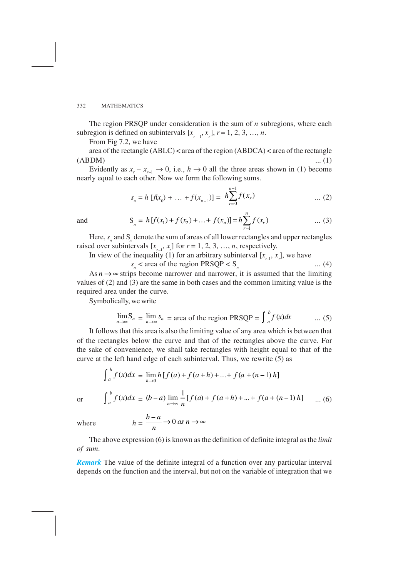The region PRSQP under consideration is the sum of *n* subregions, where each subregion is defined on subintervals  $[x_{r-1}, x_r]$ ,  $r = 1, 2, 3, ..., n$ .

From Fig 7.2, we have

area of the rectangle (ABLC) < area of the region (ABDCA) < area of the rectangle  $(ABDM)$  ... (1)

Evidently as  $x_r - x_{r-1} \rightarrow 0$ , i.e.,  $h \rightarrow 0$  all the three areas shown in (1) become nearly equal to each other. Now we form the following sums.

$$
s_n = h [f(x_0) + \dots + f(x_{n-1})] = h \sum_{r=0}^{n-1} f(x_r) \qquad \dots (2)
$$

and

$$
S_n = h[f(x_1) + f(x_2) + ... + f(x_n)] = h \sum_{r=1}^n f(x_r)
$$
 ... (3)

Here,  $s_n$  and  $S_n$  denote the sum of areas of all lower rectangles and upper rectangles raised over subintervals  $[x_{r-1}, x_r]$  for  $r = 1, 2, 3, ..., n$ , respectively.

In view of the inequality (1) for an arbitrary subinterval  $[x_{r-1}, x_r]$ , we have

 $s_n$  < area of the region PRSQP <  $S_n$ ... (4)

As  $n \to \infty$  strips become narrower and narrower, it is assumed that the limiting values of (2) and (3) are the same in both cases and the common limiting value is the required area under the curve.

Symbolically, we write

$$
\lim_{n \to \infty} S_n = \lim_{n \to \infty} s_n = \text{area of the region PRSQP} = \int_a^b f(x) dx \quad ...(5)
$$

It follows that this area is also the limiting value of any area which is between that of the rectangles below the curve and that of the rectangles above the curve. For the sake of convenience, we shall take rectangles with height equal to that of the curve at the left hand edge of each subinterval. Thus, we rewrite (5) as

$$
\int_{a}^{b} f(x)dx = \lim_{h \to 0} h[f(a) + f(a+h) + ... + f(a + (n-1)h]
$$
  
or 
$$
\int_{a}^{b} f(x)dx = (b-a) \lim_{n \to \infty} \frac{1}{n} [f(a) + f(a+h) + ... + f(a + (n-1)h] ... (6)
$$
  
where 
$$
h = \frac{b-a}{b} \to 0 \text{ as } n \to \infty
$$

 $where$ 

*n* The above expression (6) is known as the definition of definite integral as the *limit of sum*.

*Remark* The value of the definite integral of a function over any particular interval depends on the function and the interval, but not on the variable of integration that we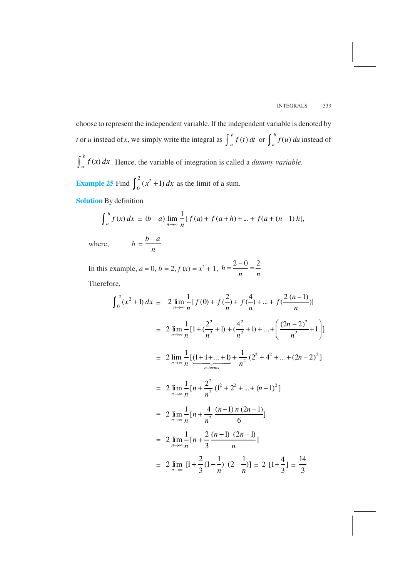choose to represent the independent variable. If the independent variable is denoted by *t* or *u* instead of *x*, we simply write the integral as  $\int_{0}^{b} f(t)$  $\int_a^b f(t) dt$  or  $\int_a^b f(u)$  $\int_a^b f(u) \, du$  instead of  $\int^b f(x)$  $\int_{a}^{b} f(x) dx$ . Hence, the variable of integration is called a *dummy variable*.

**Example 25** Find  $\int_{0}^{2} (x^2 - 1) dx$  $\int_0^2 (x^2 + 1) dx$  as the limit of a sum.

**Solution** By definition

$$
\int_{a}^{b} f(x) dx = (b - a) \lim_{n \to \infty} \frac{1}{n} [f(a) + f(a + h) + ... + f(a + (n - 1) h],
$$
  
here, 
$$
h = \frac{b - a}{n}
$$

wh

In this example,  $a = 0$ ,  $b = 2$ ,  $f(x) = x^2 + 1$ ,  $h = \frac{2 - 0}{x} = \frac{2}{x}$ *n n*  $=$   $=$   $\frac{2}{x}$   $=$ Therefore,

$$
\int_{0}^{2} (x^{2} + 1) dx = 2 \lim_{n \to \infty} \frac{1}{n} [f(0) + f(\frac{2}{n}) + f(\frac{4}{n}) + ... + f(\frac{2(n-1)}{n})]
$$
  
\n
$$
= 2 \lim_{n \to \infty} \frac{1}{n} [1 + (\frac{2^{2}}{n^{2}} + 1) + (\frac{4^{2}}{n^{2}} + 1) + ... + (\frac{(2n-2)^{2}}{n^{2}} + 1)]
$$
  
\n
$$
= 2 \lim_{n \to \infty} \frac{1}{n} [(\frac{1 + 1 + ... + 1}{n^{2}}) + \frac{1}{n^{2}} (2^{2} + 4^{2} + ... + (2n - 2)^{2}]
$$
  
\n
$$
= 2 \lim_{n \to \infty} \frac{1}{n} [n + \frac{2^{2}}{n^{2}} (1^{2} + 2^{2} + ... + (n - 1)^{2}]
$$
  
\n
$$
= 2 \lim_{n \to \infty} \frac{1}{n} [n + \frac{4}{n^{2}} \frac{(n-1) n (2n-1)}{6}]
$$
  
\n
$$
= 2 \lim_{n \to \infty} \frac{1}{n} [n + \frac{2}{3} \frac{(n-1) (2n-1)}{n}]
$$
  
\n
$$
= 2 \lim_{n \to \infty} \frac{1}{n} [n + \frac{2}{3} \frac{(n-1) (2n-1)}{n}]
$$
  
\n
$$
= 2 \lim_{n \to \infty} [1 + \frac{2}{3} (1 - \frac{1}{n}) (2 - \frac{1}{n})] = 2 [1 + \frac{4}{3}] = \frac{14}{3}
$$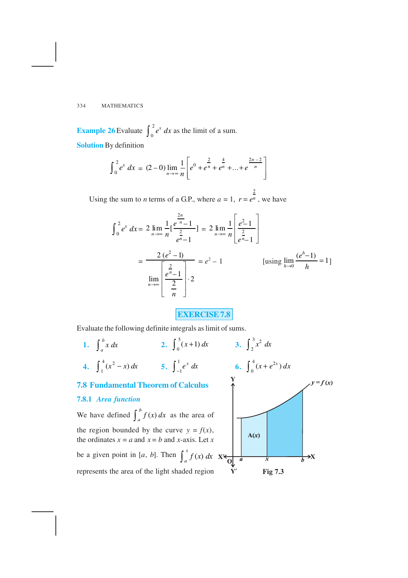**Example 26** Evaluate  $\int_{0}^{2}$ 0  $\int_0^2 e^x dx$  as the limit of a sum. **Solution** By definition

$$
\int_0^2 e^x dx = (2-0) \lim_{n \to \infty} \frac{1}{n} \left[ e^0 + e^{\frac{2}{n}} + e^{\frac{4}{n}} + \dots + e^{\frac{2n-2}{n}} \right]
$$

Using the sum to *n* terms of a G.P., where  $a = 1$ , 2  $r = e^n$ , we have

$$
\int_0^2 e^x dx = 2 \lim_{n \to \infty} \frac{1}{n} \left[ \frac{e^{\frac{2n}{n}} - 1}{e^{n} - 1} \right] = 2 \lim_{n \to \infty} \frac{1}{n} \left[ \frac{e^2 - 1}{e^{\frac{2}{n}} - 1} \right]
$$
  
=  $\frac{2 (e^2 - 1)}{\lim_{n \to \infty} \left[ \frac{e^2}{n} - 1 \right]} = e^2 - 1$  [using  $\lim_{h \to 0} \frac{(e^h - 1)}{h} = 1$ ]  
 $\lim_{n \to \infty} \left[ \frac{e^{\frac{2}{n}} - 1}{\frac{2}{n}} \right] \cdot 2$ 

# **EXERCISE 7.8**

Evaluate the following definite integrals as limit of sums.

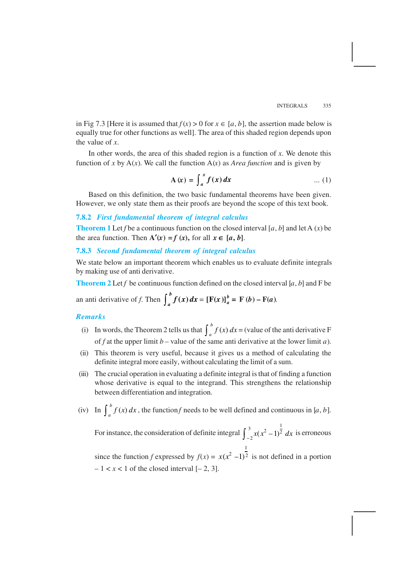in Fig 7.3 [Here it is assumed that  $f(x) > 0$  for  $x \in [a, b]$ , the assertion made below is equally true for other functions as well]. The area of this shaded region depends upon the value of *x*.

In other words, the area of this shaded region is a function of *x*. We denote this function of *x* by  $A(x)$ . We call the function  $A(x)$  as *Area function* and is given by

$$
A(x) = \int_{a}^{x} f(x) dx \qquad \qquad \dots (1)
$$

Based on this definition, the two basic fundamental theorems have been given. However, we only state them as their proofs are beyond the scope of this text book.

## **7.8.2** *First fundamental theorem of integral calculus*

**Theorem 1** Let *f* be a continuous function on the closed interval [ $a$ ,  $b$ ] and let A ( $x$ ) be the area function. Then  $\mathbf{A}'(x) = f(x)$ , for all  $x \in [a, b]$ .

## **7.8.3** *Second fundamental theorem of integral calculus*

We state below an important theorem which enables us to evaluate definite integrals by making use of anti derivative.

**Theorem 2** Let *f* be continuous function defined on the closed interval [ $a$ ,  $b$ ] and F be

an anti derivative of *f*. Then  $\int_a^b f(x)$  $\int_{a}^{b} f(x) dx = [F(x)]_{a}^{b} = F(b) - F(a).$ 

## *Remarks*

- (i) In words, the Theorem 2 tells us that  $\int_{a}^{b} f(x)$  $\int_{a}^{b} f(x) dx$  = (value of the anti derivative F of *f* at the upper limit *b* – value of the same anti derivative at the lower limit *a*).
- (ii) This theorem is very useful, because it gives us a method of calculating the definite integral more easily, without calculating the limit of a sum.
- (iii) The crucial operation in evaluating a definite integral is that of finding a function whose derivative is equal to the integrand. This strengthens the relationship between differentiation and integration.
- $(iv)$  In  $\int^b f(x)$  $\int_{a}^{b} f(x) dx$ , the function *f* needs to be well defined and continuous in [*a*, *b*].

For instance, the consideration of definite integral <sup>3</sup>  $x(x^2-1)^{\frac{1}{2}}$  $\int_{-2}^{3} x(x^2 - 1)^{\frac{1}{2}} dx$  is erroneous since the function *f* expressed by  $f(x) =$ 1  $x(x^2 - 1)^2$  is not defined in a portion

 $-1 < x < 1$  of the closed interval  $[-2, 3]$ .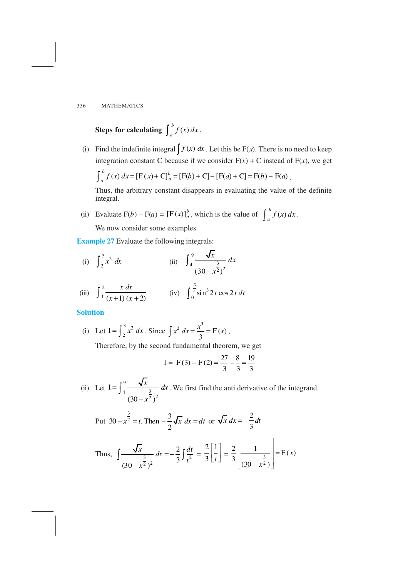### **Steps for calculating**  $\int_0^b f(x)$  $\int_a^b f(x) dx$ .

(i) Find the indefinite integral  $\int f(x) dx$ . Let this be F(*x*). There is no need to keep integration constant C because if we consider  $F(x) + C$  instead of  $F(x)$ , we get

$$
\int_{a}^{b} f(x) dx = [F(x) + C]_{a}^{b} = [F(b) + C] - [F(a) + C] = F(b) - F(a).
$$

Thus, the arbitrary constant disappears in evaluating the value of the definite integral.

(ii) Evaluate  $F(b) - F(a) = [F(x)]_a^b$ , which is the value of  $\int_a^b f(x)$  $\int_a^b f(x) dx$ .

We now consider some examples

**Example 27** Evaluate the following integrals:

(i) 
$$
\int_{2}^{3} x^{2} dx
$$
  
\n(ii)  $\int_{4}^{9} \frac{\sqrt{x}}{(30 - x^{2})^{2}} dx$   
\n(iii)  $\int_{1}^{2} \frac{x dx}{(x + 1) (x + 2)}$   
\n(iv)  $\int_{0}^{\frac{\pi}{4}} \sin^{3} 2t \cos 2t dt$ 

**Solution**

(i) Let 
$$
I = \int_{2}^{3} x^{2} dx
$$
. Since  $\int x^{2} dx = \frac{x^{3}}{3} = F(x)$ ,

Therefore, by the second fundamental theorem, we get

I = F(3) – F(2) = 
$$
\frac{27}{3} - \frac{8}{3} = \frac{19}{3}
$$

(ii) Let  $I = \int_{4}^{9}$ 4  $\frac{3}{5}$  $\overline{2}$   $\overline{2}$ I  $(30 - x^2)$  $\frac{x}{2}$  *dx x*  $=\int_{4}^{9} \frac{\mathbf{\nabla} \mathbf{x}}{3} dx$ . We first find the anti-derivative of the integrand.

Put 
$$
30 - x^{\frac{3}{2}} = t
$$
. Then  $-\frac{3}{2}\sqrt{x} dx = dt$  or  $\sqrt{x} dx = -\frac{2}{3} dt$ 

Thus, 
$$
\int \frac{\sqrt{x}}{(30 - x^{\frac{3}{2}})^2} dx = -\frac{2}{3} \int \frac{dt}{t^2} = \frac{2}{3} \left[ \frac{1}{t} \right] = \frac{2}{3} \left[ \frac{1}{(30 - x^{\frac{3}{2}})} \right] = F(x)
$$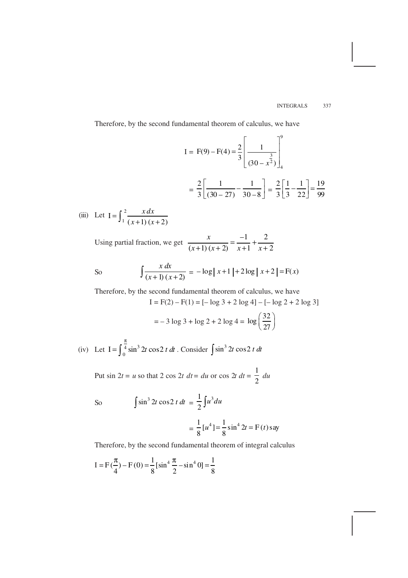Therefore, by the second fundamental theorem of calculus, we have

$$
I = F(9) - F(4) = \frac{2}{3} \left[ \frac{1}{(30 - x^2)} \right]_4^9
$$
  
=  $\frac{2}{3} \left[ \frac{1}{(30 - 27)} - \frac{1}{30 - 8} \right] = \frac{2}{3} \left[ \frac{1}{3} - \frac{1}{22} \right] = \frac{19}{99}$   
(iii) Let  $I = \int_1^2 \frac{x \, dx}{(x + 1)(x + 2)}$ 

Using partial fraction, we get  $\frac{x}{(x+1)(x+2)} = \frac{-1}{-1} + \frac{2}{-1}$  $(x+1) (x+2)$   $x+1$   $x+2$ *x*  $(x+1)(x+2)$   $x+1$  *x*  $= -\frac{1}{1} +$  $+1(x+2)$   $x+1$   $x+$ 

So 
$$
\int \frac{x \, dx}{(x+1)(x+2)} = -\log|x+1| + 2\log|x+2| = F(x)
$$

Therefore, by the second fundamental theorem of calculus, we have

I = F(2) – F(1) = [- log 3 + 2 log 4] – [- log 2 + 2 log 3]  
= - 3 log 3 + log 2 + 2 log 4 = log 
$$
\left(\frac{32}{27}\right)
$$

(iv) Let  $I = \int_0^4 \sin^3 2t \cos 2t \, dt$ π  $=\int_0^{\overline{4}} \sin^3 2t \cos 2t \, dt$ . Consider  $\int \sin^3 2t \cos 2t \, dt$ 

Put sin  $2t = u$  so that 2 cos 2*t*  $dt = du$  or cos 2*t*  $dt = \frac{1}{2}$ 2  *du*

So 
$$
\int \sin^3 2t \cos 2t \, dt = \frac{1}{2} \int u^3 du
$$

$$
= \frac{1}{8} [u^4] = \frac{1}{8} \sin^4 2t = F(t) \text{ say}
$$

Therefore, by the second fundamental theorem of integral calculus

$$
I = F\left(\frac{\pi}{4}\right) - F\left(0\right) = \frac{1}{8}\left[\sin^4\frac{\pi}{2} - \sin^4 0\right] = \frac{1}{8}
$$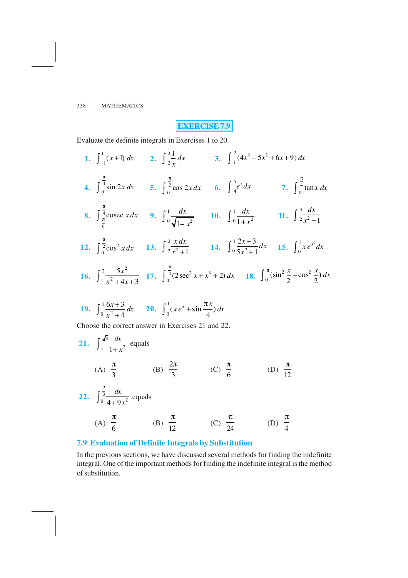**EXERCISE 7.9**

Evaluate the definite integrals in Exercises 1 to 20.

1. 
$$
\int_{-1}^{1} (x+1) dx
$$
 2.  $\int_{2}^{3} \frac{1}{x} dx$  3.  $\int_{1}^{2} (4x^{3} - 5x^{2} + 6x + 9) dx$   
\n4.  $\int_{0}^{\frac{\pi}{4}} \sin 2x dx$  5.  $\int_{0}^{\frac{\pi}{2}} \cos 2x dx$  6.  $\int_{4}^{5} e^{x} dx$  7.  $\int_{0}^{\frac{\pi}{4}} \tan x dx$   
\n8.  $\int_{\frac{\pi}{6}}^{\frac{\pi}{4}} \csc x dx$  9.  $\int_{0}^{1} \frac{dx}{\sqrt{1-x^{2}}}$  10.  $\int_{0}^{1} \frac{dx}{1+x^{2}}$  11.  $\int_{2}^{3} \frac{dx}{x^{2}-1}$   
\n12.  $\int_{0}^{\frac{\pi}{2}} \cos^{2} x dx$  13.  $\int_{2}^{3} \frac{x dx}{x^{2}+1}$  14.  $\int_{0}^{1} \frac{2x+3}{5x^{2}+1} dx$  15.  $\int_{0}^{1} x e^{x^{2}} dx$   
\n16.  $\int_{1}^{2} \frac{5x^{2}}{x^{2}+4x+3}$  17.  $\int_{0}^{\frac{\pi}{4}} (2 \sec^{2} x + x^{3} + 2) dx$  18.  $\int_{0}^{\pi} (\sin^{2} \frac{x}{2} - \cos^{2} \frac{x}{2}) dx$   
\n19.  $\int_{0}^{2} \frac{6x+3}{x^{2}+4} dx$  20.  $\int_{0}^{1} (xe^{x} + \sin \frac{\pi x}{4}) dx$   
\nChoose the correct answer in Exercises 21 and 22.  
\n21.  $\int_{1}^{5} \frac{dx}{1+x^{2}}$  equals  
\n(A)  $\frac{\pi}{3}$  (B)  $\frac{2\pi}{3}$  (C)  $\frac{\pi}{6}$  (D)  $\frac{\pi}{12}$   
\n22.  $\int_{0}^{\frac{2}{3}} \frac{dx}{4+9x^{2}}$  equals  
\n(A)  $\frac{\pi}{6}$ 

# **7.9 Evaluation of Definite Integrals by Substitution**

In the previous sections, we have discussed several methods for finding the indefinite integral. One of the important methods for finding the indefinite integral is the method of substitution.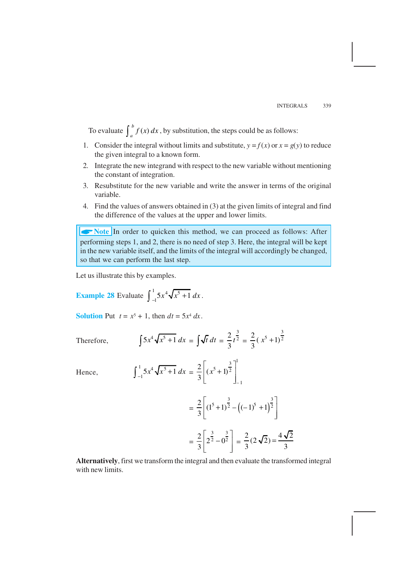To evaluate  $\int_0^b f(x)$  $\int_{a}^{b} f(x) dx$ , by substitution, the steps could be as follows:

- 1. Consider the integral without limits and substitute,  $y = f(x)$  or  $x = g(y)$  to reduce the given integral to a known form.
- 2. Integrate the new integrand with respect to the new variable without mentioning the constant of integration.
- 3. Resubstitute for the new variable and write the answer in terms of the original variable.
- 4. Find the values of answers obtained in (3) at the given limits of integral and find the difference of the values at the upper and lower limits.

**ANOTE** In order to quicken this method, we can proceed as follows: After performing steps 1, and 2, there is no need of step 3. Here, the integral will be kept in the new variable itself, and the limits of the integral will accordingly be changed, so that we can perform the last step.

Let us illustrate this by examples.

**Example 28** Evaluate 
$$
\int_{-1}^{1} 5x^4 \sqrt{x^5 + 1} \, dx
$$
.

**Solution** Put  $t = x^5 + 1$ , then  $dt = 5x^4 dx$ .

 $\frac{1}{5}$  5  $\sqrt{4}$ ,  $\sqrt{25}$  $\int_{-1}^{1} 5x^4 \sqrt{x^5 + 1} dx =$ 

Therefore,

$$
\int 5x^4 \sqrt{x^5 + 1} \, dx = \int \sqrt{t} \, dt = \frac{2}{3} t^{\frac{3}{2}} = \frac{2}{3} (x^5 + 1)^{\frac{3}{2}}
$$

 $\frac{2}{2}$  ( $x^5$  + 1)

 $\left[ (x^5+1)^{\frac{3}{2}} \right]$  $\begin{bmatrix} 1 & 1 \\ 1 & 1 \end{bmatrix}$ 

3

Hence,

$$
= \frac{2}{3} \left[ (1^5 + 1)^{\frac{3}{2}} - \left( (-1)^5 + 1 \right)^{\frac{3}{2}} \right]
$$

$$
= \frac{2}{3} \left[ 2^{\frac{3}{2}} - 0^{\frac{3}{2}} \right] = \frac{2}{3} (2\sqrt{2}) = \frac{4\sqrt{2}}{3}
$$

3 $\overline{1}^1$  $^{5}+1\sqrt{2}$ 

– 1

**Alternatively**, first we transform the integral and then evaluate the transformed integral with new limits.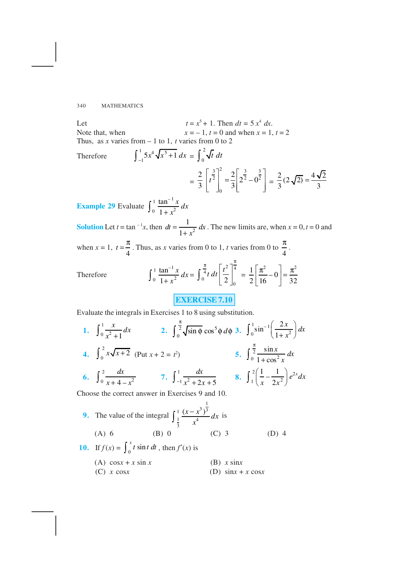Let  $t = x^5 + 1$ . Then  $dt = 5x^4 dx$ . Note that, when  $x = -1$ ,  $t = 0$  and when  $x = 1$ ,  $t = 2$ Thus, as *x* varies from  $-1$  to 1, *t* varies from 0 to 2 Therefore 1  $4 \cdot 5$  $5x^4\sqrt{x^3+1} dx$  $\int_{-1}^{1} 5x^4 \sqrt{x^5 +}$  = 2

$$
\int_{-1}^{1} 5x^4 \sqrt{x^5 + 1} \, dx = \int_0^2 \sqrt{t} \, dt
$$
  
=  $\frac{2}{3} \left[ t^{\frac{3}{2}} \right]_0^2 = \frac{2}{3} \left[ 2^{\frac{3}{2}} - 0^{\frac{3}{2}} \right] = \frac{2}{3} (2 \sqrt{2}) = \frac{4 \sqrt{2}}{3}$ 

**Example 29** Evaluate  $1$  tan<sup>-1</sup> 0 1 +  $r^2$ tan 1 *x dx*  $\int_0^1 \frac{\tan x}{1+x}$ 

Therefore

**Solution** Let  $t = \tan^{-1}x$ , then  $dt = \frac{1}{1+x^2}$ 1  $dt = \frac{1}{2} dx$ *x* = + . The new limits are, when  $x = 0, t = 0$  and π  $\frac{\pi}{4}$ .

when 
$$
x = 1
$$
,  $t = \frac{\pi}{4}$ . Thus, as x varies from 0 to 1, t varies from 0 to  $\frac{\pi}{4}$ 

$$
\int_0^1 \frac{\tan^{-1} x}{1 + x^2} dx = \int_0^{\frac{\pi}{4}} t dt \left[ \frac{t^2}{2} \right]_0^{\frac{\pi}{4}} = \frac{1}{2} \left[ \frac{\pi^2}{16} - 0 \right] = \frac{\pi^2}{32}
$$

# **EXERCISE 7.10**

Evaluate the integrals in Exercises 1 to 8 using substitution.

1. 
$$
\int_{0}^{1} \frac{x}{x^2 + 1} dx
$$
  
\n2.  $\int_{0}^{\frac{\pi}{2}} \sqrt{\sin \phi} \cos^5 \phi d\phi$   
\n3.  $\int_{0}^{1} \sin^{-1} \left(\frac{2x}{1 + x^2}\right) dx$   
\n4.  $\int_{0}^{2} x \sqrt{x + 2} \text{ (Put } x + 2 = t^2)$   
\n5.  $\int_{0}^{\frac{\pi}{2}} \frac{\sin x}{1 + \cos^2 x} dx$   
\n6.  $\int_{0}^{2} \frac{dx}{x + 4 - x^2}$   
\n7.  $\int_{-1}^{1} \frac{dx}{x^2 + 2x + 5}$   
\n8.  $\int_{1}^{2} \left(\frac{1}{x} - \frac{1}{2x^2}\right) e^{2x} dx$ 

Choose the correct answer in Exercises 9 and 10.

9. The value of the integral 
$$
\int_{\frac{1}{3}}^{1} \frac{(x - x^3)^{\frac{1}{3}}}{x^4} dx
$$
 is  
\n(A) 6 (B) 0 (C) 3 (D) 4  
\n10. If  $f(x) = \int_{0}^{x} t \sin t \, dt$ , then  $f'(x)$  is

(A) 
$$
\cos x + x \sin x
$$
  
(B)  $x \sin x$   
(C)  $x \cos x$   
(D)  $\sin x + x \cos x$ 

$$
(D) \ \sin x + x \cos y
$$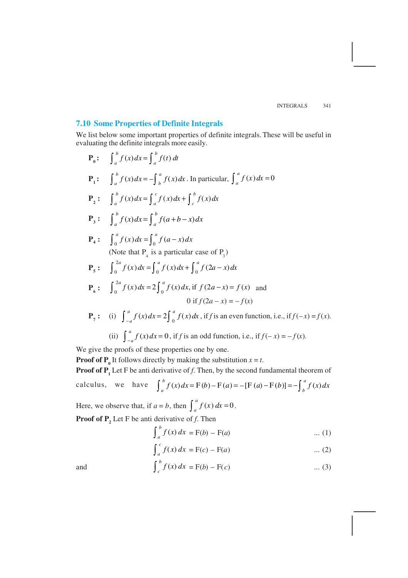## **7.10 Some Properties of Definite Integrals**

We list below some important properties of definite integrals. These will be useful in evaluating the definite integrals more easily.

$$
\mathbf{P}_0: \int_a^b f(x) dx = \int_a^b f(t) dt
$$
\n
$$
\mathbf{P}_1: \int_a^b f(x) dx = -\int_b^a f(x) dx. \text{ In particular, } \int_a^a f(x) dx = 0
$$
\n
$$
\mathbf{P}_2: \int_a^b f(x) dx = \int_a^c f(x) dx + \int_c^b f(x) dx
$$
\n
$$
\mathbf{P}_3: \int_a^b f(x) dx = \int_a^b f(a+b-x) dx
$$
\n
$$
\mathbf{P}_4: \int_0^a f(x) dx = \int_0^a f(a-x) dx
$$
\n(Note that  $\mathbf{P}_4$  is a particular case of  $\mathbf{P}_3$ )\n
$$
\mathbf{P}_5: \int_0^{2a} f(x) dx = \int_0^a f(x) dx + \int_0^a f(2a-x) dx
$$
\n
$$
\mathbf{P}_6: \int_0^{2a} f(x) dx = 2 \int_0^a f(x) dx, \text{ if } f(2a-x) = f(x) \text{ and}
$$
\n
$$
\text{or if } f(2a-x) = -f(x)
$$
\n
$$
\mathbf{P}_7: \text{ (i) } \int_{-a}^a f(x) dx = 2 \int_0^a f(x) dx, \text{ if } f \text{ is an even function, i.e., if } f(-x) = f(x).
$$
\n(ii) 
$$
\int_{-a}^a f(x) dx = 0, \text{ if } f \text{ is an odd function, i.e., if } f(-x) = -f(x).
$$
\n
$$
\text{give the proofs of these properties one by one.}
$$

We give the proofs of these properties one by one.

**Proof of P<sub>0</sub>** It follows directly by making the substitution  $x = t$ .

**Proof of P<sub>1</sub>** Let F be anti derivative of *f*. Then, by the second fundamental theorem of calculus, we have  $\int_{a}^{b} f(x) dx = F(b) - F(a) = -[F(a) - F(b)] = -\int_{a}^{a} f(x) dx$  $\int_{a}^{b} f(x) dx = F(b) - F(a) = -[F(a) - F(b)] = -\int_{b}^{a} f(x) dx$ 

Here, we observe that, if  $a = b$ , then  $\int_{a}^{a} f(x) dx = 0$  $\int_{a}^{a} f(x) dx = 0$ . **Proof of P<sub>2</sub>** Let F be anti-derivative of *f*. Then

$$
\int_{a}^{b} f(x) dx = F(b) - F(a) \quad ...(1)
$$

$$
\int_{a}^{c} f(x) dx = F(c) - F(a) \quad ...(2)
$$

and 
$$
\int_{c}^{b} f(x) dx = F(b) - F(c) \quad ...(3)
$$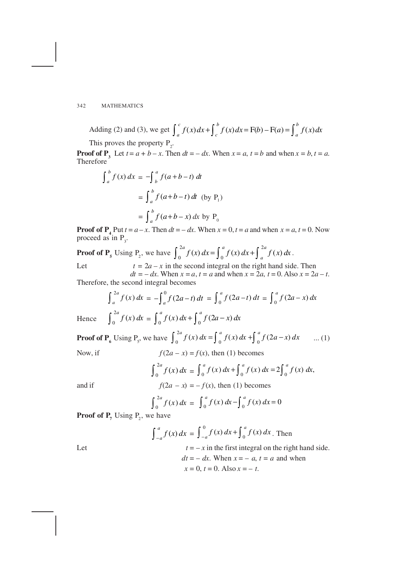Adding (2) and (3), we get 
$$
\int_{a}^{c} f(x) dx + \int_{c}^{b} f(x) dx = F(b) - F(a) = \int_{a}^{b} f(x) dx
$$

This proves the property  $P_2$ .

**Proof of P**<sub>3</sub> Let  $t = a + b - x$ . Then  $dt = -dx$ . When  $x = a$ ,  $t = b$  and when  $x = b$ ,  $t = a$ . Therefore

$$
\int_{a}^{b} f(x) dx = -\int_{b}^{a} f(a+b-t) dt
$$
  
=  $\int_{a}^{b} f(a+b-t) dt$  (by P<sub>1</sub>)  
=  $\int_{a}^{b} f(a+b-x) dx$  by P<sub>0</sub>

**Proof of P<sub>4</sub> Put**  $t = a - x$ **. Then**  $dt = -dx$ **. When**  $x = 0$ **,**  $t = a$  **and when**  $x = a$ **,**  $t = 0$ **. Now** proceed as in  $P_3$ .

**Proof of P<sub>5</sub>** Using P<sub>2</sub>, we have  $\int_0^{2a} f(x) dx = \int_0^a f(x) dx + \int_a^2 f(x) dx$  $\int_{0}^{2a} f(x) dx = \int_{0}^{a} f(x) dx + \int_{a}^{2a} f(x) dx$  $\int_0^{2a} f(x) dx = \int_0^a f(x) dx + \int_a^{2a} f(x) dx$ . Let  $t = 2a - x$  in the second integral on the right hand side. Then

*dt* = – *dx*. When  $x = a$ ,  $t = a$  and when  $x = 2a$ ,  $t = 0$ . Also  $x = 2a - t$ . Therefore, the second integral becomes

$$
\int_{a}^{2a} f(x) dx = -\int_{a}^{0} f(2a - t) dt = \int_{0}^{a} f(2a - t) dt = \int_{0}^{a} f(2a - x) dx
$$

$$
\int_{0}^{2a} f(x) dx = \int_{0}^{a} f(x) dx + \int_{0}^{a} f(2a - x) dx
$$

Hence

**Proof of P<sub>6</sub>** Using P<sub>5</sub>, we have  $\int_0^2$  $\int_0^{2a} f(x) dx = \int_0^a f(x) dx + \int_0^a f(2a-x) dx$  ... (1)

Now, if  $f(2a - x) = f(x)$ , then (1) becomes

$$
\int_0^{2a} f(x) dx = \int_0^a f(x) dx + \int_0^a f(x) dx = 2 \int_0^a f(x) dx,
$$

and if 
$$
f(2a - x) = -f(x)
$$
, then (1) becomes

$$
\int_0^{2a} f(x) dx = \int_0^a f(x) dx - \int_0^a f(x) dx = 0
$$

**Proof of P<sub>7</sub>** Using  $P_2$ , we have

$$
\int_{-a}^{a} f(x) dx = \int_{-a}^{0} f(x) dx + \int_{0}^{a} f(x) dx
$$
. Then

Let 
$$
t = -x
$$
 in the first integral on the right hand side.  
\n $dt = -dx$ . When  $x = -a$ ,  $t = a$  and when  $x = 0$ ,  $t = 0$ . Also  $x = -t$ .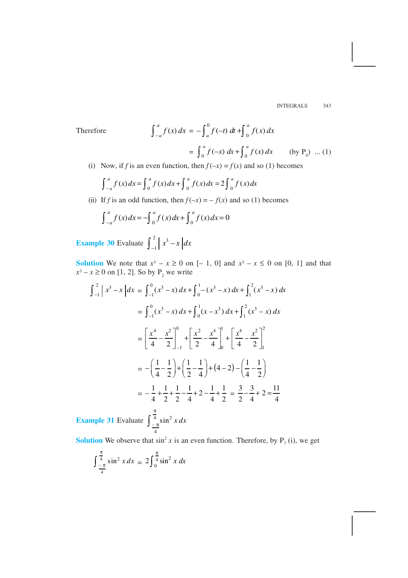Therefore  $\int$ 

$$
\int_{-a}^{a} f(x) dx = -\int_{a}^{0} f(-t) dt + \int_{0}^{a} f(x) dx
$$

$$
= \int_{0}^{a} f(-x) dx + \int_{0}^{a} f(x) dx \qquad (by P_0) \dots (1)
$$

(i) Now, if *f* is an even function, then  $f(-x) = f(x)$  and so (1) becomes

$$
\int_{-a}^{a} f(x) dx = \int_{0}^{a} f(x) dx + \int_{0}^{a} f(x) dx = 2 \int_{0}^{a} f(x) dx
$$

(ii) If *f* is an odd function, then  $f(-x) = -f(x)$  and so (1) becomes

$$
\int_{-a}^{a} f(x) dx = -\int_{0}^{a} f(x) dx + \int_{0}^{a} f(x) dx = 0
$$

**Example 30** Evaluate  $\int_{-1}^{2} |x^3| dx$  $\int_{-1}^{2} |x^3 - x| dx$ 

**Solution** We note that  $x^3 - x \ge 0$  on  $[-1, 0]$  and  $x^3 - x \le 0$  on  $[0, 1]$  and that  $x^3 - x \ge 0$  on [1, 2]. So by P<sub>2</sub> we write

$$
\int_{-1}^{2} |x^3 - x| dx = \int_{-1}^{0} (x^3 - x) dx + \int_{0}^{1} -(x^3 - x) dx + \int_{1}^{2} (x^3 - x) dx
$$
  

$$
= \int_{-1}^{0} (x^3 - x) dx + \int_{0}^{1} (x - x^3) dx + \int_{1}^{2} (x^3 - x) dx
$$
  

$$
= \left[ \frac{x^4}{4} - \frac{x^2}{2} \right]_{-1}^{0} + \left[ \frac{x^2}{2} - \frac{x^4}{4} \right]_{0}^{1} + \left[ \frac{x^4}{4} - \frac{x^2}{2} \right]_{1}^{2}
$$
  

$$
= -\left( \frac{1}{4} - \frac{1}{2} \right) + \left( \frac{1}{2} - \frac{1}{4} \right) + (4 - 2) - \left( \frac{1}{4} - \frac{1}{2} \right)
$$
  

$$
= -\frac{1}{4} + \frac{1}{2} + \frac{1}{2} - \frac{1}{4} + 2 - \frac{1}{4} + \frac{1}{2} = \frac{3}{2} - \frac{3}{4} + 2 = \frac{11}{4}
$$
  

$$
\frac{\pi}{2}
$$

**Example 31** Evaluate  $\int_{-\pi}^{4} \sin^2 x \, dx$ 4

 $\bar{z}$ 

**Solution** We observe that  $\sin^2 x$  is an even function. Therefore, by  $P_7$  (i), we get

$$
\int_{-\frac{\pi}{4}}^{\frac{\pi}{4}} \sin^2 x \, dx = 2 \int_{0}^{\frac{\pi}{4}} \sin^2 x \, dx
$$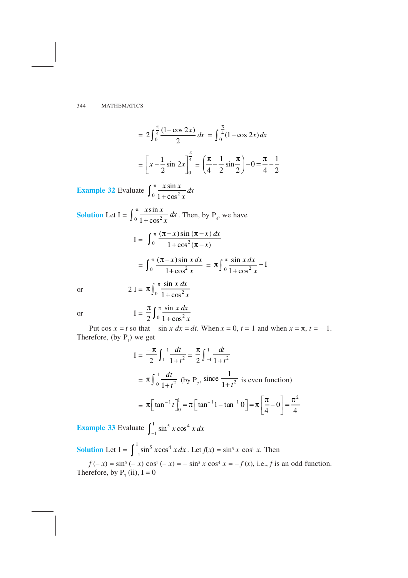$$
= 2\int_0^{\frac{\pi}{4}} \frac{(1-\cos 2x)}{2} dx = \int_0^{\frac{\pi}{4}} (1-\cos 2x) dx
$$

$$
= \left[x - \frac{1}{2}\sin 2x\right]_0^{\frac{\pi}{4}} = \left(\frac{\pi}{4} - \frac{1}{2}\sin \frac{\pi}{2}\right) - 0 = \frac{\pi}{4} - \frac{1}{2}
$$

**Example 32** Evaluate  $\int_0^{\pi} \frac{x \sin x}{1 + \cos^2 x}$  $1 + \cos$  $\frac{x \sin x}{2} dx$ *x* π  $\int_0^{\pi} \frac{x}{1+x}$ 

Solution Let 
$$
I = \int_0^{\pi} \frac{x \sin x}{1 + \cos^2 x} dx
$$
. Then, by  $P_4$ , we have  
\n
$$
I = \int_0^{\pi} \frac{(\pi - x) \sin (\pi - x) dx}{1 + \cos^2 (\pi - x)}
$$
\n
$$
= \int_0^{\pi} \frac{(\pi - x) \sin x dx}{1 + \cos^2 x} = \pi \int_0^{\pi} \frac{\sin x dx}{1 + \cos^2 x} - I
$$
\nor\n
$$
2 I = \pi \int_0^{\pi} \frac{\sin x dx}{1 + \cos^2 x}
$$

or  
\n
$$
2 I = \pi \int_0^{\pi} \frac{\sin x \, dx}{1 + \cos^2 x}
$$
\nor  
\n
$$
I = \frac{\pi}{2} \int_0^{\pi} \frac{\sin x \, dx}{1 + \cos^2 x}
$$

 $2^{10}$  1 + cos

Put cos  $x = t$  so that – sin  $x dx = dt$ . When  $x = 0$ ,  $t = 1$  and when  $x = \pi$ ,  $t = -1$ . Therefore, (by  $P_1$ ) we get

*x*

$$
I = \frac{-\pi}{2} \int_{1}^{-1} \frac{dt}{1+t^2} = \frac{\pi}{2} \int_{-1}^{1} \frac{dt}{1+t^2}
$$
  
=  $\pi \int_{0}^{1} \frac{dt}{1+t^2}$  (by P<sub>7</sub>, since  $\frac{1}{1+t^2}$  is even function)  
=  $\pi \left[ \tan^{-1} t \right]_{0}^{1} = \pi \left[ \tan^{-1} 1 - \tan^{-1} 0 \right] = \pi \left[ \frac{\pi}{4} - 0 \right] = \frac{\pi^2}{4}$ 

**Example 33** Evaluate  $\int_1^1 \sin^5 x \cos^4 x$  $\int_{-1}^{1} \sin^5 x \cos^4 x \, dx$ 

**Solution** Let  $I = \int_{0}^{1} \sin^5 x \cos^4 x$  $\int_{-1}^{1} \sin^5 x \cos^4 x \, dx$ . Let  $f(x) = \sin^5 x \cos^4 x$ . Then  $f(-x) = \sin^5(-x) \cos^4(-x) = -\sin^5 x \cos^4 x = -f(x)$ , i.e., *f* is an odd function. Therefore, by  $P_7$  (ii),  $I = 0$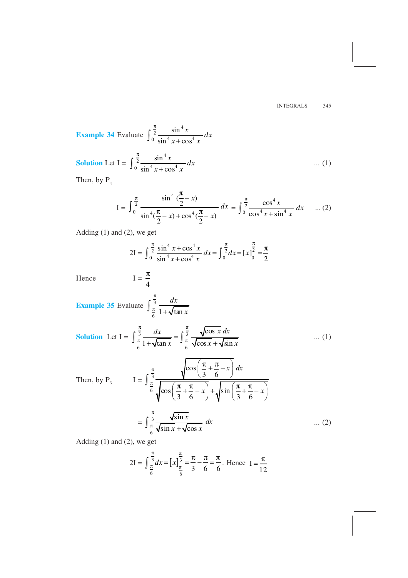**Example 34** Evaluate 
$$
\int_{0}^{\frac{\pi}{2}} \frac{\sin^4 x}{\sin^4 x + \cos^4 x} dx
$$
  
\n**Solution** Let  $I = \int_{0}^{\frac{\pi}{2}} \frac{\sin^4 x}{\sin^4 x + \cos^4 x} dx$  ... (1)  
\nThen, by P<sub>4</sub>

$$
I = \int_0^{\frac{\pi}{2}} \frac{\sin^4(\frac{\pi}{2} - x)}{\sin^4(\frac{\pi}{2} - x) + \cos^4(\frac{\pi}{2} - x)} dx = \int_0^{\frac{\pi}{2}} \frac{\cos^4 x}{\cos^4 x + \sin^4 x} dx \quad \dots (2)
$$

Adding (1) and (2), we get

π

$$
2I = \int_0^{\frac{\pi}{2}} \frac{\sin^4 x + \cos^4 x}{\sin^4 x + \cos^4 x} dx = \int_0^{\frac{\pi}{2}} dx = [x]_0^{\frac{\pi}{2}} = \frac{\pi}{2}
$$

Hence  $I =$ 

**Example 35** Evaluate 
$$
\int_{\frac{\pi}{6}}^{\frac{\pi}{3}} \frac{dx}{1 + \sqrt{\tan x}}
$$
  
\n**Solution** Let  $I = \int_{\frac{\pi}{6}}^{\frac{\pi}{3}} \frac{dx}{1 + \sqrt{\tan x}} = \int_{\frac{\pi}{6}}^{\frac{\pi}{3}} \frac{\sqrt{\cos x} dx}{\sqrt{\cos x} + \sqrt{\sin x}}$  ... (1)  
\nThen, by P<sub>3</sub> 
$$
I = \int_{\frac{\pi}{6}}^{\frac{\pi}{3}} \frac{\sqrt{\cos \left(\frac{\pi}{3} + \frac{\pi}{6} - x\right)} dx}{\sqrt{\cos \left(\frac{\pi}{3} + \frac{\pi}{6} - x\right)} + \sqrt{\sin \left(\frac{\pi}{3} + \frac{\pi}{6} - x\right)}}
$$

$$
= \int_{\frac{\pi}{6}}^{\frac{\pi}{3}} \frac{\sqrt{\sin x}}{\sqrt{\sin x} + \sqrt{\cos x}} dx
$$
 ... (2)

Adding (1) and (2), we get

$$
2I = \int_{\frac{\pi}{6}}^{\frac{\pi}{3}} dx = \left[x\right]_{\frac{\pi}{6}}^{\frac{\pi}{3}} = \frac{\pi}{3} - \frac{\pi}{6} = \frac{\pi}{6}. \text{ Hence } I = \frac{\pi}{12}
$$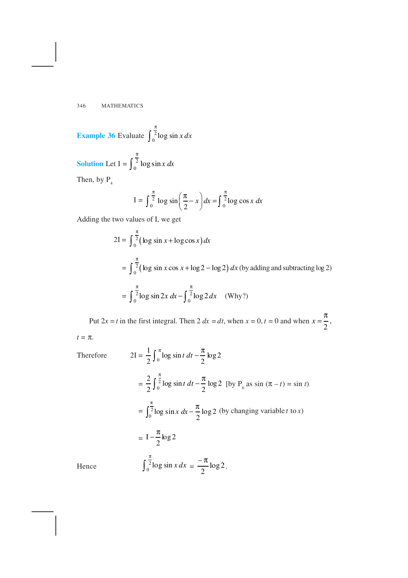**Example 36** Evaluate 
$$
\int_0^{\frac{\pi}{2}} \log \sin x \, dx
$$

 $\mathbf{r}$ 

Solution Let 
$$
I = \int_0^{\frac{\pi}{2}} \log \sin x \, dx
$$

Then, by  $\mathrm{P}_4$ 

$$
I = \int_0^{\frac{\pi}{2}} \log \sin \left( \frac{\pi}{2} - x \right) dx = \int_0^{\frac{\pi}{2}} \log \cos x \, dx
$$

Adding the two values of I, we get

$$
2I = \int_0^{\frac{\pi}{2}} (\log \sin x + \log \cos x) dx
$$
  
= 
$$
\int_0^{\frac{\pi}{2}} (\log \sin x \cos x + \log 2 - \log 2) dx
$$
 (by adding and subtracting log 2)  
= 
$$
\int_0^{\frac{\pi}{2}} \log \sin 2x dx - \int_0^{\frac{\pi}{2}} \log 2 dx
$$
 (Why?)

Put  $2x = t$  in the first integral. Then  $2 dx = dt$ , when  $x = 0$ ,  $t = 0$  and when 2 *x* π  $=\frac{1}{2},$ 

 $t = \pi$ .

Therefore  
\n
$$
2I = \frac{1}{2} \int_0^{\pi} \log \sin t \, dt - \frac{\pi}{2} \log 2
$$
\n
$$
= \frac{2}{2} \int_0^{\frac{\pi}{2}} \log \sin t \, dt - \frac{\pi}{2} \log 2 \quad \text{[by } P_6 \text{ as } \sin (\pi - t) = \sin t)
$$
\n
$$
= \int_0^{\frac{\pi}{2}} \log \sin x \, dx - \frac{\pi}{2} \log 2 \quad \text{(by changing variable } t \text{ to } x)
$$
\n
$$
= I - \frac{\pi}{2} \log 2
$$
\nHence  
\n
$$
\int_0^{\frac{\pi}{2}} \log \sin x \, dx = \frac{-\pi}{2} \log 2.
$$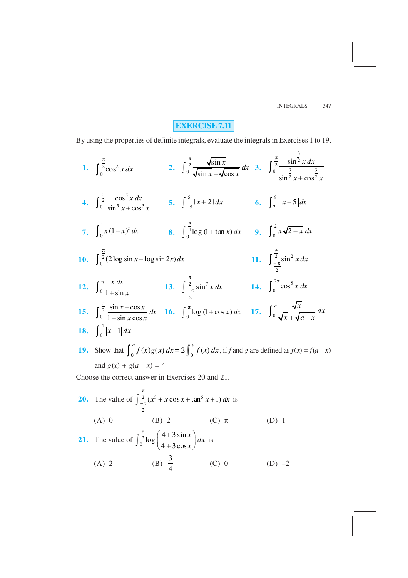# **EXERCISE 7.11**

By using the properties of definite integrals, evaluate the integrals in Exercises 1 to 19.

1. 
$$
\int_{0}^{\frac{\pi}{2}} \cos^{2} x \, dx
$$
  
\n2.  $\int_{0}^{\frac{\pi}{2}} \frac{\sqrt{\sin x}}{\sqrt{\sin x} + \sqrt{\cos x}} \, dx$   
\n3.  $\int_{0}^{\frac{\pi}{2}} \frac{\sin^{\frac{3}{2}} x \, dx}{\sin^{\frac{3}{2}} x + \cos^{\frac{3}{2}} x}$   
\n4.  $\int_{0}^{\frac{\pi}{2}} \frac{\cos^{5} x \, dx}{\sin^{5} x + \cos^{5} x}$   
\n5.  $\int_{-5}^{5} |x + 2| \, dx$   
\n6.  $\int_{2}^{8} |x - 5| \, dx$   
\n7.  $\int_{0}^{1} x (1 - x)^{n} \, dx$   
\n8.  $\int_{0}^{\frac{\pi}{4}} \log (1 + \tan x) \, dx$   
\n9.  $\int_{0}^{2} x \sqrt{2 - x} \, dx$   
\n10.  $\int_{0}^{\frac{\pi}{2}} (2 \log \sin x - \log \sin 2x) \, dx$   
\n11.  $\int_{-\frac{\pi}{2}}^{\frac{\pi}{2}} \sin^{2} x \, dx$   
\n12.  $\int_{0}^{\frac{\pi}{4}} \frac{x \, dx}{1 + \sin x}$   
\n13.  $\int_{-\frac{\pi}{2}}^{\frac{\pi}{2}} \sin^{7} x \, dx$   
\n14.  $\int_{0}^{2\pi} \cos^{5} x \, dx$   
\n15.  $\int_{0}^{\frac{\pi}{2}} \frac{\sin x - \cos x}{1 + \sin x \cos x} \, dx$   
\n16.  $\int_{0}^{\pi} \log (1 + \cos x) \, dx$   
\n17.  $\int_{0}^{a} \frac{\sqrt{x}}{\sqrt{x} + \sqrt{a - x}} \, dx$   
\n18.  $\int_{0}^{4} |x - 1| \, dx$   
\n19. Show that  $\int_{0}^{a} f(x)g(x) \, dx = 2 \int_{0}^{a} f(x) \, dx$ , if f and g are defined as  $f(x) = f(a - x)$   
\nand  $g(x) + g(a - x) = 4$ 

Choose the correct answer in Exercises 20 and 21.

**20.** The value of  $\int_{0}^{2} (x^3 + x \cos x + \tan^5 x)$ 2  $(x^3 + x \cos x + \tan^5 x + 1) dx$ π  $\int_{-\pi}^{\pi} (x^3 + x \cos x + \tan^5 x + 1) dx$  is (A) 0 (B) 2 (C)  $\pi$  (D) 1 **21.** The value of  $\int_0^{\frac{\pi}{2}} \log \left( \frac{4+3 \sin \theta}{4+3 \cos \theta} \right)$  $4 + 3 \cos$  $\left(\frac{x}{dx}\right)dx$ *x*  $\frac{\pi}{2}$   $\left(4+3\sin x\right)$  $\int_0^2 \log \left( \frac{4+3 \sin x}{4+3 \cos x} \right) dx$  is (A) 2 (B) 3 4 (C) 0 (D)  $-2$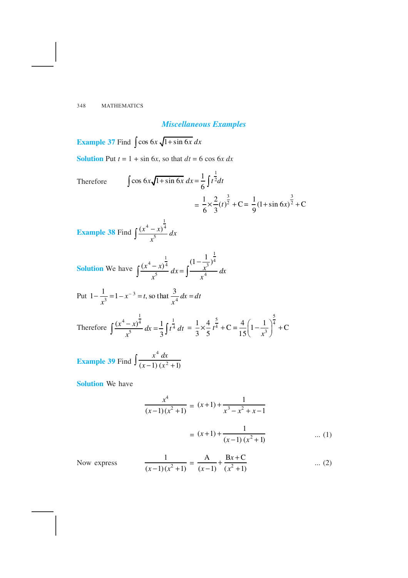# *Miscellaneous Examples*

**Example 37** Find  $\int \cos 6x \sqrt{1 + \sin 6x} dx$ 

 $\bar{z}$ 

**Solution** Put  $t = 1 + \sin 6x$ , so that  $dt = 6 \cos 6x dx$ 

Therefore 
$$
\int \cos 6x \sqrt{1 + \sin 6x} \, dx = \frac{1}{6} \int t^{\frac{1}{2}} dt
$$
  
\n
$$
= \frac{1}{6} \times \frac{2}{3} (t)^{\frac{3}{2}} + C = \frac{1}{9} (1 + \sin 6x)^{\frac{3}{2}} + C
$$
  
\nExample 38 Find 
$$
\int \frac{(x^4 - x)^{\frac{1}{4}}}{x^5} dx
$$
  
\nSolution We have 
$$
\int \frac{(x^4 - x)^{\frac{1}{4}}}{x^5} dx = \int \frac{(1 - \frac{1}{x^3})^{\frac{1}{4}}}{x^4} dx
$$
  
\nPut  $1 - \frac{1}{x^3} = 1 - x^{-3} = t$ , so that  $\frac{3}{x^4} dx = dt$   
\nTherefore 
$$
\int \frac{(x^4 - x)^{\frac{1}{4}}}{x^5} dx = \frac{1}{3} \int t^{\frac{1}{4}} dt = \frac{1}{3} \times \frac{4}{5} t^{\frac{5}{4}} + C = \frac{4}{15} \left( 1 - \frac{1}{x^3} \right)^{\frac{5}{4}} + C
$$
  
\nExample 39 Find 
$$
\int \frac{x^4 dx}{(x - 1)(x^2 + 1)}
$$
  
\nSolution We have

**Solution** We have

$$
\frac{x^4}{(x-1)(x^2+1)} = (x+1) + \frac{1}{x^3 - x^2 + x - 1}
$$

$$
= (x+1) + \frac{1}{(x-1)(x^2+1)}
$$
 ... (1)

Now express 
$$
\frac{1}{(x-1)(x^2+1)} = \frac{A}{(x-1)} + \frac{Bx+C}{(x^2+1)}
$$
 ... (2)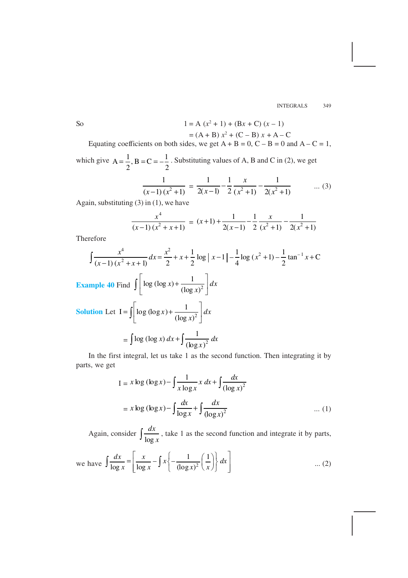So  
\n
$$
1 = A(x^2 + 1) + (Bx + C)(x - 1)
$$
\n
$$
= (A + B)x^2 + (C - B)x + A - C
$$
\nEquating coefficients on both sides, we get A + B = 0, C - B = 0 and A - C = 1,  
\nwhich give A =  $\frac{1}{2}$ , B = C =  $-\frac{1}{2}$ . Substituting values of A, B and C in (2), we get

$$
\frac{1}{(x-1)(x^2+1)} = \frac{1}{2(x-1)} - \frac{1}{2} \frac{x}{(x^2+1)} - \frac{1}{2(x^2+1)}
$$
 ... (3)

Again, substituting (3) in (1), we have

$$
\frac{x^4}{(x-1)(x^2+x+1)} = (x+1) + \frac{1}{2(x-1)} - \frac{1}{2} \frac{x}{(x^2+1)} - \frac{1}{2(x^2+1)}
$$

Therefore  $\alpha$ 

$$
\int \frac{x^4}{(x-1)(x^2+x+1)} dx = \frac{x^2}{2} + x + \frac{1}{2} \log|x-1| - \frac{1}{4} \log(x^2+1) - \frac{1}{2} \tan^{-1}x + C
$$

**Example 40** Find 
$$
\int \left[ \log (\log x) + \frac{1}{(\log x)^2} \right] dx
$$

Solution Let 
$$
I = \int \left[ \log (\log x) + \frac{1}{(\log x)^2} \right] dx
$$
  
=  $\int \log (\log x) dx + \int \frac{1}{(\log x)^2} dx$ 

In the first integral, let us take 1 as the second function. Then integrating it by parts, we get  $\overline{\phantom{a}}$ 

$$
I = x \log (\log x) - \int \frac{1}{x \log x} x dx + \int \frac{dx}{(\log x)^2}
$$

$$
= x \log (\log x) - \int \frac{dx}{\log x} + \int \frac{dx}{(\log x)^2} \quad \dots (1)
$$

Again, consider log *dx*  $\int \frac{dx}{\log x}$ , take 1 as the second function and integrate it by parts,

we have 
$$
\int \frac{dx}{\log x} = \left[ \frac{x}{\log x} - \int x \left\{ -\frac{1}{(\log x)^2} \left( \frac{1}{x} \right) \right\} dx \right] \dots (2)
$$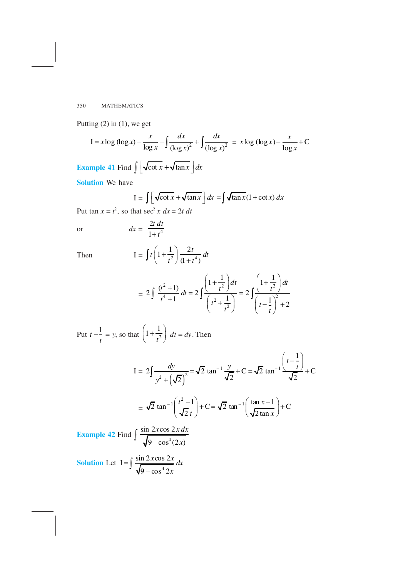Putting (2) in (1), we get

I = 
$$
x \log (\log x) - \frac{x}{\log x} - \int \frac{dx}{(\log x)^2} + \int \frac{dx}{(\log x)^2} = x \log (\log x) - \frac{x}{\log x} + C
$$

**Example 41** Find  $\int \left[ \sqrt{\cot x} + \sqrt{\tan x} \right] dx$ **Solution** We have

$$
I = \int \left[ \sqrt{\cot x} + \sqrt{\tan x} \right] dx = \int \sqrt{\tan x} (1 + \cot x) dx
$$

Put tan  $x = t^2$ , so that sec<sup>2</sup> x  $dx = 2t dt$ 

or 
$$
dx = \frac{2t \, dt}{1 + t^4}
$$

Then  $I =$ 

$$
= \int t \left(1 + \frac{1}{t^2}\right) \frac{2t}{\left(1 + t^4\right)} dt
$$

$$
= 2 \int \frac{(t^2 + 1)}{t^4 + 1} dt = 2 \int \frac{\left(1 + \frac{1}{t^2}\right) dt}{\left(t^2 + \frac{1}{t^2}\right)} = 2 \int \frac{\left(1 + \frac{1}{t^2}\right) dt}{\left(t - \frac{1}{t}\right)^2 + 2}
$$

Put 
$$
t - \frac{1}{t} = y
$$
, so that  $\left(1 + \frac{1}{t^2}\right) dt = dy$ . Then  
\n
$$
I = 2 \int \frac{dy}{y^2 + (\sqrt{2})^2} = \sqrt{2} \tan^{-1} \frac{y}{\sqrt{2}} + C = \sqrt{2} \tan^{-1} \frac{\left(t - \frac{1}{t}\right)}{\sqrt{2}} + C
$$
\n
$$
= \sqrt{2} \tan^{-1} \left(\frac{t^2 - 1}{\sqrt{2}t}\right) + C = \sqrt{2} \tan^{-1} \left(\frac{\tan x - 1}{\sqrt{2} \tan x}\right) + C
$$
\nExample 42 Find  $\int \frac{\sin 2x \cos 2x \, dx}{\sqrt{9 - \cos^4(2x)}}$   
\nSolution Let  $I = \int \frac{\sin 2x \cos 2x}{\sqrt{9 - \cos^4 2x}} dx$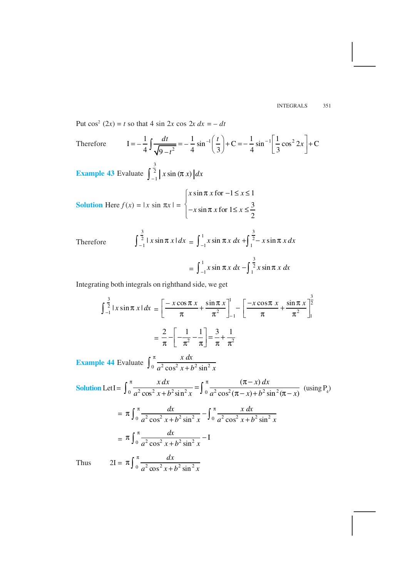Put  $\cos^2(2x) = t$  so that 4 sin 2*x* cos 2*x dx* = – *dt* 

Therefore 
$$
I = -\frac{1}{4} \int \frac{dt}{\sqrt{9 - t^2}} = -\frac{1}{4} \sin^{-1} \left(\frac{t}{3}\right) + C = -\frac{1}{4} \sin^{-1} \left[\frac{1}{3} \cos^2 2x\right] + C
$$
  
**Example 43** Evaluate  $\int_{-1}^{3} |x \sin (\pi x)| dx$ 

**Solution** Here  $f(x) = |x \sin \pi x| =$  $\sin \pi x$  for  $-1 \leq x \leq 1$  $\sin \pi x$  for  $1 \le x \le \frac{3}{2}$ 2  $x \sin \pi x$  for  $-1 \leq x$  $x \sin \pi x$  for  $1 \leq x$  $\int x \sin \pi x$  for  $-1 \le x \le$ ∤  $\Big[-x \sin \pi x \text{ for } 1 \leq x \leq$ 

Therefore

$$
\int_{-1}^{\frac{3}{2}} |x \sin \pi x| dx = \int_{-1}^{1} x \sin \pi x dx + \int_{1}^{\frac{3}{2}} -x \sin \pi x dx
$$

$$
= \int_{-1}^{1} x \sin \pi x dx - \int_{1}^{\frac{3}{2}} x \sin \pi x dx
$$

Integrating both integrals on righthand side, we get

$$
\int_{-1}^{\frac{3}{2}} |x \sin \pi x| dx = \left[ \frac{-x \cos \pi x}{\pi} + \frac{\sin \pi x}{\pi^2} \right]_{-1}^{1} - \left[ \frac{-x \cos \pi x}{\pi} + \frac{\sin \pi x}{\pi^2} \right]_{1}^{\frac{3}{2}}
$$
  
\n
$$
= \frac{2}{\pi} - \left[ -\frac{1}{\pi^2} - \frac{1}{\pi} \right] = \frac{3}{\pi} + \frac{1}{\pi^2}
$$
  
\nExample 44 Evaluate  $\int_{0}^{\pi} \frac{x dx}{a^2 \cos^2 x + b^2 \sin^2 x}$   
\nSolution Let  $I = \int_{0}^{\pi} \frac{x dx}{a^2 \cos^2 x + b^2 \sin^2 x} = \int_{0}^{\pi} \frac{(\pi - x) dx}{a^2 \cos^2 (\pi - x) + b^2 \sin^2 (\pi - x)} (\text{using P}_4)$   
\n
$$
= \pi \int_{0}^{\pi} \frac{dx}{a^2 \cos^2 x + b^2 \sin^2 x} - \int_{0}^{\pi} \frac{x dx}{a^2 \cos^2 x + b^2 \sin^2 x}
$$
  
\n
$$
= \pi \int_{0}^{\pi} \frac{dx}{a^2 \cos^2 x + b^2 \sin^2 x} - I
$$
  
\nThus  $2I = \pi \int_{0}^{\pi} \frac{dx}{a^2 \cos^2 x + b^2 \sin^2 x}$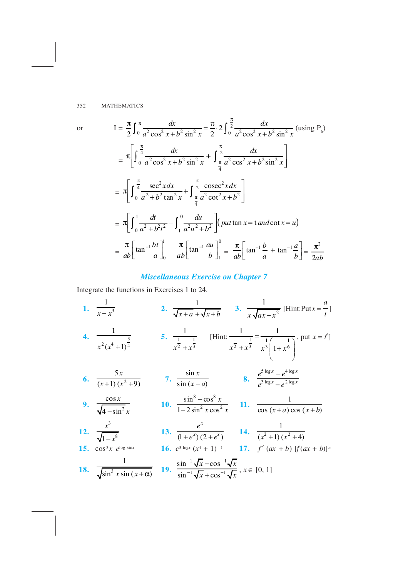$\mathcal{A}$ 

$$
I = \frac{\pi}{2} \int_0^{\pi} \frac{dx}{a^2 \cos^2 x + b^2 \sin^2 x} = \frac{\pi}{2} \cdot 2 \int_0^{\frac{\pi}{2}} \frac{dx}{a^2 \cos^2 x + b^2 \sin^2 x} \text{ (using } P_6)
$$
  
\n
$$
= \pi \left[ \int_0^{\frac{\pi}{4}} \frac{dx}{a^2 \cos^2 x + b^2 \sin^2 x} + \int_{\frac{\pi}{4}}^{\frac{\pi}{2}} \frac{dx}{a^2 \cos^2 x + b^2 \sin^2 x} \right]
$$
  
\n
$$
= \pi \left[ \int_0^{\frac{\pi}{4}} \frac{\sec^2 x dx}{a^2 + b^2 \tan^2 x} + \int_{\frac{\pi}{4}}^{\frac{\pi}{2}} \frac{\csc^2 x dx}{a^2 \cot^2 x + b^2} \right]
$$
  
\n
$$
= \pi \left[ \int_0^{\frac{1}{4}} \frac{dt}{a^2 + b^2 t^2} - \int_1^0 \frac{du}{a^2 u^2 + b^2} \right] (put \tan x = \tan d \cot x = u)
$$
  
\n
$$
= \frac{\pi}{ab} \left[ \tan^{-1} \frac{bt}{a} \right]_0^1 - \frac{\pi}{ab} \left[ \tan^{-1} \frac{au}{b} \right]_0^0 = \frac{\pi}{ab} \left[ \tan^{-1} \frac{b}{a} + \tan^{-1} \frac{a}{b} \right] = \frac{\pi^2}{2ab}
$$

# *Miscellaneous Exercise on Chapter 7*

Integrate the functions in Exercises 1 to 24.

1. 
$$
\frac{1}{x-x^3}
$$
 2.  $\frac{1}{\sqrt{x+a} + \sqrt{x+b}}$  3.  $\frac{1}{x\sqrt{ax-x^2}}$  [Hint:Put  $x = \frac{a}{t}$ ]  
\n4.  $\frac{1}{x^2(x^4+1)^{\frac{3}{4}}}$  5.  $\frac{1}{x^{\frac{1}{2}}+x^{\frac{1}{3}}}$  [Hint:  $\frac{1}{x^{\frac{1}{2}}+x^{\frac{1}{3}}} = \frac{1}{x^{\frac{1}{3}}(1+x^{\frac{1}{6}})}$ , put  $x = t^6$ ]  
\n6.  $\frac{5x}{(x+1)(x^2+9)}$  7.  $\frac{\sin x}{\sin(x-a)}$  8.  $\frac{e^{5\log x} - e^{4\log x}}{e^{3\log x} - e^{2\log x}}$   
\n9.  $\frac{\cos x}{\sqrt{4-\sin^2 x}}$  10.  $\frac{\sin^8 - \cos^8 x}{1-2\sin^2 x \cos^2 x}$  11.  $\frac{1}{\cos(x+a)\cos(x+b)}$   
\n12.  $\frac{x^3}{\sqrt{1-x^8}}$  13.  $\frac{e^x}{(1+e^x)(2+e^x)}$  14.  $\frac{1}{(x^2+1)(x^2+4)}$   
\n15.  $\cos^3 x e^{\log x}$  16.  $e^{3\log x}(x^4+1)^{-1}$  17.  $f'(ax+b) [f(ax+b)]^n$   
\n18.  $\frac{1}{\sqrt{\sin^3 x \sin(x+\alpha)}}$  19.  $\frac{\sin^{-1}\sqrt{x}-\cos^{-1}\sqrt{x}}{\sin^{-1}\sqrt{x}+\cos^{-1}\sqrt{x}}, x \in [0, 1]$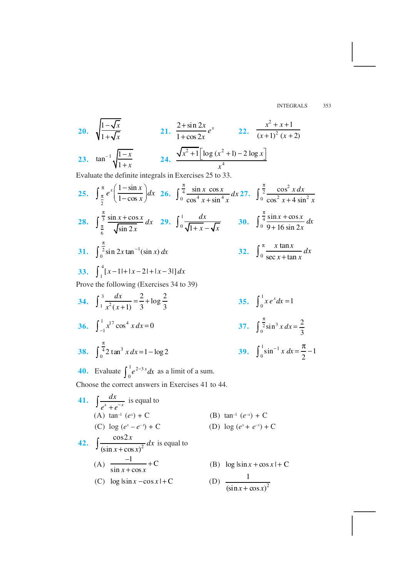20. 
$$
\sqrt{\frac{1-\sqrt{x}}{1+\sqrt{x}}}
$$
  
\n21.  $\frac{2+\sin 2x}{1+\cos 2x}e^x$   
\n22.  $\frac{x^2+x+1}{(x+1)^2(x+2)}$   
\n23.  $\tan^{-1}\sqrt{\frac{1-x}{1+x}}$   
\n24.  $\frac{\sqrt{x^2+1}[\log(x^2+1)-2\log x]}{x^4}$ 

Evaluate the definite integrals in Exercises 25 to 33.

25. 
$$
\int_{\frac{\pi}{2}}^{\frac{\pi}{2}} e^x \left( \frac{1 - \sin x}{1 - \cos x} \right) dx
$$
 26. 
$$
\int_{0}^{\frac{\pi}{4}} \frac{\sin x \cos x}{\cos^4 x + \sin^4 x} dx
$$
 27. 
$$
\int_{0}^{\frac{\pi}{2}} \frac{\cos^2 x dx}{\cos^2 x + 4 \sin^2 x}
$$
 28. 
$$
\int_{\frac{\pi}{6}}^{\frac{\pi}{3}} \frac{\sin x + \cos x}{\sqrt{\sin 2x}} dx
$$
 29. 
$$
\int_{0}^{1} \frac{dx}{\sqrt{1 + x} - \sqrt{x}}
$$
 30. 
$$
\int_{0}^{\frac{\pi}{4}} \frac{\sin x + \cos x}{9 + 16 \sin 2x} dx
$$
 31. 
$$
\int_{0}^{\frac{\pi}{2}} \sin 2x \tan^{-1}(\sin x) dx
$$
 32. 
$$
\int_{0}^{\frac{\pi}{2}} \frac{x \tan x}{\sec x + \tan x} dx
$$

33. 
$$
\int_{1}^{4} [x-1|+|x-2|+|x-3|] dx
$$

Prove the following (Exercises 34 to 39)

**34.**  $\int_{1}^{3}$  $\int_1^3 \frac{dx}{x^2(x+1)} = \frac{2}{3} + \log \frac{2}{3}$  $(x+1)$  3  $3$ *dx*  $x^2(x)$  $= - +$  $\int_{1}^{3} \frac{dx}{x^2(x+1)}$ **35.**  $\int_{0}^{1}$  $\int_0^1 x e^x dx = 1$ **36.**  $\int_{1}^{1} x^{17} \cos^4 x$  $\int_{-1}^{1} x^{17} \cos^4 x \, dx = 0$ **37.**  $\int_{0}^{\sqrt{2}} \sin^{3} x$  $\sin^3 x dx = \frac{2}{3}$ 3 *x dx*  $\int_0^{\frac{\pi}{2}} \sin^3 x \, dx =$ **38.**  $\int_0^{\frac{\pi}{4}} 2 \tan^3 x \, dx = 1 - \log 2$ π  $\int_0^{\overline{4}} 2 \tan^3 x \, dx = 1 -$ **39.**  $\int_{0}^{1} \sin^{-1}$  $\int_0^{\pi} \sin^{-1} x \, dx = \frac{\pi}{2} - 1$ 2  $\int_0^1 \sin^{-1} x \, dx = \frac{\pi}{2} -$ 

**40.** Evaluate  $\int_{0}^{1} e^{2-3} dx$ 0  $\int_0^1 e^{2-3x} dx$  as a limit of a sum. Choose the correct answers in Exercises 41 to 44.

41. 
$$
\int \frac{dx}{e^x + e^{-x}}
$$
 is equal to  
\n(A)  $\tan^{-1} (e^x) + C$   
\n(B)  $\tan^{-1} (e^{-x}) + C$   
\n(C)  $\log (e^x - e^{-x}) + C$   
\n(D)  $\log (e^x + e^{-x}) + C$   
\n42. 
$$
\int \frac{\cos 2x}{(\sin x + \cos x)^2} dx
$$
 is equal to  
\n(A) 
$$
\frac{-1}{\sin x + \cos x} + C
$$
  
\n(B)  $\log |\sin x + \cos x| + C$   
\n(C)  $\log |\sin x - \cos x| + C$   
\n(D) 
$$
\frac{1}{(\sin x + \cos x)^2}
$$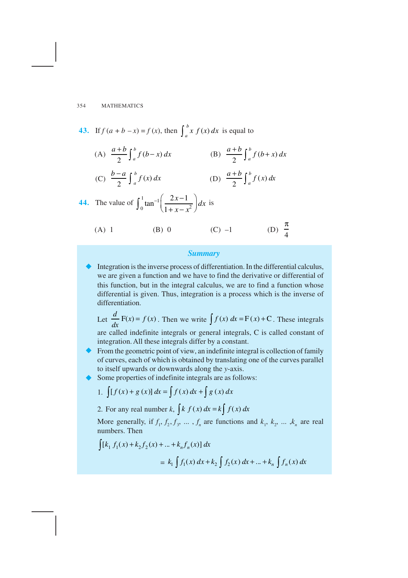**43.** If  $f(a + b - x) = f(x)$ , then  $\int_{a}^{b} x f(x)$  $\int_a^b x f(x) dx$  is equal to

(A) 
$$
\frac{a+b}{2} \int_{a}^{b} f(b-x) dx
$$
  
\n(B)  $\frac{a+b}{2} \int_{a}^{b} f(b+x) dx$   
\n(C)  $\frac{b-a}{2} \int_{a}^{b} f(x) dx$   
\n(D)  $\frac{a+b}{2} \int_{a}^{b} f(x) dx$ 

**44.** The value of 
$$
\int_0^1 \tan^{-1} \left( \frac{2x-1}{1+x-x^2} \right) dx
$$
 is

(A) 1 (B) 0 (C) –1 4 π

## *Summary*

Integration is the inverse process of differentiation. In the differential calculus, we are given a function and we have to find the derivative or differential of this function, but in the integral calculus, we are to find a function whose differential is given. Thus, integration is a process which is the inverse of differentiation.

Let  $\frac{d}{dx}$  **F**(x) = *f*(x)  $\frac{d}{dx}$  F(x) = f(x). Then we write  $\int f(x) dx = F(x) + C$ . These integrals

are called indefinite integrals or general integrals, C is called constant of integration. All these integrals differ by a constant.

- From the geometric point of view, an indefinite integral is collection of family of curves, each of which is obtained by translating one of the curves parallel to itself upwards or downwards along the *y*-axis.
- Some properties of indefinite integrals are as follows:

1. 
$$
\int [f(x) + g(x)] dx = \int f(x) dx + \int g(x) dx
$$

2. For any real number *k*,  $\int k f(x) dx = k \int f(x) dx$ 

More generally, if  $f_1, f_2, f_3, \ldots, f_n$  are functions and  $k_1, k_2, \ldots, k_n$  are real numbers. Then

$$
\int [k_1 f_1(x) + k_2 f_2(x) + ... + k_n f_n(x)] dx
$$
  
=  $k_1 \int f_1(x) dx + k_2 \int f_2(x) dx + ... + k_n \int f_n(x) dx$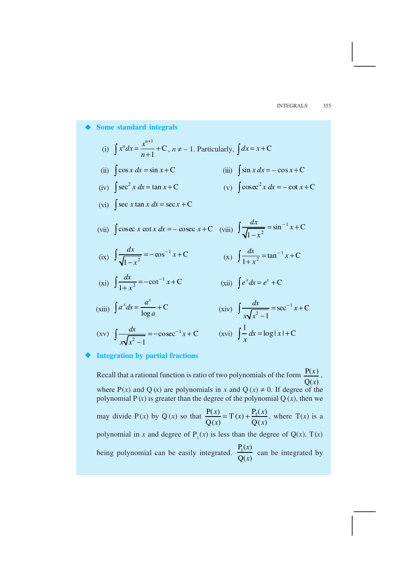**Some standard integrals** 

(i) 
$$
\int x^n dx = \frac{x^{n+1}}{n+1} + C
$$
,  $n \ne -1$ . Particularly,  $\int dx = x + C$   
\n(ii)  $\int \cos x dx = \sin x + C$   
\n(iii)  $\int \sin x dx = -\cos x + C$   
\n(iv)  $\int \sec^2 x dx = \tan x + C$   
\n(vi)  $\int \sec x \tan x dx = \sec x + C$   
\n(vi)  $\int \sec x \tan x dx = \sec x + C$ 

*dx*

(vii) 
$$
\int \csc x \cot x \, dx = -\csc x + C
$$
 (viii) 
$$
\int \frac{dx}{\sqrt{1 - x^2}} = \sin^{-1} x + C
$$
  
\n(ix) 
$$
\int \frac{dx}{\sqrt{1 - x^2}} = -\cos^{-1} x + C
$$
 (x) 
$$
\int \frac{dx}{1 + x^2} = \tan^{-1} x + C
$$
  
\n(xi) 
$$
\int \frac{dx}{1 + x^2} = -\cot^{-1} x + C
$$
 (xii) 
$$
\int e^x dx = e^x + C
$$
  
\n(xiii) 
$$
\int a^x dx = \frac{a^x}{\log a} + C
$$
 (xiv) 
$$
\int \frac{dx}{x\sqrt{x^2 - 1}} = \sec^{-1} x + C
$$

(xv) 
$$
\int \frac{dx}{x\sqrt{x^2 - 1}} = -\csc^{-1} x + C
$$
 (xvi)  $\int \frac{1}{x} dx = \log|x| + C$ 

### ® **Integration by partial fractions**

Recall that a rational function is ratio of two polynomials of the form  $\frac{P(x)}{x}$  $Q(x)$ , where  $P(x)$  and  $Q(x)$  are polynomials in *x* and  $Q(x) \neq 0$ . If degree of the polynomial  $P(x)$  is greater than the degree of the polynomial  $Q(x)$ , then we may divide P(x) by Q(x) so that  $\frac{P(x)}{P(x)} = T(x) + \frac{P_1(x)}{P_2(x)}$  $Q(x)$   $Q(x)$  $\frac{x}{x} = T(x) + \frac{P_1(x)}{2}$ *x*)  $Q(x)$  $= T(x) + \frac{1(x)}{2}$ , where  $T(x)$  is a polynomial in *x* and degree of  $P_1(x)$  is less than the degree of  $Q(x)$ . T(*x*) being polynomial can be easily integrated.  $\frac{P_1(x)}{Q_2(x)}$  $Q(x)$ *x*  $\frac{dy}{dx}$  can be integrated by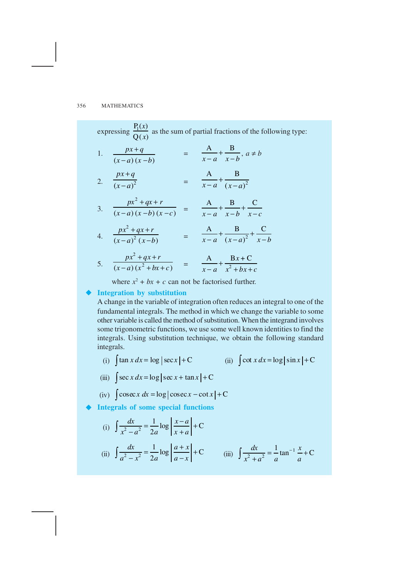expressing 
$$
\frac{P_1(x)}{Q(x)}
$$
 as the sum of partial fractions of the following type:  
\n1.  $\frac{px+q}{(x-a)(x-b)} = \frac{A}{x-a} + \frac{B}{x-b}, a \neq b$   
\n2.  $\frac{px+q}{(x-a)^2} = \frac{A}{x-a} + \frac{B}{(x-a)^2}$   
\n3.  $\frac{px^2+qx+r}{(x-a)(x-b)(x-c)} = \frac{A}{x-a} + \frac{B}{x-b} + \frac{C}{x-c}$   
\n4.  $\frac{px^2+qx+r}{(x-a)^2(x-b)} = \frac{A}{x-a} + \frac{B}{(x-a)^2} + \frac{C}{x-b}$   
\n5.  $\frac{px^2+qx+r}{(x-a)(x^2+bx+c)} = \frac{A}{x-a} + \frac{Bx+C}{x^2+bx+c}$ 

where  $x^2 + bx + c$  can not be factorised further.

## ® **Integration by substitution**

A change in the variable of integration often reduces an integral to one of the fundamental integrals. The method in which we change the variable to some other variable is called the method of substitution. When the integrand involves some trigonometric functions, we use some well known identities to find the integrals. Using substitution technique, we obtain the following standard integrals.

(i) 
$$
\int \tan x \, dx = \log |\sec x| + C
$$
 (ii)  $\int \cot x \, dx = \log |\sin x| + C$ 

(iii) 
$$
\int \sec x \, dx = \log |\sec x + \tan x| + C
$$

- (iv)  $\int \csc x \, dx = \log |\csc x \cot x| + C$
- ® **Integrals of some special functions**

(i) 
$$
\int \frac{dx}{x^2 - a^2} = \frac{1}{2a} \log \left| \frac{x - a}{x + a} \right| + C
$$
  
\n(ii)  $\int \frac{dx}{a^2 - x^2} = \frac{1}{2a} \log \left| \frac{a + x}{a - x} \right| + C$   
\n(iii)  $\int \frac{dx}{x^2 + a^2} = \frac{1}{a} \tan^{-1} \frac{x}{a} + C$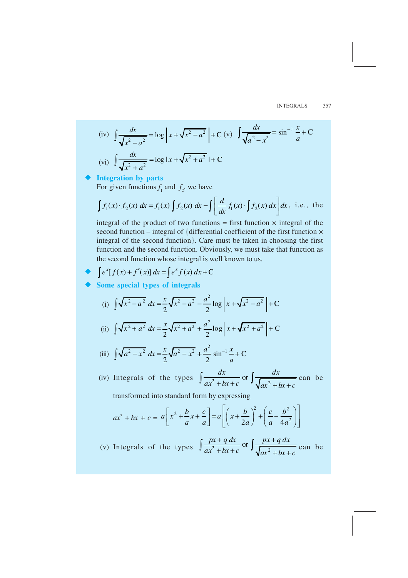(iv) 
$$
\int \frac{dx}{\sqrt{x^2 - a^2}} = \log |x + \sqrt{x^2 - a^2}| + C \text{ (v)} \quad \int \frac{dx}{\sqrt{a^2 - x^2}} = \sin^{-1} \frac{x}{a} + C
$$
  
(vi) 
$$
\int \frac{dx}{\sqrt{x^2 + a^2}} = \log |x + \sqrt{x^2 + a^2}| + C
$$

® **Integration by parts** For given functions  $f_1$  and  $f_2$ , we have

$$
\int f_1(x) \cdot f_2(x) dx = f_1(x) \int f_2(x) dx - \int \left[ \frac{d}{dx} f_1(x) \cdot \int f_2(x) dx \right] dx, \text{ i.e., the}
$$

integral of the product of two functions  $=$  first function  $\times$  integral of the second function – integral of {differential coefficient of the first function  $\times$ integral of the second function}. Care must be taken in choosing the first function and the second function. Obviously, we must take that function as the second function whose integral is well known to us.

- $\int e^x [f(x) + f'(x)] dx = \int e^x f(x) dx + C$
- ® **Some special types of integrals**

(i) 
$$
\int \sqrt{x^2 - a^2} dx = \frac{x}{2} \sqrt{x^2 - a^2} - \frac{a^2}{2} \log \left| x + \sqrt{x^2 - a^2} \right| + C
$$

(ii) 
$$
\int \sqrt{x^2 + a^2} \, dx = \frac{x}{2} \sqrt{x^2 + a^2} + \frac{a^2}{2} \log \left| x + \sqrt{x^2 + a^2} \right| + C
$$

(iii) 
$$
\int \sqrt{a^2 - x^2} \, dx = \frac{x}{2} \sqrt{a^2 - x^2} + \frac{a^2}{2} \sin^{-1} \frac{x}{a} + C
$$

(iv) Integrals of the types  $\int \frac{dx}{ax^2 + bx + c}$  or  $\int \frac{dx}{\sqrt{ax^2 + b^2}}$  $ax^2 + bx + c$   $\frac{d}{dx}ax^2 + bx + c$  $\int \frac{dx}{\sqrt{x^2 + bx + c}}$  or  $\int \frac{dx}{\sqrt{x^2 + c^2}}$  can be

transformed into standard form by expressing

$$
ax^{2} + bx + c = a\left[x^{2} + \frac{b}{a}x + \frac{c}{a}\right] = a\left[\left(x + \frac{b}{2a}\right)^{2} + \left(\frac{c}{a} - \frac{b^{2}}{4a^{2}}\right)\right]
$$

(v) Integrals of the types 
$$
\int \frac{px + q dx}{ax^2 + bx + c}
$$
 or  $\int \frac{px + q dx}{\sqrt{ax^2 + bx + c}}$  can be